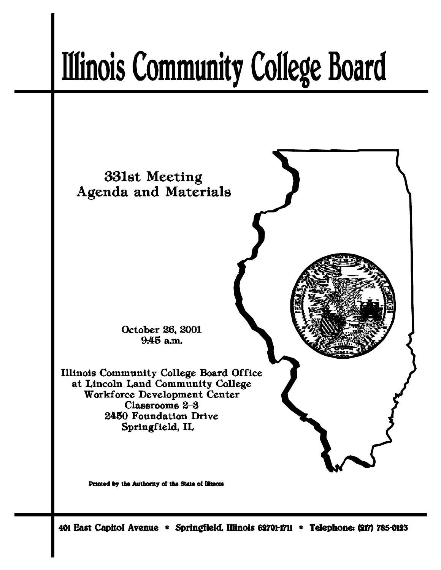# **Illinois Community College Board**



401 East Capitol Avenue \* Springfield, Illinois 62701-1711 \* Telephone: (217) 785-0123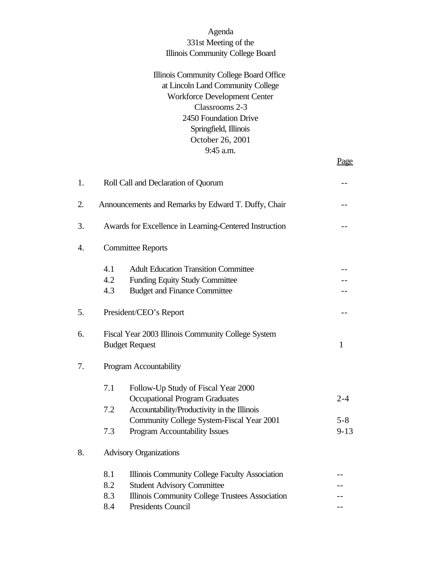## Agenda 331st Meeting of the Illinois Community College Board

## Illinois Community College Board Office at Lincoln Land Community College Workforce Development Center Classrooms 2-3 2450 Foundation Drive Springfield, Illinois October 26, 2001 9:45 a.m.

Page

| 1. |                          | Roll Call and Declaration of Quorum                                                                                                                                 |                     |
|----|--------------------------|---------------------------------------------------------------------------------------------------------------------------------------------------------------------|---------------------|
| 2. |                          | Announcements and Remarks by Edward T. Duffy, Chair                                                                                                                 |                     |
| 3. |                          | Awards for Excellence in Learning-Centered Instruction                                                                                                              |                     |
| 4. |                          | <b>Committee Reports</b>                                                                                                                                            |                     |
|    | 4.1<br>4.2<br>4.3        | <b>Adult Education Transition Committee</b><br><b>Funding Equity Study Committee</b><br><b>Budget and Finance Committee</b>                                         |                     |
| 5. |                          | President/CEO's Report                                                                                                                                              |                     |
| 6. |                          | Fiscal Year 2003 Illinois Community College System<br><b>Budget Request</b>                                                                                         | $\mathbf{1}$        |
| 7. |                          | Program Accountability                                                                                                                                              |                     |
|    | 7.1<br>7.2               | Follow-Up Study of Fiscal Year 2000<br><b>Occupational Program Graduates</b><br>Accountability/Productivity in the Illinois                                         | $2 - 4$             |
|    | 7.3                      | Community College System-Fiscal Year 2001<br>Program Accountability Issues                                                                                          | $5 - 8$<br>$9 - 13$ |
| 8. |                          | <b>Advisory Organizations</b>                                                                                                                                       |                     |
|    | 8.1<br>8.2<br>8.3<br>8.4 | Illinois Community College Faculty Association<br><b>Student Advisory Committee</b><br>Illinois Community College Trustees Association<br><b>Presidents Council</b> |                     |
|    |                          |                                                                                                                                                                     |                     |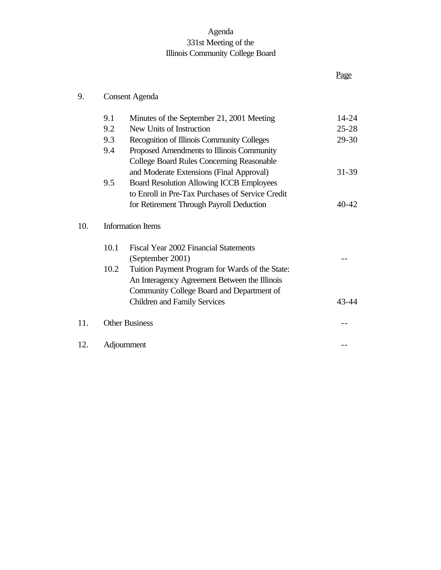## Agenda 331st Meeting of the Illinois Community College Board

## 9. Consent Agenda

|     | 9.1  | Minutes of the September 21, 2001 Meeting        | 14-24     |
|-----|------|--------------------------------------------------|-----------|
|     | 9.2  | New Units of Instruction                         | $25 - 28$ |
|     | 9.3  | Recognition of Illinois Community Colleges       | 29-30     |
|     | 9.4  | Proposed Amendments to Illinois Community        |           |
|     |      | <b>College Board Rules Concerning Reasonable</b> |           |
|     |      | and Moderate Extensions (Final Approval)         | $31 - 39$ |
|     | 9.5  | <b>Board Resolution Allowing ICCB Employees</b>  |           |
|     |      | to Enroll in Pre-Tax Purchases of Service Credit |           |
|     |      | for Retirement Through Payroll Deduction         | 40-42     |
| 10. |      | <b>Information Items</b>                         |           |
|     | 10.1 | Fiscal Year 2002 Financial Statements            |           |
|     |      | (September 2001)                                 |           |
|     | 10.2 | Tuition Payment Program for Wards of the State:  |           |
|     |      | An Interagency Agreement Between the Illinois    |           |
|     |      | Community College Board and Department of        |           |
|     |      | <b>Children and Family Services</b>              | $43 - 44$ |
| 11. |      | <b>Other Business</b>                            |           |
| 12. |      | Adjournment                                      |           |

# Page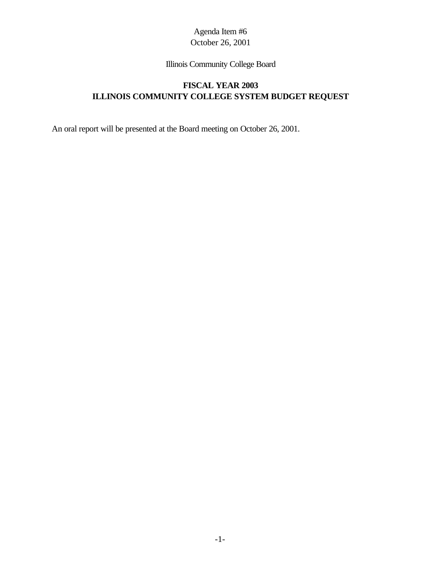Illinois Community College Board

## **FISCAL YEAR 2003 ILLINOIS COMMUNITY COLLEGE SYSTEM BUDGET REQUEST**

An oral report will be presented at the Board meeting on October 26, 2001.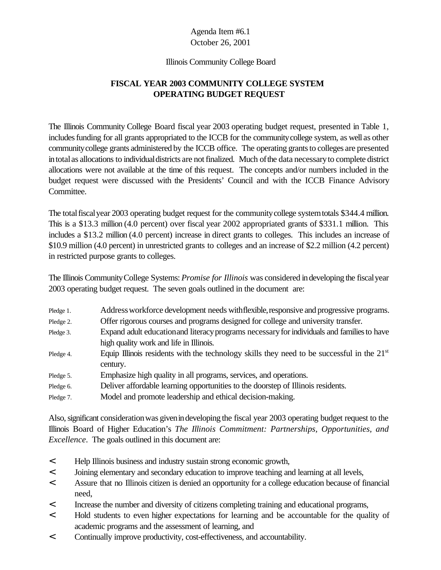#### Illinois Community College Board

## **FISCAL YEAR 2003 COMMUNITY COLLEGE SYSTEM OPERATING BUDGET REQUEST**

The Illinois Community College Board fiscal year 2003 operating budget request, presented in Table 1, includesfunding for all grants appropriated to the ICCB for the communitycollege system, as well as other community college grants administered by the ICCB office. The operating grants to colleges are presented in total as allocations to individual districts are not finalized. Much of the data necessary to complete district allocations were not available at the time of this request. The concepts and/or numbers included in the budget request were discussed with the Presidents' Council and with the ICCB Finance Advisory Committee.

The total fiscal year 2003 operating budget request for the community college system totals \$344.4 million. This is a \$13.3 million (4.0 percent) over fiscal year 2002 appropriated grants of \$331.1 million. This includes a \$13.2 million (4.0 percent) increase in direct grants to colleges. This includes an increase of \$10.9 million (4.0 percent) in unrestricted grants to colleges and an increase of \$2.2 million (4.2 percent) in restricted purpose grants to colleges.

The Illinois CommunityCollege Systems: *Promise for Illinois* was considered indeveloping the fiscalyear 2003 operating budget request. The seven goals outlined in the document are:

| Pledge 1. | Address workforce development needs with flexible, responsive and progressive programs.      |
|-----------|----------------------------------------------------------------------------------------------|
| Pledge 2. | Offer rigorous courses and programs designed for college and university transfer.            |
| Pledge 3. | Expand adult education and literacy programs necessary for individuals and families to have  |
|           | high quality work and life in Illinois.                                                      |
| Pledge 4. | Equip Illinois residents with the technology skills they need to be successful in the $21st$ |
|           | century.                                                                                     |
| Pledge 5. | Emphasize high quality in all programs, services, and operations.                            |
| Pledge 6. | Deliver affordable learning opportunities to the doorstep of Illinois residents.             |
| Pledge 7. | Model and promote leadership and ethical decision-making.                                    |

Also, significant consideration was given in developing the fiscal year 2003 operating budget request to the Illinois Board of Higher Education's *The Illinois Commitment: Partnerships, Opportunities, and Excellence*. The goals outlined in this document are:

- < Help Illinois business and industry sustain strong economic growth,
- < Joining elementary and secondary education to improve teaching and learning at all levels,
- < Assure that no Illinois citizen is denied an opportunity for a college education because of financial need,
- < Increase the number and diversity of citizens completing training and educational programs,
- < Hold students to even higher expectations for learning and be accountable for the quality of academic programs and the assessment of learning, and
- < Continually improve productivity, cost-effectiveness, and accountability.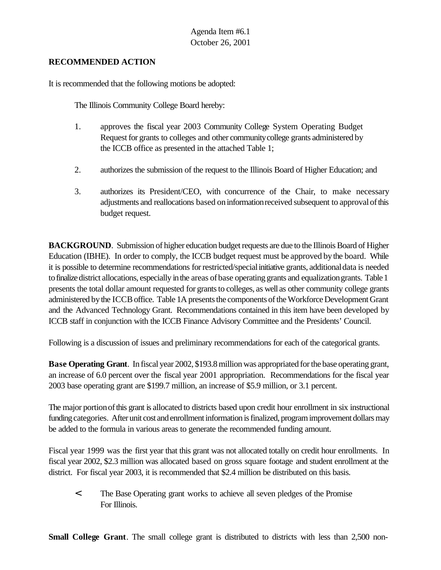#### **RECOMMENDED ACTION**

It is recommended that the following motions be adopted:

The Illinois Community College Board hereby:

- 1. approves the fiscal year 2003 Community College System Operating Budget Request for grants to colleges and other community college grants administered by the ICCB office as presented in the attached Table 1;
- 2. authorizes the submission of the request to the Illinois Board of Higher Education; and
- 3. authorizes its President/CEO, with concurrence of the Chair, to make necessary adjustments and reallocations based oninformationreceived subsequent to approvalofthis budget request.

**BACKGROUND**. Submission of higher education budget requests are due to the Illinois Board of Higher Education (IBHE). In order to comply, the ICCB budget request must be approved by the board. While it is possible to determine recommendations for restricted/special initiative grants, additional data is needed tofinalizedistrict allocations, especially inthe areas ofbase operating grants and equalizationgrants. Table 1 presents the total dollar amount requested for grants to colleges, as well as other community college grants administered bythe ICCBoffice. Table 1A presents the components of the Workforce Development Grant and the Advanced Technology Grant. Recommendations contained in this item have been developed by ICCB staff in conjunction with the ICCB Finance Advisory Committee and the Presidents' Council.

Following is a discussion of issues and preliminary recommendations for each of the categorical grants.

**Base Operating Grant**. In fiscal year 2002, \$193.8 million was appropriated for the base operating grant, an increase of 6.0 percent over the fiscal year 2001 appropriation. Recommendations for the fiscal year 2003 base operating grant are \$199.7 million, an increase of \$5.9 million, or 3.1 percent.

The major portion of this grant is allocated to districts based upon credit hour enrollment in six instructional funding categories. After unit cost and enrollment information is finalized, program improvement dollars may be added to the formula in various areas to generate the recommended funding amount.

Fiscal year 1999 was the first year that this grant was not allocated totally on credit hour enrollments. In fiscal year 2002, \$2.3 million was allocated based on gross square footage and student enrollment at the district. For fiscal year 2003, it is recommended that \$2.4 million be distributed on this basis.

< The Base Operating grant works to achieve all seven pledges of the Promise For Illinois.

**Small College Grant**. The small college grant is distributed to districts with less than 2,500 non-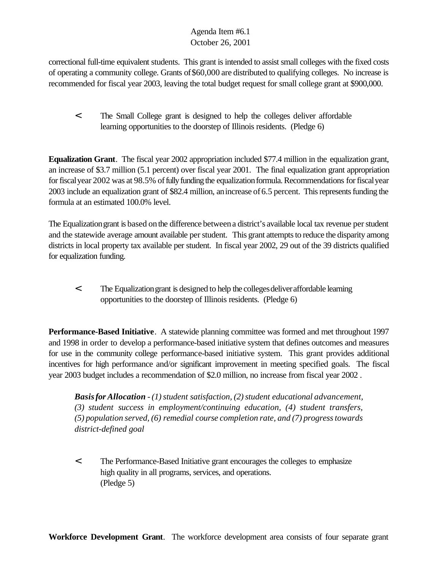correctional full-time equivalent students. This grant is intended to assist small colleges with the fixed costs of operating a community college. Grants of\$60,000 are distributed to qualifying colleges. No increase is recommended for fiscal year 2003, leaving the total budget request for small college grant at \$900,000.

< The Small College grant is designed to help the colleges deliver affordable learning opportunities to the doorstep of Illinois residents. (Pledge 6)

**Equalization Grant**. The fiscal year 2002 appropriation included \$77.4 million in the equalization grant, an increase of \$3.7 million (5.1 percent) over fiscal year 2001. The final equalization grant appropriation for fiscal year 2002 was at 98.5% of fully funding the equalization formula. Recommendations for fiscal year 2003 include an equalization grant of \$82.4 million, anincrease of6.5 percent. This represents funding the formula at an estimated 100.0% level.

The Equalization grant is based on the difference between a district's available local tax revenue per student and the statewide average amount available perstudent. This grant attempts to reduce the disparity among districts in local property tax available per student. In fiscal year 2002, 29 out of the 39 districts qualified for equalization funding.

< The Equalizationgrant is designed to help the collegesdeliveraffordable learning opportunities to the doorstep of Illinois residents. (Pledge 6)

**Performance-Based Initiative**. A statewide planning committee was formed and met throughout 1997 and 1998 in order to develop a performance-based initiative system that defines outcomes and measures for use in the community college performance-based initiative system. This grant provides additional incentives for high performance and/or significant improvement in meeting specified goals. The fiscal year 2003 budget includes a recommendation of \$2.0 million, no increase from fiscal year 2002 .

*Basis for Allocation*  $-1$  *student satisfaction,* (2) *student educational advancement, (3) student success in employment/continuing education, (4) student transfers, (5) population served, (6) remedial course completion rate, and (7) progresstowards district-defined goal*

< The Performance-Based Initiative grant encourages the colleges to emphasize high quality in all programs, services, and operations. (Pledge 5)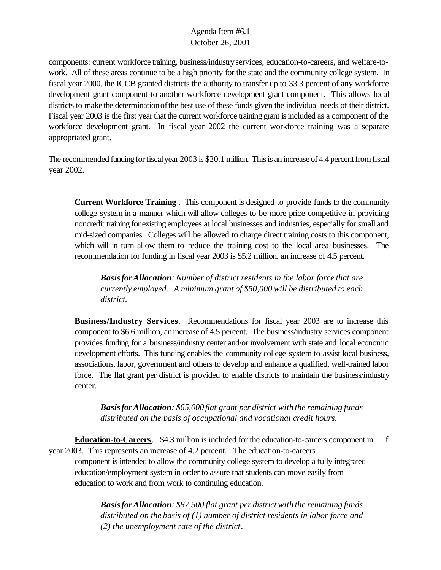components: current workforce training, business/industryservices, education-to-careers, and welfare-towork. All of these areas continue to be a high priority for the state and the community college system. In fiscal year 2000, the ICCB granted districts the authority to transfer up to 33.3 percent of any workforce development grant component to another workforce development grant component. This allows local districts to make the determination of the best use of these funds given the individual needs of their district. Fiscal year 2003 is the first year that the current workforce training grant is included as a component of the workforce development grant. In fiscal year 2002 the current workforce training was a separate appropriated grant.

The recommended funding for fiscal year 2003 is \$20.1 million. This is an increase of 4.4 percent from fiscal year 2002.

**Current Workforce Training** . This component is designed to provide funds to the community college system in a manner which will allow colleges to be more price competitive in providing noncredit training for existing employees at local businesses and industries, especially for small and mid-sized companies. Colleges will be allowed to charge direct training costs to this component, which will in turn allow them to reduce the training cost to the local area businesses. The recommendation for funding in fiscal year 2003 is \$5.2 million, an increase of 4.5 percent.

*Basisfor Allocation: Number of district residents in the labor force that are currently employed. A minimum grant of \$50,000 will be distributed to each district.*

**Business/Industry Services**. Recommendations for fiscal year 2003 are to increase this component to \$6.6 million, anincrease of 4.5 percent. The business/industry services component provides funding for a business/industry center and/or involvement with state and local economic development efforts. This funding enables the community college system to assist local business, associations, labor, government and others to develop and enhance a qualified, well-trained labor force. The flat grant per district is provided to enable districts to maintain the business/industry center.

*Basisfor Allocation: \$65,000flat grant per district with the remaining funds distributed on the basis of occupational and vocational credit hours*.

**Education-to-Careers**. \$4.3 million is included for the education-to-careers component in f year 2003. This represents an increase of 4.2 percent. The education-to-careers component is intended to allow the community college system to develop a fully integrated education/employment system in order to assure that students can move easily from education to work and from work to continuing education.

*Basisfor Allocation: \$87,500 flat grant per district with the remaining funds distributed on the basis of (1) number of district residents in labor force and (2) the unemployment rate of the district*.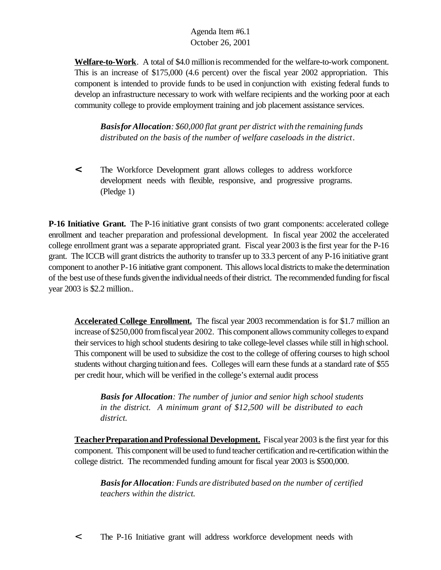**Welfare-to-Work**. A total of \$4.0 millionis recommended for the welfare-to-work component. This is an increase of \$175,000 (4.6 percent) over the fiscal year 2002 appropriation. This component is intended to provide funds to be used in conjunction with existing federal funds to develop an infrastructure necessary to work with welfare recipients and the working poor at each community college to provide employment training and job placement assistance services.

*Basisfor Allocation: \$60,000 flat grant per district with the remaining funds distributed on the basis of the number of welfare caseloads in the district*.

**<** The Workforce Development grant allows colleges to address workforce development needs with flexible, responsive, and progressive programs. (Pledge 1)

**P-16 Initiative Grant.** The P-16 initiative grant consists of two grant components: accelerated college enrollment and teacher preparation and professional development. In fiscal year 2002 the accelerated college enrollment grant was a separate appropriated grant. Fiscal year 2003 isthe first year for the P-16 grant. The ICCB will grant districts the authority to transfer up to 33.3 percent of any P-16 initiative grant component to another P-16 initiative grant component. This allows local districts to make the determination of the best use ofthese funds giventhe individualneeds oftheir district. The recommended funding for fiscal year 2003 is \$2.2 million..

**Accelerated College Enrollment.** The fiscal year 2003 recommendation is for \$1.7 million an increase of\$250,000 fromfiscalyear 2002. This component allows community colleges to expand their services to high school students desiring to take college-level classes while still in high school. This component will be used to subsidize the cost to the college of offering courses to high school students without charging tuitionand fees. Colleges will earn these funds at a standard rate of \$55 per credit hour, which will be verified in the college's external audit process

*Basis for Allocation: The number of junior and senior high school students in the district. A minimum grant of \$12,500 will be distributed to each district.*

**Teacher Preparation and Professional Development.** Fiscal year 2003 is the first year for this component. This component will be used to fund teacher certification and re-certification within the college district. The recommended funding amount for fiscal year 2003 is \$500,000.

*Basisfor Allocation: Funds are distributed based on the number of certified teachers within the district.*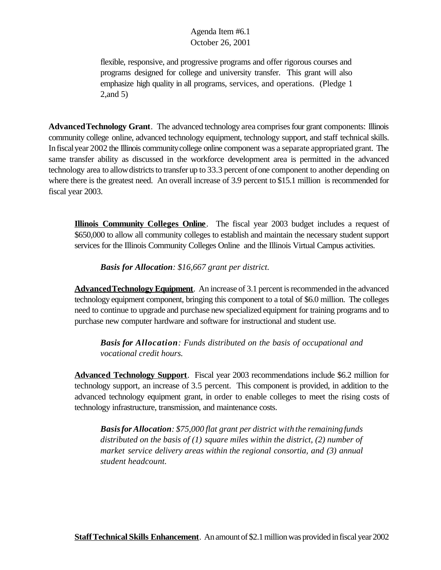flexible, responsive, and progressive programs and offer rigorous courses and programs designed for college and university transfer. This grant will also emphasize high quality in all programs, services, and operations. (Pledge 1 2,and 5)

**AdvancedTechnology Grant**. The advanced technology area comprisesfour grant components: Illinois community college online, advanced technology equipment, technology support, and staff technical skills. In fiscal year 2002 the Illinois community college online component was a separate appropriated grant. The same transfer ability as discussed in the workforce development area is permitted in the advanced technology area to allow districts to transfer up to 33.3 percent of one component to another depending on where there is the greatest need. An overall increase of 3.9 percent to \$15.1 million is recommended for fiscal year 2003.

**Illinois Community Colleges Online**. The fiscal year 2003 budget includes a request of \$650,000 to allow all community colleges to establish and maintain the necessary student support services for the Illinois Community Colleges Online and the Illinois Virtual Campus activities.

*Basis for Allocation: \$16,667 grant per district.*

**AdvancedTechnology Equipment**. An increase of 3.1 percent is recommended in the advanced technology equipment component, bringing this component to a total of \$6.0 million. The colleges need to continue to upgrade and purchase new specialized equipment for training programs and to purchase new computer hardware and software for instructional and student use.

*Basis for Allocation: Funds distributed on the basis of occupational and vocational credit hours.*

**Advanced Technology Support**. Fiscal year 2003 recommendations include \$6.2 million for technology support, an increase of 3.5 percent. This component is provided, in addition to the advanced technology equipment grant, in order to enable colleges to meet the rising costs of technology infrastructure, transmission, and maintenance costs.

*Basisfor Allocation: \$75,000 flat grant per district with the remainingfunds distributed on the basis of (1) square miles within the district, (2) number of market service delivery areas within the regional consortia, and (3) annual student headcount.*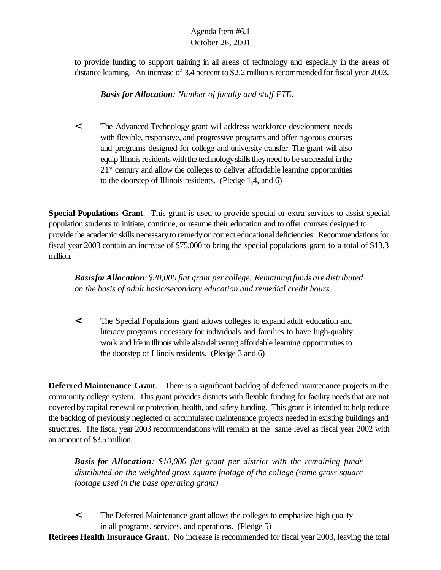to provide funding to support training in all areas of technology and especially in the areas of distance learning. An increase of 3.4 percent to \$2.2 million is recommended for fiscal year 2003.

*Basis for Allocation: Number of faculty and staff FTE*.

< The Advanced Technology grant will address workforce development needs with flexible, responsive, and progressive programs and offer rigorous courses and programs designed for college and university transfer The grant will also equip Illinois residents with the technology skills they need to be successful in the 21<sup>st</sup> century and allow the colleges to deliver affordable learning opportunities to the doorstep of Illinois residents. (Pledge 1,4, and 6)

**Special Populations Grant**. This grant is used to provide special or extra services to assist special population students to initiate, continue, or resume their education and to offer courses designed to provide the academic skills necessaryto remedyor correct educationaldeficiencies. Recommendations for fiscal year 2003 contain an increase of \$75,000 to bring the special populations grant to a total of \$13.3 million.

*BasisforAllocation:\$20,000 flat grant per college. Remaining funds are distributed on the basis of adult basic/secondary education and remedial credit hours.*

**<** The Special Populations grant allows colleges to expand adult education and literacy programs necessary for individuals and families to have high-quality work and life in Illinois while also delivering affordable learning opportunities to the doorstep of Illinois residents. (Pledge 3 and 6)

**Deferred Maintenance Grant**. There is a significant backlog of deferred maintenance projects in the community college system. This grant provides districts with flexible funding for facility needs that are not covered bycapital renewal or protection, health, and safety funding. This grant is intended to help reduce the backlog of previously neglected or accumulated maintenance projects needed in existing buildings and structures. The fiscal year 2003 recommendations will remain at the same level as fiscal year 2002 with an amount of \$3.5 million.

*Basis for Allocation: \$10,000 flat grant per district with the remaining funds distributed on the weighted gross square footage of the college (same gross square footage used in the base operating grant)*

< The Deferred Maintenance grant allows the colleges to emphasize high quality in all programs, services, and operations. (Pledge 5)

**Retirees Health Insurance Grant**. No increase is recommended for fiscal year 2003, leaving the total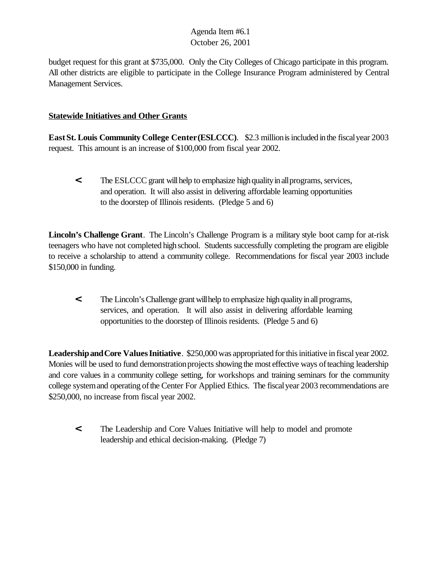budget request for this grant at \$735,000. Only the City Colleges of Chicago participate in this program. All other districts are eligible to participate in the College Insurance Program administered by Central Management Services.

## **Statewide Initiatives and Other Grants**

**EastSt. Louis Community College Center(ESLCCC)**. \$2.3 millionisincluded inthe fiscalyear 2003 request. This amount is an increase of \$100,000 from fiscal year 2002.

**The ESLCCC grant will help to emphasize high quality in all programs, services,** and operation. It will also assist in delivering affordable learning opportunities to the doorstep of Illinois residents.(Pledge 5 and 6)

**Lincoln's Challenge Grant**. The Lincoln's Challenge Program is a military style boot camp for at-risk teenagers who have not completed high school. Students successfully completing the program are eligible to receive a scholarship to attend a community college. Recommendations for fiscal year 2003 include \$150,000 in funding.

**<** The Lincoln'sChallenge grantwillhelp to emphasize highqualityinallprograms, services, and operation. It will also assist in delivering affordable learning opportunities to the doorstep of Illinois residents. (Pledge 5 and 6)

**Leadership and Core Values Initiative**. \$250,000 was appropriated for this initiative in fiscal year 2002. Monies will be used to fund demonstration projects showing the most effective ways of teaching leadership and core values in a community college setting, for workshops and training seminars for the community college system and operating of the Center For Applied Ethics. The fiscal year 2003 recommendations are \$250,000, no increase from fiscal year 2002.

**<** The Leadership and Core Values Initiative will help to model and promote leadership and ethical decision-making. (Pledge 7)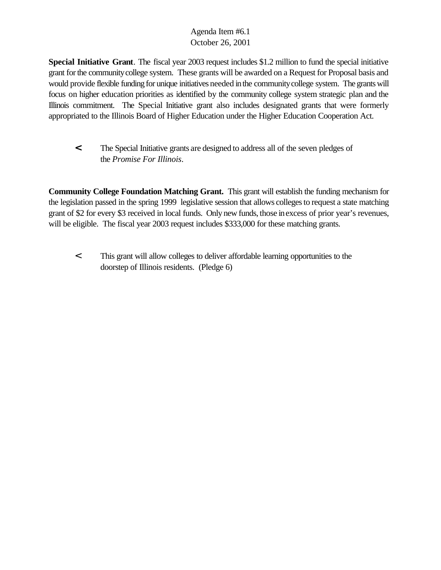**Special Initiative Grant**. The fiscal year 2003 request includes \$1.2 million to fund the special initiative grant forthe communitycollege system. These grants will be awarded on a Request for Proposal basis and would provide flexible funding for unique initiatives needed inthe communitycollege system. The grants will focus on higher education priorities as identified by the community college system strategic plan and the Illinois commitment.The Special Initiative grant also includes designated grants that were formerly appropriated to the Illinois Board of Higher Education under the Higher Education Cooperation Act.

**<** The Special Initiative grants are designed to address all of the seven pledges of the *Promise For Illinois*.

**Community College Foundation Matching Grant.** This grant will establish the funding mechanism for the legislation passed in the spring 1999 legislative session that allows colleges to request a state matching grant of \$2 for every \$3 received in local funds. Only new funds, those inexcess of prior year's revenues, will be eligible. The fiscal year 2003 request includes \$333,000 for these matching grants.

< This grant will allow colleges to deliver affordable learning opportunities to the doorstep of Illinois residents. (Pledge 6)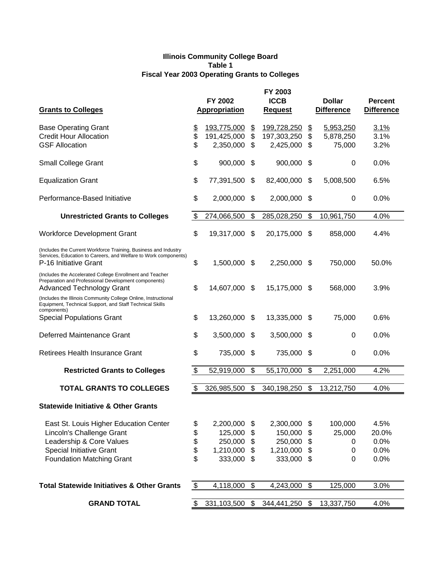#### **Illinois Community College Board Table 1 Fiscal Year 2003 Operating Grants to Colleges**

| <b>Grants to Colleges</b>                                                                                                                                   |               | FY 2002<br><b>Appropriation</b> |                           | FY 2003<br><b>ICCB</b><br><b>Request</b> |                           | <b>Dollar</b><br><b>Difference</b> | <b>Percent</b><br><b>Difference</b> |
|-------------------------------------------------------------------------------------------------------------------------------------------------------------|---------------|---------------------------------|---------------------------|------------------------------------------|---------------------------|------------------------------------|-------------------------------------|
| <b>Base Operating Grant</b>                                                                                                                                 | \$            | 193,775,000                     | $\frac{1}{2}$             | 199,728,250                              | $\mathfrak{D}$            | 5,953,250                          | 3.1%                                |
| <b>Credit Hour Allocation</b>                                                                                                                               | \$            | 191,425,000                     | \$                        | 197,303,250                              | \$                        | 5,878,250                          | 3.1%                                |
| <b>GSF Allocation</b>                                                                                                                                       | \$            | 2,350,000                       | \$                        | 2,425,000                                | \$                        | 75,000                             | 3.2%                                |
| <b>Small College Grant</b>                                                                                                                                  | \$            | 900,000                         | \$                        | 900,000                                  | \$                        | 0                                  | 0.0%                                |
| <b>Equalization Grant</b>                                                                                                                                   | \$            | 77,391,500                      | \$                        | 82,400,000                               | \$                        | 5,008,500                          | 6.5%                                |
| Performance-Based Initiative                                                                                                                                | \$            | 2,000,000                       | \$                        | 2,000,000                                | \$                        | 0                                  | 0.0%                                |
| <b>Unrestricted Grants to Colleges</b>                                                                                                                      | \$            | 274,066,500                     | \$                        | 285,028,250                              | \$                        | 10,961,750                         | 4.0%                                |
| <b>Workforce Development Grant</b>                                                                                                                          | \$            | 19,317,000                      | $\mathfrak{F}$            | 20,175,000                               | \$                        | 858,000                            | 4.4%                                |
| (Includes the Current Workforce Training, Business and Industry<br>Services, Education to Careers, and Welfare to Work components)<br>P-16 Initiative Grant | \$            | 1,500,000                       | \$                        | 2,250,000                                | \$                        | 750,000                            | 50.0%                               |
| (Includes the Accelerated College Enrollment and Teacher<br>Preparation and Professional Development components)<br><b>Advanced Technology Grant</b>        | \$            | 14,607,000 \$                   |                           | 15,175,000                               | \$                        | 568,000                            | 3.9%                                |
| (Includes the Illinois Community College Online, Instructional<br>Equipment, Technical Support, and Staff Technical Skills<br>components)                   |               |                                 |                           |                                          |                           |                                    |                                     |
| <b>Special Populations Grant</b>                                                                                                                            | \$            | 13,260,000                      | -\$                       | 13,335,000                               | \$                        | 75,000                             | 0.6%                                |
| Deferred Maintenance Grant                                                                                                                                  | \$            | 3,500,000                       | \$                        | 3,500,000                                | \$                        | 0                                  | 0.0%                                |
| Retirees Health Insurance Grant                                                                                                                             | \$            | 735,000                         | \$                        | 735,000                                  | \$                        | $\mathbf 0$                        | 0.0%                                |
| <b>Restricted Grants to Colleges</b>                                                                                                                        | \$            | 52,919,000                      | \$                        | 55,170,000                               | \$                        | 2,251,000                          | 4.2%                                |
| <b>TOTAL GRANTS TO COLLEGES</b>                                                                                                                             | \$            | 326,985,500                     | \$                        | 340,198,250                              | \$                        | 13,212,750                         | 4.0%                                |
| <b>Statewide Initiative &amp; Other Grants</b>                                                                                                              |               |                                 |                           |                                          |                           |                                    |                                     |
| East St. Louis Higher Education Center                                                                                                                      | \$            | 2,200,000                       | \$                        | 2,300,000                                | \$                        | 100,000                            | 4.5%                                |
| Lincoln's Challenge Grant                                                                                                                                   |               | 125,000                         | $\frac{1}{2}$             | 150,000                                  | \$                        | 25,000                             | 20.0%                               |
| Leadership & Core Values                                                                                                                                    | \$\$          | 250,000                         | \$                        | 250,000                                  | \$                        | 0                                  | 0.0%                                |
| <b>Special Initiative Grant</b>                                                                                                                             |               | 1,210,000                       | \$                        | 1,210,000                                | \$                        | 0                                  | 0.0%                                |
| <b>Foundation Matching Grant</b>                                                                                                                            | \$            | 333,000                         | $\boldsymbol{\mathsf{s}}$ | 333,000                                  | \$                        | 0                                  | 0.0%                                |
| <b>Total Statewide Initiatives &amp; Other Grants</b>                                                                                                       | $\frac{1}{2}$ | 4,118,000                       | $\sqrt[6]{\frac{1}{2}}$   | 4,243,000                                | $\boldsymbol{\mathsf{S}}$ | 125,000                            | 3.0%                                |
|                                                                                                                                                             |               |                                 |                           |                                          |                           |                                    |                                     |
| <b>GRAND TOTAL</b>                                                                                                                                          | \$            | 331,103,500                     | $\frac{1}{2}$             | 344,441,250                              | $\boldsymbol{\mathsf{S}}$ | 13,337,750                         | 4.0%                                |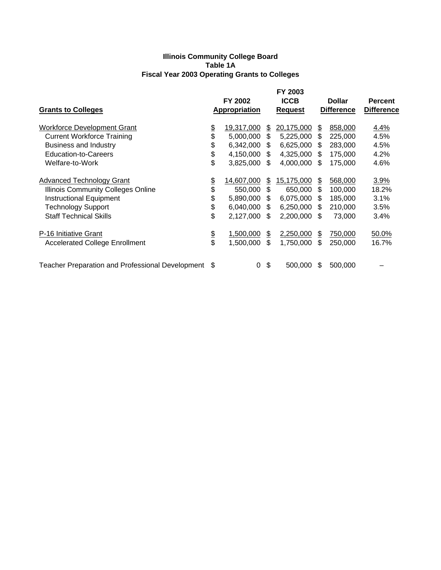#### **Illinois Community College Board Table 1A Fiscal Year 2003 Operating Grants to Colleges**

| <b>Grants to Colleges</b>                               |               | FY 2002<br><b>Appropriation</b> |      | FY 2003<br><b>ICCB</b><br><b>Request</b> |               | <b>Dollar</b><br><b>Difference</b> | <b>Percent</b><br><b>Difference</b> |
|---------------------------------------------------------|---------------|---------------------------------|------|------------------------------------------|---------------|------------------------------------|-------------------------------------|
| <b>Workforce Development Grant</b>                      | \$            | 19,317,000                      | S.   | 20,175,000                               | $\frac{2}{3}$ | 858,000                            | 4.4%                                |
| <b>Current Workforce Training</b>                       | \$            | 5,000,000                       | \$   | 5,225,000                                | \$            | 225,000                            | 4.5%                                |
| <b>Business and Industry</b>                            | \$            | 6,342,000                       | \$   | 6,625,000                                | \$            | 283,000                            | 4.5%                                |
| <b>Education-to-Careers</b>                             | \$            | 4,150,000                       | \$   | 4,325,000                                | \$            | 175,000                            | 4.2%                                |
| Welfare-to-Work                                         | \$            | 3,825,000                       | - \$ | 4,000,000                                | \$.           | 175,000                            | 4.6%                                |
| <b>Advanced Technology Grant</b>                        | \$            | 14,607,000                      | \$   | 15,175,000                               | \$            | 568,000                            | 3.9%                                |
| <b>Illinois Community Colleges Online</b>               | \$            | 550,000                         | \$   | 650,000                                  | \$            | 100,000                            | 18.2%                               |
| Instructional Equipment                                 | \$            | 5,890,000                       | \$   | 6,075,000                                | \$            | 185,000                            | 3.1%                                |
| <b>Technology Support</b>                               | \$            | 6,040,000                       | - \$ | 6,250,000                                | \$.           | 210,000                            | 3.5%                                |
| <b>Staff Technical Skills</b>                           | \$            | 2,127,000                       | \$.  | 2,200,000                                | \$.           | 73,000                             | 3.4%                                |
| P-16 Initiative Grant                                   | $\frac{6}{3}$ | 1,500,000                       | \$   | 2,250,000                                | \$            | 750,000                            | 50.0%                               |
| <b>Accelerated College Enrollment</b>                   |               | 1,500,000                       | \$   | 1,750,000                                | \$            | 250,000                            | 16.7%                               |
| <b>Teacher Preparation and Professional Development</b> | - \$          | 0                               | \$   | 500,000                                  | \$            | 500,000                            |                                     |
|                                                         |               |                                 |      |                                          |               |                                    |                                     |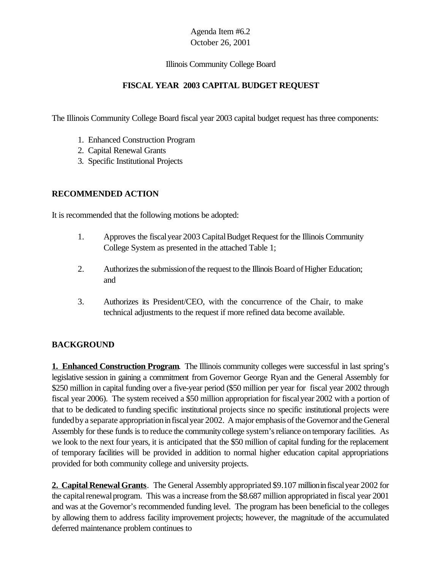#### Illinois Community College Board

## **FISCAL YEAR 2003 CAPITAL BUDGET REQUEST**

The Illinois Community College Board fiscal year 2003 capital budget request has three components:

- 1. Enhanced Construction Program
- 2. Capital Renewal Grants
- 3. Specific Institutional Projects

## **RECOMMENDED ACTION**

It is recommended that the following motions be adopted:

- 1. Approves the fiscal year 2003 Capital Budget Request for the Illinois Community College System as presented in the attached Table 1;
- 2. Authorizes the submission of the request to the Illinois Board of Higher Education; and
- 3. Authorizes its President/CEO, with the concurrence of the Chair, to make technical adjustments to the request if more refined data become available.

## **BACKGROUND**

**1. Enhanced Construction Program**. The Illinois community colleges were successful in last spring's legislative session in gaining a commitment from Governor George Ryan and the General Assembly for \$250 million in capital funding over a five-year period (\$50 million per year for fiscal year 2002 through fiscal year 2006). The system received a \$50 million appropriation for fiscalyear 2002 with a portion of that to be dedicated to funding specific institutional projects since no specific institutional projects were funded by a separate appropriation in fiscal year 2002. A major emphasis of the Governor and the General Assembly for these funds is to reduce the community college system's reliance on temporary facilities. As we look to the next four years, it is anticipated that the \$50 million of capital funding for the replacement of temporary facilities will be provided in addition to normal higher education capital appropriations provided for both community college and university projects.

**2. Capital Renewal Grants**. The General Assembly appropriated \$9.107 millioninfiscalyear 2002 for the capital renewal program. This was a increase from the \$8.687 million appropriated in fiscal year 2001 and was at the Governor's recommended funding level. The program has been beneficial to the colleges by allowing them to address facility improvement projects; however, the magnitude of the accumulated deferred maintenance problem continues to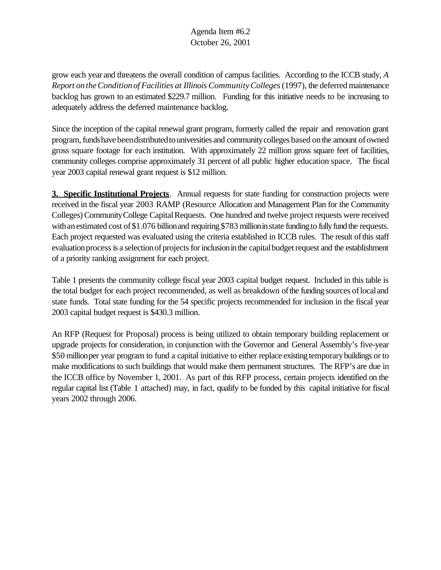grow each year and threatens the overall condition of campus facilities. According to the ICCB study, *A Report ontheConditionof Facilities at Illinois CommunityColleges*(1997), the deferred maintenance backlog has grown to an estimated \$229.7 million. Funding for this initiative needs to be increasing to adequately address the deferred maintenance backlog.

Since the inception of the capital renewal grant program, formerly called the repair and renovation grant program, funds have been distributed to universities and community colleges based on the amount of owned gross square footage for each institution. With approximately 22 million gross square feet of facilities, community colleges comprise approximately 31 percent of all public higher education space. The fiscal year 2003 capital renewal grant request is \$12 million.

**3. Specific Institutional Projects**. Annual requests for state funding for construction projects were received in the fiscal year 2003 RAMP (Resource Allocation and Management Plan for the Community Colleges) Community College Capital Requests. One hundred and twelve project requests were received with an estimated cost of \$1.076 billion and requiring \$783 million in state funding to fully fund the requests. Each project requested was evaluated using the criteria established in ICCB rules. The result ofthis staff evaluation process is a selection of projects for inclusion in the capital budget request and the establishment of a priority ranking assignment for each project.

Table 1 presents the community college fiscal year 2003 capital budget request. Included in this table is the total budget for each project recommended, as well as breakdown of the funding sources of local and state funds. Total state funding for the 54 specific projects recommended for inclusion in the fiscal year 2003 capital budget request is \$430.3 million.

An RFP (Request for Proposal) process is being utilized to obtain temporary building replacement or upgrade projects for consideration, in conjunction with the Governor and General Assembly's five-year \$50 millionper year program to fund a capital initiative to either replace existing temporarybuildings or to make modifications to such buildings that would make them permanent structures. The RFP's are due in the ICCB office by November 1, 2001. As part of this RFP process, certain projects identified on the regular capital list (Table 1 attached) may, in fact, qualify to be funded by this capital initiative for fiscal years 2002 through 2006.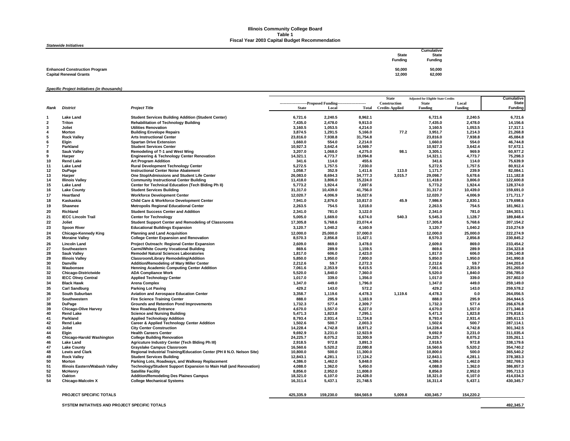#### **Illinois Community College Board Table 1 Fiscal Year 2003 Capital Budget Recommendation**

#### *Statewide Initiatives*

| <b>URICWIUC IIIIUAUVCJ</b>           |                |                |
|--------------------------------------|----------------|----------------|
|                                      |                | Cumulative     |
|                                      | <b>State</b>   | State          |
|                                      | <b>Funding</b> | <b>Funding</b> |
|                                      |                |                |
| <b>Enhanced Construction Program</b> | 50,000         | 50,000         |
| <b>Capital Renewal Grants</b>        | 12,000         | 62,000         |
|                                      |                |                |

*Specific Project Initiatives (in thousands)*

|          |                                                  |                                                                                                 |                                                              |                    |                     | <b>State</b>           | <b>Adjusted for Eligible State Credits</b> |                    | <b>Cumulative</b>      |
|----------|--------------------------------------------------|-------------------------------------------------------------------------------------------------|--------------------------------------------------------------|--------------------|---------------------|------------------------|--------------------------------------------|--------------------|------------------------|
|          |                                                  |                                                                                                 | ----------------------Proposed Funding---------------------- |                    |                     | Construction           | <b>State</b>                               | Local              | <b>State</b>           |
| Rank     | <b>District</b>                                  | <b>Project Title</b>                                                                            | <b>State</b>                                                 | Local              | Total               | <b>Credits Applied</b> | <b>Funding</b>                             | Funding            | <b>Funding</b>         |
| 1        | Lake Land                                        | <b>Student Services Building Addition (Student Center)</b>                                      | 6,721.6                                                      | 2,240.5            | 8,962.1             |                        | 6,721.6                                    | 2,240.5            | 6,721.6                |
| 2        | Triton                                           | <b>Rehabilitation of Technology Building</b>                                                    | 7,435.0                                                      | 2,478.0            | 9,913.0             |                        | 7,435.0                                    | 2,478.0            | 14,156.6               |
| 3        | Joliet                                           | <b>Utilities Renovation</b>                                                                     | 3,160.5                                                      | 1,053.5            | 4,214.0             |                        | 3,160.5                                    | 1,053.5            | 17,317.1               |
| 4        | Morton                                           | <b>Building Envelope Repairs</b>                                                                | 3.874.5                                                      | 1,291.5            | 5,166.0             | 77.2                   | 3,951.7                                    | 1,214.3            | 21,268.8               |
| 5        | <b>Rock Valley</b>                               | <b>Arts Instructional Center</b>                                                                | 23,816.0                                                     | 7,938.8            | 31,754.8            |                        | 23,816.0                                   | 7,938.8            | 45,084.8               |
|          | Elgin                                            | <b>Spartan Drive Extension</b>                                                                  | 1,660.0                                                      | 554.0              | 2,214.0             |                        | 1,660.0                                    | 554.0              | 46,744.8               |
|          | Parkland                                         | <b>Student Services Center</b>                                                                  | 10,927.3                                                     | 3,642.4            | 14,569.7            |                        | 10,927.3                                   | 3,642.4            | 57,672.1               |
| 8        | <b>Sauk Valley</b>                               | Remodeling of T-1 and West Wing                                                                 | 3,207.0                                                      | 1,068.0            | 4,275.0             | 98.1                   | 3,305.1                                    | 969.9              | 60,977.2               |
|          | Harper                                           | <b>Engineering &amp; Technology Center Renovation</b>                                           | 14,321.1                                                     | 4,773.7            | 19.094.8            |                        | 14,321.1                                   | 4,773.7            | 75,298.3               |
| 10       | <b>Rend Lake</b>                                 | <b>Art Program Addition</b>                                                                     | 341.6                                                        | 114.0              | 455.6               |                        | 341.6                                      | 114.0              | 75,639.9               |
| 11       | <b>Lake Land</b>                                 | <b>Rural Development Technology Center</b>                                                      | 5,272.5                                                      | 1,757.5            | 7.030.0             |                        | 5,272.5                                    | 1,757.5            | 80,912.4               |
| 12       | <b>DuPage</b>                                    | <b>Instructional Center Noise Abatement</b>                                                     | 1,058.7                                                      | 352.9              | 1,411.6             | 113.0                  | 1,171.7                                    | 239.9              | 82,084.1               |
| 13       | Harper                                           | One Stop/Admissions and Student Life Center                                                     | 26,083.0                                                     | 8,694.3            | 34,777.3            | 3,015.7                | 29,098.7                                   | 5,678.6            | 111,182.8              |
| 14       | <b>Illinois Valley</b>                           | <b>Community Instructional Center Building</b>                                                  | 11.418.0                                                     | 3.806.0            | 15.224.0            |                        | 11.418.0                                   | 3.806.0            | 122.600.8              |
| 15       | Lake Land                                        | Center for Technical Education (Tech Blding Ph II)                                              | 5,773.2                                                      | 1,924.4            | 7,697.6             |                        | 5,773.2                                    | 1,924.4            | 128,374.0              |
| 16       | <b>Lake County</b>                               | <b>Student Services Building</b>                                                                | 31,317.0                                                     | 10,439.0           | 41,756.0            |                        | 31,317.0                                   | 10,439.0           | 159,691.0              |
| 17       | Heartland                                        | <b>Workforce Development Center</b>                                                             | 12,020.7                                                     | 4,006.9            | 16,027.6            |                        | 12,020.7                                   | 4,006.9            | 171,711.7              |
| 18       | Kaskaskia                                        | <b>Child Care &amp; Workforce Development Center</b>                                            | 7,941.0                                                      | 2,876.0            | 10,817.0            | 45.9                   | 7,986.9                                    | 2,830.1            | 179,698.6              |
| 19       | Shawnee                                          | <b>Metropolis Regional Educational Center</b>                                                   | 2,263.5                                                      | 754.5              | 3,018.0             |                        | 2,263.5                                    | 754.5              | 181,962.1              |
| 20       | <b>Richland</b>                                  | <b>Student Success Center and Addition</b>                                                      | 2,341.0                                                      | 781.0              | 3,122.0             |                        | 2,341.0                                    | 781.0              | 184,303.1              |
| 21       | <b>IECC Lincoln Trail</b>                        | <b>Center for Technology</b>                                                                    | 5,005.0                                                      | 1,669.0            | 6,674.0             | 540.3                  | 5,545.3                                    | 1,128.7            | 189,848.4              |
| 22       | Joliet                                           | <b>Student Support Center and Remodeling of Classrooms</b>                                      | 17,305.8                                                     | 5,768.6            | 23,074.4            |                        | 17,305.8                                   | 5,768.6            | 207,154.2              |
| 23       | <b>Spoon River</b>                               | <b>Educational Buildings Expansion</b>                                                          | 3,120.7                                                      | 1,040.2            | 4,160.9             |                        | 3,120.7                                    | 1,040.2            | 210,274.9              |
| 24       | Chicago-Kennedy King                             | <b>Planning and Land Acquisition</b>                                                            | 12.000.0                                                     | 25.000.0           | 37.000.0            |                        | 12.000.0                                   | 25.000.0           | 222.274.9              |
| 25       | <b>Moraine Valley</b>                            | <b>College Center Expansion and Renovation</b>                                                  | 8,570.3                                                      | 2,856.8            | 11,427.1            |                        | 8,570.3                                    | 2,856.8            | 230,845.2              |
| 26       | <b>Lincoln Land</b>                              | Project Outreach: Regional Center Expansion                                                     | 2,609.0                                                      | 869.0              | 3,478.0             |                        | 2,609.0                                    | 869.0              | 233,454.2              |
| 27       | Southeastern                                     | <b>Carmi/White County Vocational Building</b>                                                   | 869.6                                                        | 289.9              | 1.159.5             |                        | 869.6                                      | 289.9              | 234.323.8              |
| 28       | <b>Sauk Valley</b>                               | <b>Remodel Natural Sciences Laboratories</b>                                                    | 1,817.0                                                      | 606.0              | 2,423.0             |                        | 1,817.0                                    | 606.0              | 236,140.8              |
| 29       | <b>Illinois Valley</b>                           | Classroom/Library Remodeling/Addition                                                           | 5,850.0                                                      | 1,950.0            | 7,800.0             |                        | 5,850.0                                    | 1,950.0            | 241,990.8              |
| 30       | Danville                                         | Addition/Remodeling of Mary Miller Center                                                       | 2,212.6                                                      | 59.7               | 2,272.3             |                        | 2,212.6                                    | 59.7               | 244,203.4              |
| 31       | Waubonsee                                        | <b>Henning Academic Computing Center Addition</b>                                               | 7.061.6                                                      | 2.353.9            | 9.415.5             |                        | 7,061.6                                    | 2.353.9            | 251.265.0              |
| 32       | <b>Chicago-Districtwide</b>                      | <b>ADA Compliance Work</b>                                                                      | 5,520.0                                                      | 1,840.0            | 7,360.0             |                        | 5,520.0                                    | 1,840.0            | 256,785.0              |
| 33       | <b>IECC Olney Central</b>                        | <b>Applied Technology Center</b>                                                                | 1,017.0                                                      | 339.0              | 1,356.0             |                        | 1,017.0                                    | 339.0              | 257,802.0              |
| 34       | <b>Black Hawk</b>                                | <b>Arena Complex</b>                                                                            | 1,347.0                                                      | 449.0              | 1,796.0             |                        | 1,347.0                                    | 449.0              | 259,149.0              |
| 35       | <b>Carl Sandburg</b>                             | <b>Parking Lot Paving</b>                                                                       | 429.2                                                        | 143.0              | 572.2               |                        | 429.2                                      | 143.0              | 259,578.2              |
| 36       | South Suburban                                   | Aviation and Aerospace Education Center                                                         | 3,358.7                                                      | 1,119.6            | 4,478.3             | 1,119.6                | 4,478.3                                    | 0.0                | 264,056.5              |
| 37       | Southwestern                                     | <b>Fire Science Training Center</b>                                                             | 888.0                                                        | 295.9              | 1.183.9             |                        | 888.0                                      | 295.9              | 264.944.5              |
| 38       | <b>DuPage</b>                                    | <b>Grounds and Retention Pond Improvements</b>                                                  | 1,732.3                                                      | 577.4              | 2,309.7             |                        | 1,732.3                                    | 577.4              | 266,676.8              |
| 39       | <b>Chicago-Olive Harvey</b>                      | <b>New Roadway Entrance</b>                                                                     | 4,670.0                                                      | 1,557.0            | 6,227.0             |                        | 4,670.0                                    | 1,557.0            | 271,346.8              |
| 40       | <b>Rend Lake</b>                                 | <b>Science and Nursing Building</b>                                                             | 5.471.3                                                      | 1,823.8            | 7,295.1             |                        | 5,471.3                                    | 1.823.8            | 276,818.1              |
| 41       | Parkland                                         | <b>Applied Technology Addition</b>                                                              | 8,793.4                                                      | 2,931.4            | 11,724.8            |                        | 8,793.4                                    | 2.931.4            | 285.611.5              |
| 42       | <b>Rend Lake</b>                                 | <b>Career &amp; Applied Technology Center Addition</b>                                          | 1,502.6                                                      | 500.7              | 2,003.3             |                        | 1,502.6                                    | 500.7              | 287,114.1              |
| 43       | Joliet                                           | <b>City Center Construction</b>                                                                 | 14,228.4                                                     | 4,742.8            | 18,971.2            |                        | 14,228.4                                   | 4,742.8            | 301,342.5              |
| 44       | Elgin                                            | <b>Health Careers Center</b>                                                                    | 9,692.9                                                      | 3,231.0            | 12,923.9            |                        | 9,692.9                                    | 3,231.0            | 311,035.4              |
| 45       | <b>Chicago-Harold Washington</b>                 | <b>College Building Renovation</b>                                                              | 24.225.7                                                     | 8.075.2            | 32.300.9            |                        | 24,225.7                                   | 8.075.2            | 335,261.1              |
| 46       | Lake Land                                        | Agricuture Industry Center (Tech Blding Ph III)                                                 | 2,918.5                                                      | 972.8              | 3,891.3             |                        | 2,918.5                                    | 972.8              | 338,179.6              |
| 47       | <b>Lake County</b>                               | <b>Grayslake Campus Classroom</b>                                                               | 16,560.6                                                     | 5,520.2            | 22,080.8            |                        | 16,560.6                                   | 5,520.2            | 354,740.2              |
| 48       | <b>Lewis and Clark</b>                           | Regional Industrial Training/Education Center (PH II N.O. Nelson Site)                          | 10,800.0                                                     | 500.0              | 11,300.0            |                        | 10,800.0                                   | 500.0              | 365,540.2              |
| 49<br>50 | <b>Rock Valley</b>                               | <b>Student Services Building</b>                                                                | 12,843.1                                                     | 4,281.1            | 17,124.2<br>5,848.0 |                        | 12,843.1                                   | 4,281.1            | 378,383.3<br>382,769.3 |
| 51       | Morton                                           | Parking Lots, Roadways, and Walkway Replacement                                                 | 4,386.0<br>4,088.0                                           | 1,462.0<br>1,362.0 | 5,450.0             |                        | 4,386.0<br>4,088.0                         | 1,462.0<br>1,362.0 | 386,857.3              |
| 52       | Illinois Eastern/Wabash Valley<br><b>McHenry</b> | Technology/Student Support Expansion to Main Hall (and Renovation)<br><b>Satellite Facility</b> | 8,856.0                                                      | 2,952.0            | 11,808.0            |                        | 8,856.0                                    | 2,952.0            | 395,713.3              |
| 53       | Oakton                                           | <b>Addition/Remodeling Des Plaines Campus</b>                                                   | 18,321.0                                                     | 6,107.0            | 24,428.0            |                        | 18,321.0                                   | 6,107.0            | 414,034.3              |
| 54       | Chicago-Malcolm X                                | <b>College Mechanical Systems</b>                                                               | 16,311.4                                                     | 5,437.1            | 21,748.5            |                        | 16,311.4                                   | 5,437.1            | 430,345.7              |
|          |                                                  |                                                                                                 |                                                              |                    |                     |                        |                                            |                    |                        |
|          |                                                  |                                                                                                 |                                                              |                    |                     |                        |                                            |                    |                        |
|          | PROJECT SPECIFIC TOTALS                          |                                                                                                 | 425,335.9                                                    | 159,230.0          | 584,565.9           | 5,009.8                | 430,345.7                                  | 154,220.2          |                        |

**SYSTEM INITIATIVES AND PROJECT SPECIFIC TOTALS 492,345.7**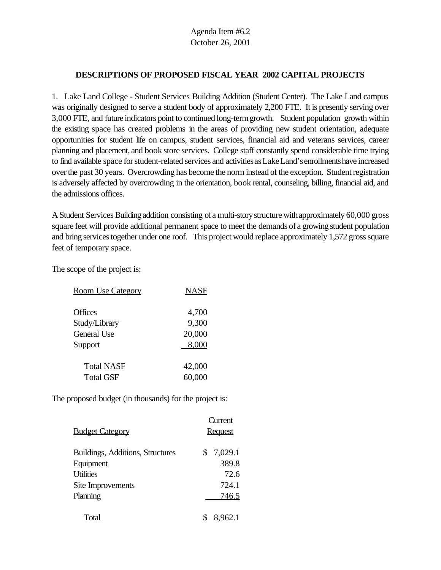## **DESCRIPTIONS OF PROPOSED FISCAL YEAR 2002 CAPITAL PROJECTS**

1. Lake Land College - Student Services Building Addition (Student Center). The Lake Land campus was originally designed to serve a student body of approximately 2,200 FTE. It is presently serving over 3,000 FTE, and future indicators point to continued long-termgrowth. Student population growth within the existing space has created problems in the areas of providing new student orientation, adequate opportunities for student life on campus, student services, financial aid and veterans services, career planning and placement, and book store services. College staff constantly spend considerable time trying to find available space for student-related services and activities as Lake Land's enrollments have increased over the past 30 years. Overcrowding has become the norm instead of the exception. Student registration is adversely affected by overcrowding in the orientation, book rental, counseling, billing, financial aid, and the admissions offices.

A Student Services Building addition consisting of a multi-story structure with approximately 60,000 gross square feet will provide additional permanent space to meet the demands of a growing student population and bring services together under one roof. This project would replace approximately 1,572 gross square feet of temporary space.

The scope of the project is:

| <b>Room Use Category</b> | <b>NASF</b> |
|--------------------------|-------------|
|                          |             |
| Offices                  | 4,700       |
| Study/Library            | 9,300       |
| <b>General Use</b>       | 20,000      |
| Support                  | 8,000       |
|                          |             |
| <b>Total NASF</b>        | 42,000      |
| <b>Total GSF</b>         | 60,000      |

|                                         | Current        |
|-----------------------------------------|----------------|
| <b>Budget Category</b>                  | <b>Request</b> |
| <b>Buildings, Additions, Structures</b> | \$7,029.1      |
| Equipment                               | 389.8          |
| <b>Utilities</b>                        | 72.6           |
| Site Improvements                       | 724.1          |
| Planning                                | 746.5          |
| Total                                   | 8,962.1        |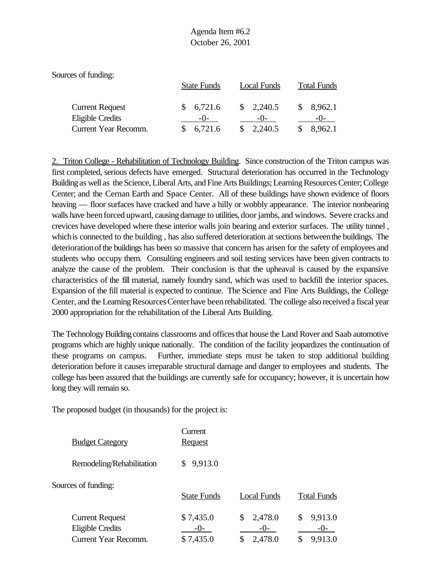| Sources of funding:                               |                    |                               |                    |
|---------------------------------------------------|--------------------|-------------------------------|--------------------|
|                                                   | <b>State Funds</b> | Local Funds                   | <b>Total Funds</b> |
| <b>Current Request</b><br><b>Eligible Credits</b> | 6,721.6<br>$-()$   | $\frac{\$}{2,240.5}$<br>$-()$ | 8,962.1            |
| Current Year Recomm.                              | 6,721.6            | 2,240.5                       | 8,962.1            |

2. Triton College - Rehabilitation of Technology Building. Since construction of the Triton campus was first completed, serious defects have emerged. Structural deterioration has occurred in the Technology Buildingas well as the Science, Liberal Arts, and Fine Arts Buildings; Learning Resources Center; College Center; and the Cernan Earth and Space Center. All of these buildings have shown evidence of floors heaving — floor surfaces have cracked and have a hilly or wobbly appearance. The interior nonbearing walls have been forced upward, causing damage to utilities, door jambs, and windows. Severe cracks and crevices have developed where these interior walls join bearing and exterior surfaces. The utility tunnel , which is connected to the building, has also suffered deterioration at sections between the buildings. The deteriorationofthe buildings has been so massive that concern has arisen for the safety of employees and students who occupy them. Consulting engineers and soil testing services have been given contracts to analyze the cause of the problem. Their conclusion is that the upheaval is caused by the expansive characteristics of the fill material, namely foundry sand, which was used to backfill the interior spaces. Expansion of the fill material is expected to continue. The Science and Fine Arts Buildings, the College Center, and the Learning Resources Center have been rehabilitated. The college also received a fiscal year 2000 appropriation for the rehabilitation of the Liberal Arts Building.

The Technology Building contains classrooms and offices that house the Land Rover and Saab automotive programs which are highly unique nationally. The condition of the facility jeopardizes the continuation of these programs on campus. Further, immediate steps must be taken to stop additional building deterioration before it causes irreparable structural damage and danger to employees and students. The college has been assured that the buildings are currently safe for occupancy; however, it is uncertain how long they will remain so.

|                           | Current            |               |                    |
|---------------------------|--------------------|---------------|--------------------|
| <b>Budget Category</b>    | <b>Request</b>     |               |                    |
| Remodeling/Rehabilitation | 9,913.0<br>S.      |               |                    |
| Sources of funding:       |                    |               |                    |
|                           | <b>State Funds</b> | Local Funds   | <b>Total Funds</b> |
| <b>Current Request</b>    | \$7,435.0          | 2,478.0<br>\$ | 9,913.0            |
| <b>Eligible Credits</b>   | $-()$ -            | $-()$ -       | $-()$ -            |
| Current Year Recomm.      | \$7,435.0          | 2,478.0<br>\$ | 9,913.0            |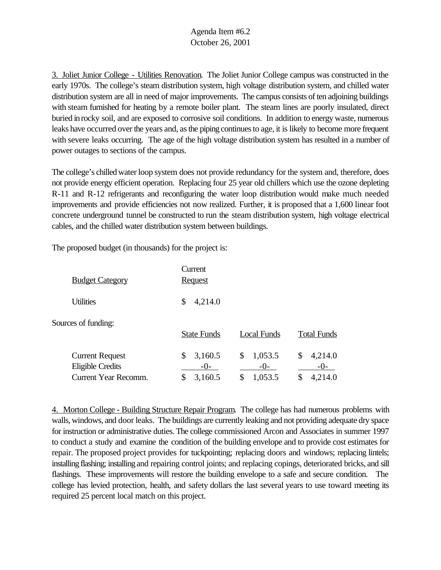3. Joliet Junior College - Utilities Renovation. The Joliet Junior College campus was constructed in the early 1970s. The college's steam distribution system, high voltage distribution system, and chilled water distribution system are all in need of major improvements. The campus consists of ten adjoining buildings with steam furnished for heating by a remote boiler plant. The steam lines are poorly insulated, direct buried inrocky soil, and are exposed to corrosive soil conditions. In addition to energy waste, numerous leaks have occurred over the years and, as the piping continues to age, it is likely to become more frequent with severe leaks occurring. The age of the high voltage distribution system has resulted in a number of power outages to sections of the campus.

The college's chilledwater loop system does not provide redundancy for the system and, therefore, does not provide energy efficient operation. Replacing four 25 year old chillers which use the ozone depleting R-11 and R-12 refrigerants and reconfiguring the water loop distribution would make much needed improvements and provide efficiencies not now realized. Further, it is proposed that a 1,600 linear foot concrete underground tunnel be constructed to run the steam distribution system, high voltage electrical cables, and the chilled water distribution system between buildings.

The proposed budget (in thousands) for the project is:

| <b>Budget Category</b>                                                           | Current<br><b>Request</b>               |                                         |                                   |
|----------------------------------------------------------------------------------|-----------------------------------------|-----------------------------------------|-----------------------------------|
| <b>Utilities</b>                                                                 | 4,214.0<br>\$                           |                                         |                                   |
| Sources of funding:                                                              | <b>State Funds</b>                      | Local Funds                             | <b>Total Funds</b>                |
| <b>Current Request</b><br><b>Eligible Credits</b><br><b>Current Year Recomm.</b> | 3,160.5<br>\$<br>$-0-$<br>\$<br>3,160.5 | \$<br>1,053.5<br>$-()$<br>\$<br>1,053.5 | 4,214.0<br>\$<br>$-()$<br>4,214.0 |

4. Morton College - Building Structure Repair Program. The college has had numerous problems with walls, windows, and door leaks. The buildings are currently leaking and not providing adequate dry space for instruction or administrative duties. The college commissioned Arcon and Associates in summer 1997 to conduct a study and examine the condition of the building envelope and to provide cost estimates for repair. The proposed project provides for tuckpointing; replacing doors and windows; replacing lintels; installing flashing; installing and repairing control joints; and replacing copings, deteriorated bricks, and sill flashings. These improvements will restore the building envelope to a safe and secure condition. The college has levied protection, health, and safety dollars the last several years to use toward meeting its required 25 percent local match on this project.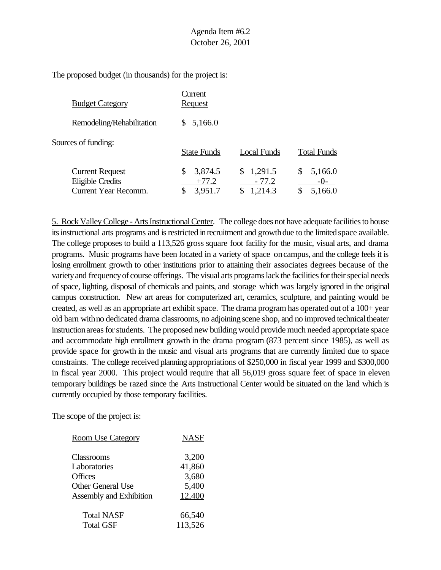The proposed budget (in thousands) for the project is:

| <b>Budget Category</b>                                                           | Current<br><u>Request</u>                 |                                 |                           |
|----------------------------------------------------------------------------------|-------------------------------------------|---------------------------------|---------------------------|
| Remodeling/Rehabilitation                                                        | 5,166.0<br>S.                             |                                 |                           |
| Sources of funding:                                                              | <b>State Funds</b>                        | <b>Local Funds</b>              | <b>Total Funds</b>        |
| <b>Current Request</b><br><b>Eligible Credits</b><br><b>Current Year Recomm.</b> | 3,874.5<br>\$<br>$+77.2$<br>3,951.7<br>\$ | \$1,291.5<br>$-77.2$<br>1,214.3 | 5,166.0<br>-0-<br>5,166.0 |

5. Rock Valley College - Arts Instructional Center. The college does not have adequate facilities to house its instructional arts programs and is restricted in recruitment and growth due to the limited space available. The college proposes to build a 113,526 gross square foot facility for the music, visual arts, and drama programs. Music programs have been located in a variety of space oncampus, and the college feels it is losing enrollment growth to other institutions prior to attaining their associates degrees because of the varietyand frequencyof course offerings. The visual arts programs lack the facilities for their special needs of space, lighting, disposal of chemicals and paints, and storage which was largely ignored in the original campus construction. New art areas for computerized art, ceramics, sculpture, and painting would be created, as well as an appropriate art exhibit space. The drama program has operated out of a 100+ year old barn with no dedicated drama classrooms, no adjoining scene shop, and no improved technical theater instruction areas for students. The proposed new building would provide much needed appropriate space and accommodate high enrollment growth in the drama program (873 percent since 1985), as well as provide space for growth in the music and visual arts programs that are currently limited due to space constraints. The college received planning appropriations of \$250,000 in fiscal year 1999 and \$300,000 in fiscal year 2000. This project would require that all 56,019 gross square feet of space in eleven temporary buildings be razed since the Arts Instructional Center would be situated on the land which is currently occupied by those temporary facilities.

| <b>Room Use Category</b>       | <b>NASF</b> |
|--------------------------------|-------------|
|                                |             |
| Classrooms                     | 3,200       |
| Laboratories                   | 41,860      |
| <b>Offices</b>                 | 3,680       |
| <b>Other General Use</b>       | 5,400       |
| <b>Assembly and Exhibition</b> | 12,400      |
| <b>Total NASF</b>              | 66,540      |
| <b>Total GSF</b>               | 113,526     |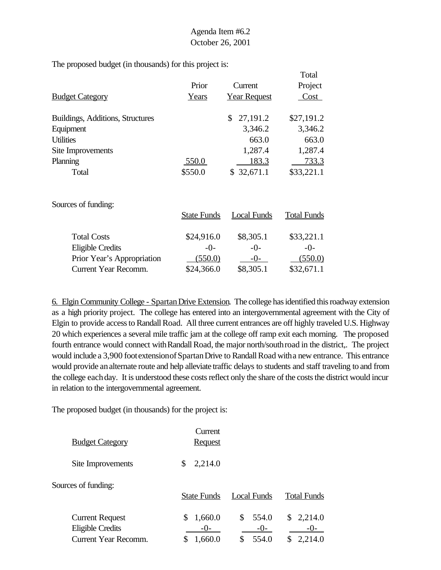The proposed budget (in thousands) for this project is:

|                                  |         |                     | Total      |
|----------------------------------|---------|---------------------|------------|
|                                  | Prior   | Current             | Project    |
| <b>Budget Category</b>           | Years   | <b>Year Request</b> | Cost       |
|                                  |         |                     |            |
| Buildings, Additions, Structures |         | 27,191.2<br>S.      | \$27,191.2 |
| Equipment                        |         | 3,346.2             | 3,346.2    |
| <b>Utilities</b>                 |         | 663.0               | 663.0      |
| Site Improvements                |         | 1,287.4             | 1,287.4    |
| Planning                         | 550.0   | 183.3               | 733.3      |
| Total                            | \$550.0 | \$32,671.1          | \$33,221.1 |
|                                  |         |                     |            |

Sources of funding:

|                            | <b>State Funds</b> | <b>Local Funds</b> | <b>Total Funds</b> |
|----------------------------|--------------------|--------------------|--------------------|
| <b>Total Costs</b>         | \$24,916.0         | \$8,305.1          | \$33,221.1         |
| <b>Eligible Credits</b>    | $-()$              | $-0-$              | $-()$ -            |
| Prior Year's Appropriation | (550.0)            | $-()$              | (550.0)            |
| Current Year Recomm.       | \$24,366.0         | \$8,305.1          | \$32,671.1         |

6. Elgin Community College - SpartanDrive Extension. The college has identified this roadway extension as a high priority project. The college has entered into an intergovernmental agreement with the City of Elgin to provide access to Randall Road. All three current entrances are off highly traveled U.S. Highway 20 which experiences a several mile traffic jam at the college off ramp exit each morning. The proposed fourth entrance would connect with Randall Road, the major north/south road in the district,. The project would include a 3,900 foot extension of Spartan Drive to Randall Road with a new entrance. This entrance would provide analternate route and help alleviate traffic delays to students and staff traveling to and from the college eachday. It is understood these costs reflect only the share of the costs the district would incur in relation to the intergovernmental agreement.

| <b>Budget Category</b>                                                    | Current<br><b>Request</b>   |                                     |                                 |
|---------------------------------------------------------------------------|-----------------------------|-------------------------------------|---------------------------------|
| Site Improvements                                                         | \$<br>2,214.0               |                                     |                                 |
| Sources of funding:                                                       | <b>State Funds</b>          | Local Funds                         | <b>Total Funds</b>              |
| <b>Current Request</b><br>Eligible Credits<br><b>Current Year Recomm.</b> | 1,660.0<br>$-()$<br>1,660.0 | \$<br>554.0<br>$-0-$<br>\$<br>554.0 | \$2,214.0<br>$-()$ -<br>2,214.0 |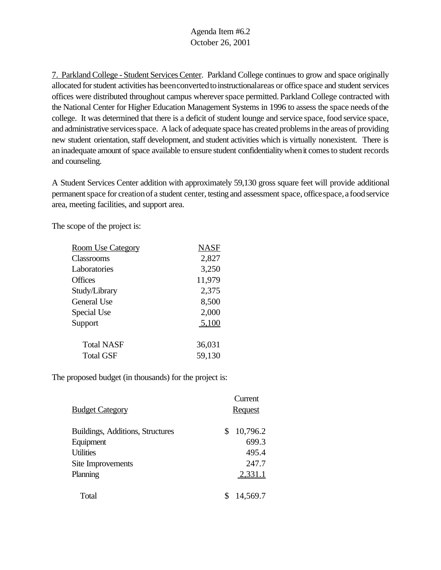7. Parkland College - Student Services Center. Parkland College continues to grow and space originally allocated for student activities has been converted to instructional areas or office space and student services offices were distributed throughout campus wherever space permitted. Parkland College contracted with the National Center for Higher Education Management Systems in 1996 to assess the space needs ofthe college. It was determined that there is a deficit of student lounge and service space, food service space, and administrative services space. A lack of adequate space has created problems in the areas of providing new student orientation, staff development, and student activities which is virtually nonexistent. There is aninadequate amount of space available to ensure student confidentialitywhenit comesto student records and counseling.

A Student Services Center addition with approximately 59,130 gross square feet will provide additional permanent space for creation of a student center, testing and assessment space, office space, a food service area, meeting facilities, and support area.

The scope of the project is:

| <b>Room Use Category</b> | <b>NASF</b> |
|--------------------------|-------------|
| Classrooms               | 2,827       |
| Laboratories             | 3,250       |
| <b>Offices</b>           | 11,979      |
| Study/Library            | 2,375       |
| General Use              | 8,500       |
| Special Use              | 2,000       |
| Support                  | 5,100       |
| <b>Total NASF</b>        | 36,031      |
| <b>Total GSF</b>         | 59,130      |

|                                  | Current        |
|----------------------------------|----------------|
| <b>Budget Category</b>           | <b>Request</b> |
| Buildings, Additions, Structures | 10,796.2<br>\$ |
| Equipment                        | 699.3          |
| <b>Utilities</b>                 | 495.4          |
| Site Improvements                | 247.7          |
| Planning                         | 2,331.1        |
| Total                            | 14,569.7       |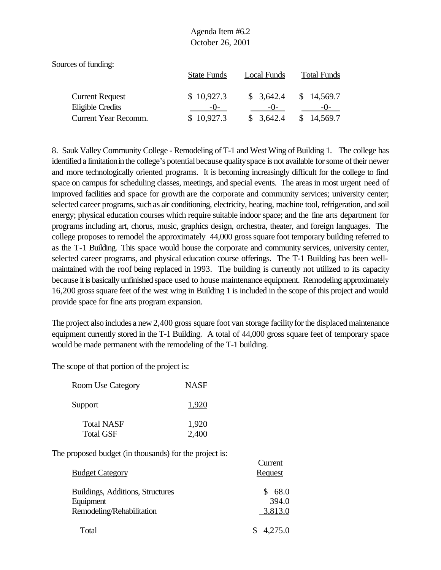Sources of funding:

|                        | <b>State Funds</b> | Local Funds | <b>Total Funds</b> |
|------------------------|--------------------|-------------|--------------------|
| <b>Current Request</b> | \$10,927.3         | \$3,642.4   | \$14,569.7         |
| Eligible Credits       | $-()$ -            | $-()$       | $-()$              |
| Current Year Recomm.   | \$10,927.3         | \$3,642.4   | \$14,569.7         |

8. Sauk Valley Community College - Remodeling of T-1 and West Wing of Building 1. The college has identified a limitation in the college's potential because quality space is not available for some of their newer and more technologically oriented programs. It is becoming increasingly difficult for the college to find space on campus for scheduling classes, meetings, and special events. The areas in most urgent need of improved facilities and space for growth are the corporate and community services; university center; selected career programs, such as air conditioning, electricity, heating, machine tool, refrigeration, and soil energy; physical education courses which require suitable indoor space; and the fine arts department for programs including art, chorus, music, graphics design, orchestra, theater, and foreign languages. The college proposes to remodel the approximately 44,000 grosssquare foot temporary building referred to as the T-1 Building. This space would house the corporate and community services, university center, selected career programs, and physical education course offerings. The T-1 Building has been wellmaintained with the roof being replaced in 1993. The building is currently not utilized to its capacity because it is basically unfinished space used to house maintenance equipment. Remodeling approximately 16,200 grosssquare feet of the west wing in Building 1 is included in the scope of this project and would provide space for fine arts program expansion.

The project also includes a new 2,400 gross square foot van storage facility for the displaced maintenance equipment currently stored in the T-1 Building. A total of 44,000 gross square feet of temporary space would be made permanent with the remodeling of the T-1 building.

**Current** 

The scope of that portion of the project is:

| <u>Room Use Category</u> | <b>NASF</b> |
|--------------------------|-------------|
| Support                  | 1.920       |
| <b>Total NASF</b>        | 1,920       |
| <b>Total GSF</b>         | 2,400       |

| <b>Budget Category</b>                                                     | <b>Request</b>           |
|----------------------------------------------------------------------------|--------------------------|
| Buildings, Additions, Structures<br>Equipment<br>Remodeling/Rehabilitation | 68.0<br>394.0<br>3,813.0 |
| Total                                                                      | 4,275.0                  |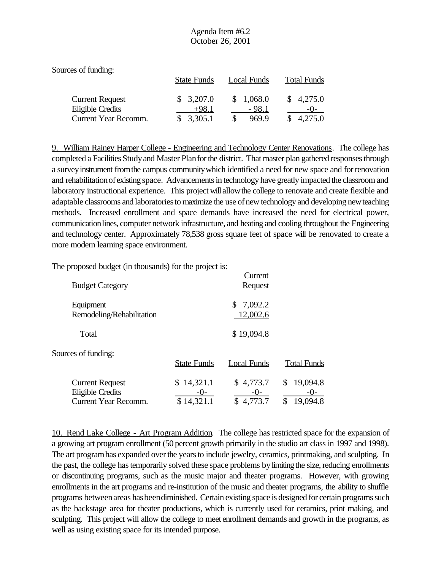| Sources of funding:    |                    |             |                    |
|------------------------|--------------------|-------------|--------------------|
|                        | <b>State Funds</b> | Local Funds | <b>Total Funds</b> |
| <b>Current Request</b> | \$3,207.0          | \$1,068.0   | \$4,275.0          |
| Eligible Credits       | $+98.1$            | $-98.1$     | $-()$ -            |
| Current Year Recomm.   | \$3,305.1          | 969.9       | 4,275.0            |

9. William Rainey Harper College - Engineering and Technology Center Renovations. The college has completed a Facilities Study and Master Plan for the district. That master plan gathered responses through a survey instrument from the campus community which identified a need for new space and for renovation and rehabilitationof existing space. Advancements in technology have greatly impacted the classroom and laboratory instructional experience. This project will allowthe college to renovate and create flexible and adaptable classrooms and laboratories to maximize the use of new technology and developing new teaching methods. Increased enrollment and space demands have increased the need for electrical power, communication lines, computer network infrastructure, and heating and cooling throughout the Engineering and technology center. Approximately 78,538 gross square feet of space will be renovated to create a more modern learning space environment.

Current

The proposed budget (in thousands) for the project is:

| <b>Budget Category</b>                                                    |                                   | Canoni<br><b>Request</b>        |                                     |
|---------------------------------------------------------------------------|-----------------------------------|---------------------------------|-------------------------------------|
| Equipment<br>Remodeling/Rehabilitation                                    |                                   | \$7,092.2<br>12,002.6           |                                     |
| Total                                                                     |                                   | \$19,094.8                      |                                     |
| Sources of funding:                                                       | <b>State Funds</b>                | <b>Local Funds</b>              | <b>Total Funds</b>                  |
| <b>Current Request</b><br>Eligible Credits<br><b>Current Year Recomm.</b> | 14,321.1<br>$-()$ -<br>\$14,321.1 | \$4,773.7<br>$-0-$<br>\$4,773.7 | 19,094.8<br>$-0-$<br>\$<br>19,094.8 |

10. Rend Lake College - Art Program Addition. The college has restricted space for the expansion of a growing art program enrollment (50 percent growth primarily in the studio art class in 1997 and 1998). The art program has expanded over the years to include jewelry, ceramics, printmaking, and sculpting. In the past, the college has temporarily solved these space problems by limiting the size, reducing enrollments or discontinuing programs, such as the music major and theater programs. However, with growing enrollments in the art programs and re-institution of the music and theater programs, the ability to shuffle programs between areas has been diminished. Certain existing space is designed for certain programs such as the backstage area for theater productions, which is currently used for ceramics, print making, and sculpting. This project will allow the college to meet enrollment demands and growth in the programs, as well as using existing space for its intended purpose.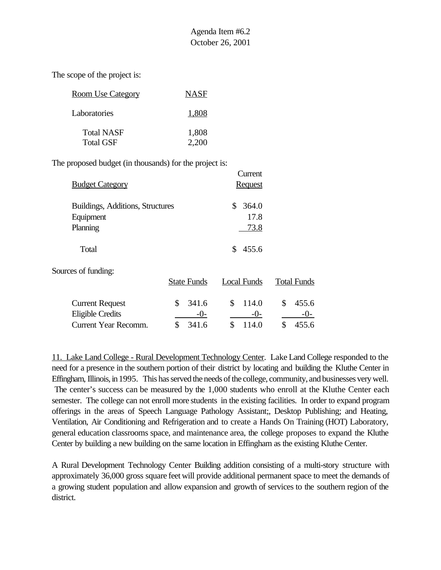The scope of the project is:

| <b>Room Use Category</b>              | <b>NASF</b>    |
|---------------------------------------|----------------|
| Laboratories                          | 1,808          |
| <b>Total NASF</b><br><b>Total GSF</b> | 1,808<br>2,200 |

The proposed budget (in thousands) for the project is:

|                                  |                    | Current            |                    |
|----------------------------------|--------------------|--------------------|--------------------|
| <b>Budget Category</b>           |                    | <b>Request</b>     |                    |
| Buildings, Additions, Structures |                    | \$<br>364.0        |                    |
| Equipment                        |                    | 17.8               |                    |
| Planning                         |                    | <u>73.8</u>        |                    |
| Total                            |                    | 455.6<br>\$.       |                    |
| Sources of funding:              |                    |                    |                    |
|                                  | <b>State Funds</b> | <b>Local Funds</b> | <b>Total Funds</b> |
| <b>Current Request</b>           | \$<br>341.6        | \$<br>114.0        | \$<br>455.6        |
| <b>Eligible Credits</b>          | $-()$ -            | $-()$              | $-()$ -            |
| <b>Current Year Recomm.</b>      | \$<br>341.6        | \$<br>114.0        | \$<br>455.6        |

11. Lake Land College - Rural Development Technology Center. Lake Land College responded to the need for a presence in the southern portion of their district by locating and building the Kluthe Center in Effingham, Illinois, in 1995. This has served the needs of the college, community, and businesses very well. The center's success can be measured by the 1,000 students who enroll at the Kluthe Center each semester. The college can not enroll more students in the existing facilities. In order to expand program offerings in the areas of Speech Language Pathology Assistant;, Desktop Publishing; and Heating, Ventilation, Air Conditioning and Refrigeration and to create a Hands On Training (HOT) Laboratory, general education classrooms space, and maintenance area, the college proposes to expand the Kluthe Center by building a new building on the same location in Effingham as the existing Kluthe Center.

A Rural Development Technology Center Building addition consisting of a multi-story structure with approximately 36,000 gross square feet will provide additional permanent space to meet the demands of a growing student population and allow expansion and growth of services to the southern region of the district.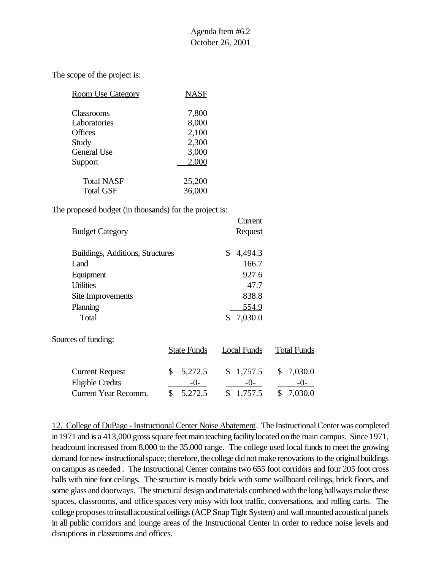The scope of the project is:

| <b>Room Use Category</b> | NASF   |
|--------------------------|--------|
| Classrooms               | 7,800  |
| Laboratories             | 8,000  |
| <b>Offices</b>           | 2,100  |
| Study                    | 2,300  |
| General Use              | 3,000  |
| Support                  | 2,000  |
| <b>Total NASF</b>        | 25,200 |
| <b>Total GSF</b>         | 36,000 |

The proposed budget (in thousands) for the project is:

|                                  | Current        |
|----------------------------------|----------------|
| <b>Budget Category</b>           | <b>Request</b> |
|                                  |                |
| Buildings, Additions, Structures | 4,494.3<br>\$  |
| Land                             | 166.7          |
| Equipment                        | 927.6          |
| <b>Utilities</b>                 | 47.7           |
| Site Improvements                | 838.8          |
| Planning                         | 554.9          |
| Total                            | 7,030.0        |

Sources of funding:

|                                          | <b>State Funds</b>   | Local Funds        | <b>Total Funds</b> |
|------------------------------------------|----------------------|--------------------|--------------------|
| <b>Current Request</b>                   | \$5,272.5            | \$1,757.5          | \$7,030.0          |
| Eligible Credits<br>Current Year Recomm. | $-()$ -<br>\$5.272.5 | $-()$<br>\$1,757.5 | $-()$<br>\$7,030.0 |

12. College of DuPage - Instructional Center Noise Abatement. The Instructional Center was completed in 1971 and is a 413,000 gross square feet main teaching facility located on the main campus. Since 1971, headcount increased from 8,000 to the 35,000 range. The college used local funds to meet the growing demand for new instructional space; therefore, the college did not make renovations to the original buildings oncampus as needed . The Instructional Center contains two 655 foot corridors and four 205 foot cross halls with nine foot ceilings. The structure is mostly brick with some wallboard ceilings, brick floors, and some glass and doorways. The structural design and materials combined with the long hallways make these spaces, classrooms, and office spaces very noisy with foot traffic, conversations, and rolling carts. The college proposes to install acoustical ceilings (ACP Snap Tight System) and wall mounted acoustical panels in all public corridors and lounge areas of the Instructional Center in order to reduce noise levels and disruptions in classrooms and offices.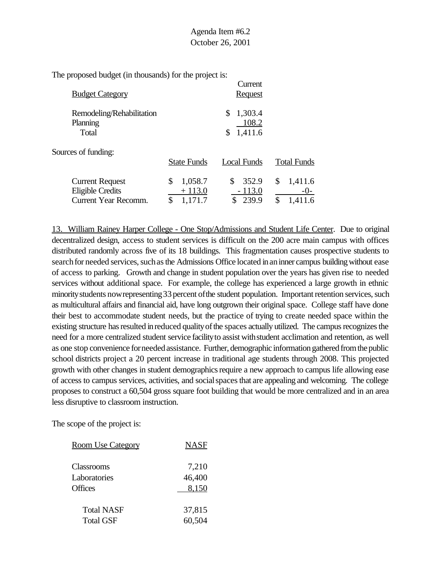| <b>Budget Category</b>                                                           |                                            | Current<br><b>Request</b>               |                                           |
|----------------------------------------------------------------------------------|--------------------------------------------|-----------------------------------------|-------------------------------------------|
| Remodeling/Rehabilitation<br>Planning<br>Total                                   |                                            | 1,303.4<br>\$<br>108.2<br>1,411.6<br>\$ |                                           |
| Sources of funding:                                                              | <b>State Funds</b>                         | Local Funds                             | <b>Total Funds</b>                        |
| <b>Current Request</b><br><b>Eligible Credits</b><br><b>Current Year Recomm.</b> | 1,058.7<br>\$<br>$+113.0$<br>\$<br>1,171.7 | \$<br>352.9<br>$-113.0$<br>239.9<br>\$  | \$<br>1,411.6<br>$-()$ -<br>\$<br>1,411.6 |

13. William Rainey Harper College - One Stop/Admissions and Student Life Center. Due to original decentralized design, access to student services is difficult on the 200 acre main campus with offices distributed randomly across five of its 18 buildings. This fragmentation causes prospective students to search for needed services, such as the Admissions Office located in an inner campus building without ease of access to parking. Growth and change in student population over the years has given rise to needed services without additional space. For example, the college has experienced a large growth in ethnic minority students now representing 33 percent of the student population. Important retention services, such as multicultural affairs and financial aid, have long outgrown their original space. College staff have done their best to accommodate student needs, but the practice of trying to create needed space within the existing structure has resulted in reduced quality of the spaces actually utilized. The campus recognizes the need for a more centralized student service facilityto assist withstudent acclimation and retention, as well as one stop convenience for needed assistance. Further, demographic information gathered from the public school districts project a 20 percent increase in traditional age students through 2008. This projected growth with other changes in student demographics require a new approach to campus life allowing ease of access to campus services, activities, and socialspacesthat are appealing and welcoming. The college proposes to construct a 60,504 gross square foot building that would be more centralized and in an area less disruptive to classroom instruction.

| <b>Room Use Category</b> | <b>NASF</b> |
|--------------------------|-------------|
| Classrooms               | 7,210       |
| Laboratories             | 46,400      |
| Offices                  | 8,150       |
| Total NASF               | 37,815      |
| <b>Total GSF</b>         | 60,504      |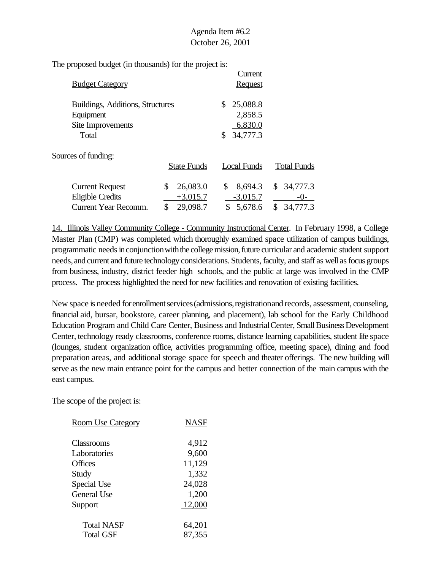| <b>Budget Category</b>                        |                    | Current<br><b>Request</b> |                    |
|-----------------------------------------------|--------------------|---------------------------|--------------------|
| Buildings, Additions, Structures<br>Equipment |                    | 25,088.8<br>S.<br>2,858.5 |                    |
| Site Improvements                             |                    | 6,830.0                   |                    |
| Total                                         |                    | 34,777.3                  |                    |
| Sources of funding:                           |                    |                           |                    |
|                                               | <b>State Funds</b> | Local Funds               | <b>Total Funds</b> |
| <b>Current Request</b>                        | 26,083.0<br>\$     | 8,694.3<br>\$             | \$34,777.3         |
| <b>Eligible Credits</b>                       | $+3,015.7$         | $-3,015.7$                | $-()$ -            |
| <b>Current Year Recomm.</b>                   | 29,098.7<br>\$     | 5,678.6<br>\$             | \$<br>34,777.3     |

14. Illinois Valley Community College - Community Instructional Center. In February 1998, a College Master Plan (CMP) was completed which thoroughly examined space utilization of campus buildings, programmatic needs in conjunction with the college mission, future curricular and academic student support needs, and current and future technology considerations. Students, faculty, and staff as well as focus groups from business, industry, district feeder high schools, and the public at large was involved in the CMP process. The process highlighted the need for new facilities and renovation of existing facilities.

New space is needed for enrollment services (admissions, registration and records, assessment, counseling, financial aid, bursar, bookstore, career planning, and placement), lab school for the Early Childhood Education Program and Child Care Center, Business and Industrial Center, Small Business Development Center, technology ready classrooms, conference rooms, distance learning capabilities, student life space (lounges, student organization office, activities programming office, meeting space), dining and food preparation areas, and additional storage space for speech and theater offerings. The new building will serve as the new main entrance point for the campus and better connection of the main campus with the east campus.

| <b>Room Use Category</b> | NASF   |
|--------------------------|--------|
| Classrooms               | 4,912  |
| Laboratories             | 9,600  |
| Offices                  | 11,129 |
| Study                    | 1,332  |
| Special Use              | 24,028 |
| <b>General Use</b>       | 1,200  |
| Support                  | 12,000 |
| <b>Total NASF</b>        | 64,201 |
| <b>Total GSF</b>         | 87,355 |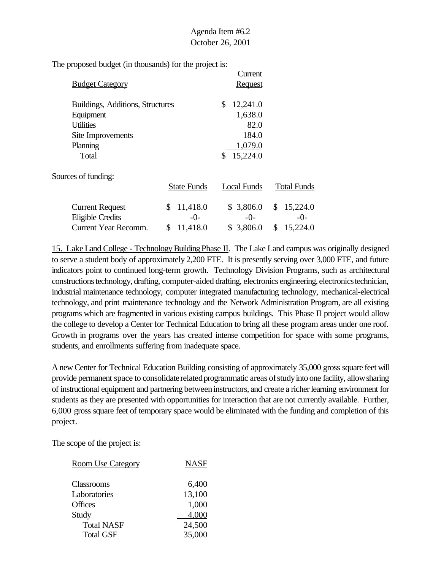| Agenda Item #6.2 |  |
|------------------|--|
| October 26, 2001 |  |

|                                  |                    | Current        |                    |
|----------------------------------|--------------------|----------------|--------------------|
| <b>Budget Category</b>           |                    | <b>Request</b> |                    |
| Buildings, Additions, Structures |                    | 12,241.0<br>\$ |                    |
| Equipment                        |                    | 1,638.0        |                    |
| <b>Utilities</b>                 |                    | 82.0           |                    |
| Site Improvements                |                    | 184.0          |                    |
| Planning                         |                    | 1,079.0        |                    |
| Total                            |                    | 15,224.0<br>S  |                    |
| Sources of funding:              |                    |                |                    |
|                                  | <b>State Funds</b> | Local Funds    | <b>Total Funds</b> |
| <b>Current Request</b>           | 11,418.0<br>\$     | \$3,806.0      | \$<br>15,224.0     |
| Eligible Credits                 | -0-                | $-0-$          | -0-                |
| <b>Current Year Recomm.</b>      | \$<br>11,418.0     | \$3,806.0      | 15,224.0<br>\$     |
|                                  |                    |                |                    |

15. Lake Land College - TechnologyBuildingPhase II. The Lake Land campus was originally designed to serve a student body of approximately 2,200 FTE. It is presently serving over 3,000 FTE, and future indicators point to continued long-term growth. Technology Division Programs, such as architectural constructions technology, drafting, computer-aided drafting, electronics engineering, electronics technician, industrial maintenance technology, computer integrated manufacturing technology, mechanical-electrical technology, and print maintenance technology and the Network Administration Program, are all existing programs which are fragmented in various existing campus buildings. This Phase II project would allow the college to develop a Center for Technical Education to bring all these program areas under one roof. Growth in programs over the years has created intense competition for space with some programs, students, and enrollments suffering from inadequate space.

A new Center for Technical Education Building consisting of approximately 35,000 gross square feet will provide permanent space to consolidate related programmatic areas of study into one facility, allow sharing of instructional equipment and partnering betweeninstructors, and create a richerlearning environment for students as they are presented with opportunities for interaction that are not currently available. Further, 6,000 gross square feet of temporary space would be eliminated with the funding and completion of this project.

| <b>Room Use Category</b> | <b>NASF</b> |
|--------------------------|-------------|
| <b>Classrooms</b>        | 6,400       |
| Laboratories             | 13,100      |
| <b>Offices</b>           | 1,000       |
| Study                    | 4,000       |
| <b>Total NASF</b>        | 24,500      |
| <b>Total GSF</b>         | 35,000      |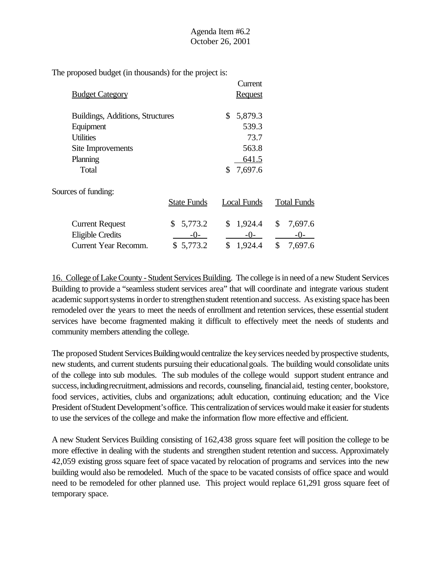|                                  |                    | Current        |                    |
|----------------------------------|--------------------|----------------|--------------------|
| <b>Budget Category</b>           |                    | <b>Request</b> |                    |
| Buildings, Additions, Structures |                    | \$<br>5,879.3  |                    |
| Equipment                        |                    | 539.3          |                    |
| <b>Utilities</b>                 |                    | 73.7           |                    |
| Site Improvements                |                    | 563.8          |                    |
| Planning                         |                    | 641.5          |                    |
| Total                            |                    | 7,697.6<br>\$  |                    |
| Sources of funding:              |                    |                |                    |
|                                  | <b>State Funds</b> | Local Funds    | <b>Total Funds</b> |
| <b>Current Request</b>           | 5,773.2<br>\$      | 1,924.4<br>\$  | \$<br>7,697.6      |
| <b>Eligible Credits</b>          | $-()$ -            | -0-            | $-0-$              |
| Current Year Recomm.             | \$5,773.2          | \$<br>1,924.4  | \$<br>7,697.6      |

16. College of Lake County - Student Services Building. The college is in need of a new Student Services Building to provide a "seamless student services area" that will coordinate and integrate various student academic support systems in order to strengthen student retention and success. As existing space has been remodeled over the years to meet the needs of enrollment and retention services, these essential student services have become fragmented making it difficult to effectively meet the needs of students and community members attending the college.

The proposed Student Services Building would centralize the key services needed by prospective students, new students, and current students pursuing their educationalgoals. The building would consolidate units of the college into sub modules. The sub modules of the college would support student entrance and success, including recruitment, admissions and records, counseling, financial aid, testing center, bookstore, food services, activities, clubs and organizations; adult education, continuing education; and the Vice President ofStudent Development'soffice. This centralization of services would make it easier for students to use the services of the college and make the information flow more effective and efficient.

A new Student Services Building consisting of 162,438 gross square feet will position the college to be more effective in dealing with the students and strengthen student retention and success. Approximately 42,059 existing gross square feet of space vacated by relocation of programs and services into the new building would also be remodeled. Much of the space to be vacated consists of office space and would need to be remodeled for other planned use. This project would replace 61,291 gross square feet of temporary space.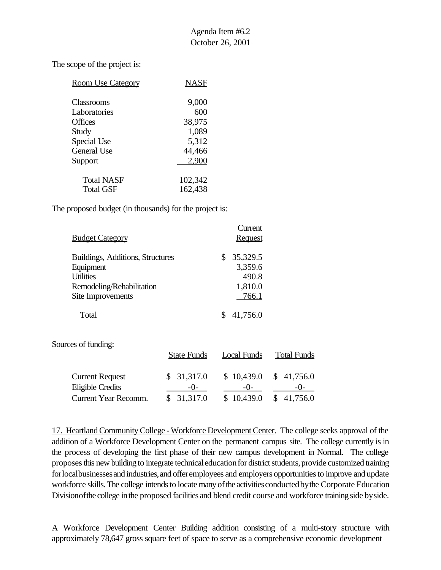The scope of the project is:

| <b>Room Use Category</b> | NASF    |
|--------------------------|---------|
| Classrooms               | 9,000   |
| Laboratories             | 600     |
| <b>Offices</b>           | 38,975  |
| Study                    | 1,089   |
| Special Use              | 5,312   |
| <b>General Use</b>       | 44,466  |
| Support                  | 2.900   |
| <b>Total NASF</b>        | 102,342 |
| <b>Total GSF</b>         | 162,438 |

The proposed budget (in thousands) for the project is:

|                                  | Current        |
|----------------------------------|----------------|
| <b>Budget Category</b>           | <b>Request</b> |
| Buildings, Additions, Structures | 35,329.5<br>\$ |
| Equipment                        | 3,359.6        |
| <b>Utilities</b>                 | 490.8          |
| Remodeling/Rehabilitation        | 1,810.0        |
| Site Improvements                | 766.1          |
| Total                            | 41,756.0       |

Sources of funding:

|                        | <b>State Funds</b> | Local Funds | <b>Total Funds</b>          |
|------------------------|--------------------|-------------|-----------------------------|
| <b>Current Request</b> | \$31,317.0         |             | $$10,439.0 \quad $41,756.0$ |
| Eligible Credits       | $-()$              | $-()$       | $-()$                       |
| Current Year Recomm.   | \$31,317.0         | \$10,439.0  | \$41,756.0                  |

17. Heartland Community College - Workforce Development Center. The college seeks approval of the addition of a Workforce Development Center on the permanent campus site. The college currently is in the process of developing the first phase of their new campus development in Normal. The college proposes this new building to integrate technical education for district students, provide customized training for local businesses and industries, and offer employees and employers opportunities to improve and update workforce skills. The college intends to locate many of the activities conducted by the Corporate Education Divisionofthe college inthe proposed facilities and blend credit course and workforce training side byside.

A Workforce Development Center Building addition consisting of a multi-story structure with approximately 78,647 gross square feet of space to serve as a comprehensive economic development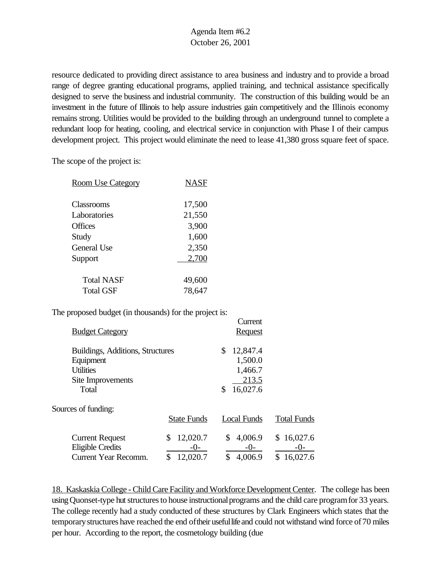resource dedicated to providing direct assistance to area business and industry and to provide a broad range of degree granting educational programs, applied training, and technical assistance specifically designed to serve the business and industrial community. The construction of this building would be an investment in the future of Illinois to help assure industries gain competitively and the Illinois economy remains strong. Utilities would be provided to the building through an underground tunnel to complete a redundant loop for heating, cooling, and electrical service in conjunction with Phase I of their campus development project. This project would eliminate the need to lease 41,380 gross square feet of space.

The scope of the project is:

| <b>Room Use Category</b> | NASF   |
|--------------------------|--------|
| Classrooms               | 17,500 |
| Laboratories             | 21,550 |
| <b>Offices</b>           | 3,900  |
| Study                    | 1,600  |
| <b>General Use</b>       | 2,350  |
| Support                  | 2,700  |
| <b>Total NASF</b>        | 49,600 |
| Total GSF                | 78,647 |

The proposed budget (in thousands) for the project is:

| <b>Budget Category</b>           |                    |                    |  |  |
|----------------------------------|--------------------|--------------------|--|--|
| Buildings, Additions, Structures | 12,847.4<br>\$     |                    |  |  |
| Equipment                        |                    | 1,500.0<br>1,466.7 |  |  |
| <b>Utilities</b>                 |                    |                    |  |  |
|                                  | 213.5              |                    |  |  |
|                                  | 16,027.6<br>\$     |                    |  |  |
|                                  |                    |                    |  |  |
| <b>State Funds</b>               | <b>Local Funds</b> | <b>Total Funds</b> |  |  |
| 12,020.7<br>\$                   | 4,006.9<br>\$      | \$16,027.6         |  |  |
| $-()$ -                          | $-0-$              | $-()$ -            |  |  |
| 12,020.7                         | \$<br>4,006.9      | 16,027.6<br>S.     |  |  |
|                                  |                    | <b>Request</b>     |  |  |

18. Kaskaskia College - Child Care Facility and Workforce Development Center. The college has been using Quonset-type hut structures to house instructional programs and the child care program for 33 years. The college recently had a study conducted of these structures by Clark Engineers which states that the temporarystructures have reached the end oftheir usefullifeand could not withstand wind force of70 miles per hour. According to the report, the cosmetology building (due

**Current**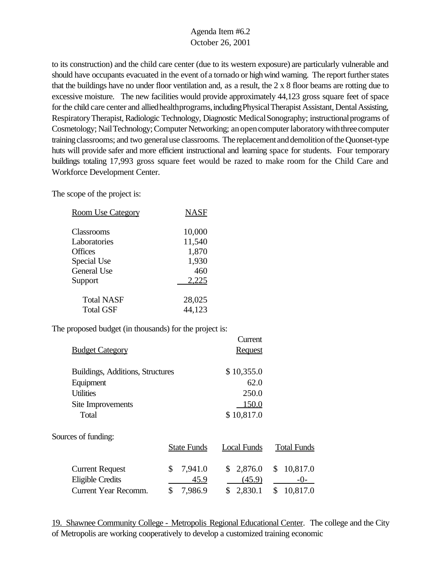to its construction) and the child care center (due to its western exposure) are particularly vulnerable and should have occupants evacuated in the event of a tornado or highwind warning. The report further states that the buildings have no under floor ventilation and, as a result, the 2 x 8 floor beams are rotting due to excessive moisture. The new facilities would provide approximately 44,123 gross square feet of space for the child care center and allied health programs, including Physical Therapist Assistant, Dental Assisting, Respiratory Therapist, Radiologic Technology, Diagnostic Medical Sonography; instructional programs of Cosmetology; Nail Technology; Computer Networking; an open computer laboratory with three computer training classrooms; and two generaluse classrooms. The replacement and demolition of the Quonset-type huts will provide safer and more efficient instructional and learning space for students. Four temporary buildings totaling 17,993 gross square feet would be razed to make room for the Child Care and Workforce Development Center.

The scope of the project is:

| <b>Room Use Category</b> | <b>NASF</b> |
|--------------------------|-------------|
| Classrooms               | 10,000      |
| Laboratories             | 11,540      |
| <b>Offices</b>           | 1,870       |
| Special Use              | 1,930       |
| General Use              | 460         |
| Support                  | 2,225       |
| <b>Total NASF</b>        | 28,025      |
| <b>Total GSF</b>         | 44,123      |

The proposed budget (in thousands) for the project is:

|                                  |                    | Current        |                    |
|----------------------------------|--------------------|----------------|--------------------|
| <b>Budget Category</b>           |                    | <b>Request</b> |                    |
|                                  |                    |                |                    |
| Buildings, Additions, Structures |                    | \$10,355.0     |                    |
| Equipment                        |                    | 62.0           |                    |
| <b>Utilities</b>                 |                    | 250.0          |                    |
| Site Improvements                |                    | 150.0          |                    |
| Total                            |                    | \$10,817.0     |                    |
| Sources of funding:              |                    |                |                    |
|                                  | <b>State Funds</b> | Local Funds    | <b>Total Funds</b> |
| <b>Current Request</b>           | \$<br>7,941.0      | \$<br>2,876.0  | 10,817.0<br>\$     |
| <b>Eligible Credits</b>          | 45.9               | (45.9)         | $-()$              |
| <b>Current Year Recomm.</b>      | \$<br>7,986.9      | 2,830.1<br>\$  | \$<br>10,817.0     |
|                                  |                    |                |                    |

19. Shawnee Community College - Metropolis Regional Educational Center. The college and the City of Metropolis are working cooperatively to develop a customized training economic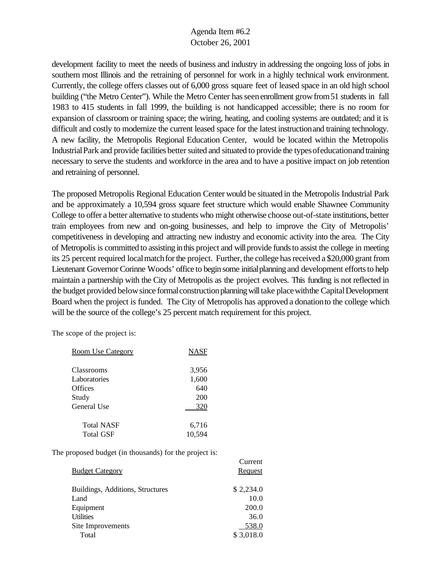development facility to meet the needs of business and industry in addressing the ongoing loss of jobs in southern most Illinois and the retraining of personnel for work in a highly technical work environment. Currently, the college offers classes out of 6,000 gross square feet of leased space in an old high school building ("the Metro Center"). While the Metro Center has seen enrollment grow from 51 students in fall 1983 to 415 students in fall 1999, the building is not handicapped accessible; there is no room for expansion of classroom or training space; the wiring, heating, and cooling systems are outdated; and it is difficult and costly to modernize the current leased space for the latest instructionand training technology. A new facility, the Metropolis Regional Education Center, would be located within the Metropolis Industrial Park and provide facilities better suited and situated to provide the types of education and training necessary to serve the students and workforce in the area and to have a positive impact on job retention and retraining of personnel.

The proposed Metropolis Regional Education Center would be situated in the Metropolis Industrial Park and be approximately a 10,594 gross square feet structure which would enable Shawnee Community College to offer a better alternative to students who might otherwise choose out-of-state institutions, better train employees from new and on-going businesses, and help to improve the City of Metropolis' competitiveness in developing and attracting new industry and economic activity into the area. The City of Metropolis is committed to assisting inthis project and willprovide fundsto assist the college in meeting its 25 percent required local match for the project. Further, the college has received a \$20,000 grant from Lieutenant Governor Corinne Woods' office to begin some initial planning and development efforts to help maintain a partnership with the City of Metropolis as the project evolves. This funding is not reflected in the budget provided below since formal construction planning will take place with the Capital Development Board when the project is funded. The City of Metropolis has approved a donationto the college which will be the source of the college's 25 percent match requirement for this project.

Current

The scope of the project is:

| <b>Room Use Category</b>       | NASF         |
|--------------------------------|--------------|
| <b>Classrooms</b>              | 3,956        |
| Laboratories<br><b>Offices</b> | 1,600<br>640 |
| Study                          | 200          |
| General Use                    | 320          |
| <b>Total NASF</b>              | 6,716        |
| Total GSF                      | 10,594       |

| <b>Budget Category</b>           | <b>Request</b> |
|----------------------------------|----------------|
| Buildings, Additions, Structures | \$2,234.0      |
| Land                             | 10.0           |
| Equipment                        | 200.0          |
| <b>Utilities</b>                 | 36.0           |
| Site Improvements                | 538.0          |
| Total                            | \$3,018.0      |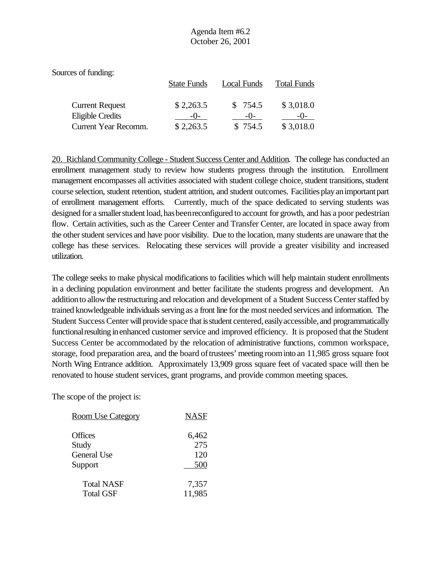| Sources of funding:    |                    |             |                    |
|------------------------|--------------------|-------------|--------------------|
|                        | <b>State Funds</b> | Local Funds | <b>Total Funds</b> |
| <b>Current Request</b> | \$2,263.5          | \$754.5     | \$3,018.0          |
| Eligible Credits       | $-()$              | $-()$       |                    |
| Current Year Recomm.   | \$2,263.5          | \$754.5     | \$3,018.0          |

20. Richland Community College - Student Success Center and Addition. The college has conducted an enrollment management study to review how students progress through the institution. Enrollment management encompasses all activities associated with student college choice, student transitions, student course selection, student retention, student attrition, and student outcomes. Facilities play an important part of enrollment management efforts. Currently, much of the space dedicated to serving students was designed for a smaller student load, has been reconfigured to account for growth, and has a poor pedestrian flow. Certain activities, such as the Career Center and Transfer Center, are located in space away from the other student services and have poor visibility. Due to the location, many students are unaware that the college has these services. Relocating these services will provide a greater visibility and increased utilization.

The college seeks to make physical modifications to facilities which will help maintain student enrollments in a declining population environment and better facilitate the students progress and development. An addition to allow the restructuring and relocation and development of a Student Success Center staffed by trained knowledgeable individuals serving as a front line for the most needed services and information. The Student Success Center will provide space that is student centered, easily accessible, and programmatically functional resulting in enhanced customer service and improved efficiency. It is proposed that the Student Success Center be accommodated by the relocation of administrative functions, common workspace, storage, food preparation area, and the board of trustees' meeting room into an 11,985 gross square foot North Wing Entrance addition. Approximately 13,909 gross square feet of vacated space will then be renovated to house student services, grant programs, and provide common meeting spaces.

| <b>Room Use Category</b> | <b>NASF</b> |
|--------------------------|-------------|
| Offices                  | 6,462       |
| Study                    | 275         |
| <b>General Use</b>       | 120         |
| Support                  | 500         |
| <b>Total NASF</b>        | 7,357       |
| <b>Total GSF</b>         | 11,985      |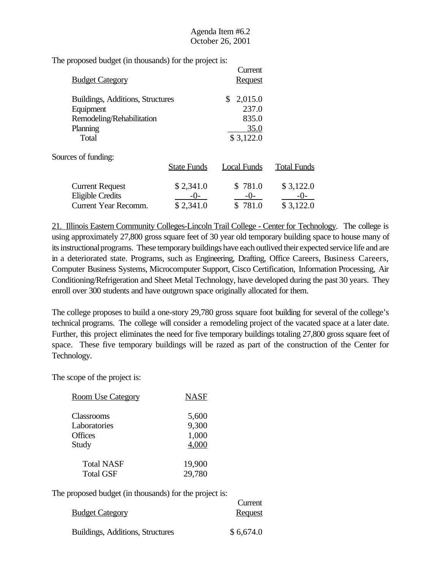The proposed budget (in thousands) for the project is:

| <b>Budget Category</b>           |                    | Current<br><b>Request</b> |                    |
|----------------------------------|--------------------|---------------------------|--------------------|
| Buildings, Additions, Structures |                    | 2,015.0<br>\$             |                    |
| Equipment                        |                    | 237.0                     |                    |
| Remodeling/Rehabilitation        |                    | 835.0                     |                    |
| Planning                         |                    | 35.0                      |                    |
| Total                            |                    | \$3,122.0                 |                    |
| Sources of funding:              |                    |                           |                    |
|                                  | <b>State Funds</b> | Local Funds               | <b>Total Funds</b> |
| <b>Current Request</b>           | \$2,341.0          | \$781.0                   | \$3,122.0          |
| <b>Eligible Credits</b>          | $-()$              | $-0-$                     | $-()$ -            |
| <b>Current Year Recomm.</b>      | \$2,341.0          | \$781.0                   | \$3,122.0          |

21. Illinois Eastern Community Colleges-Lincoln Trail College - Center for Technology. The college is using approximately 27,800 gross square feet of 30 year old temporary building space to house many of its instructional programs. These temporary buildings have each outlived their expected service life and are in a deteriorated state. Programs, such as Engineering, Drafting, Office Careers, Business Careers, Computer Business Systems, Microcomputer Support, Cisco Certification, Information Processing, Air Conditioning/Refrigeration and Sheet Metal Technology, have developed during the past 30 years. They enroll over 300 students and have outgrown space originally allocated for them.

The college proposes to build a one-story 29,780 gross square foot building for several of the college's technical programs. The college will consider a remodeling project of the vacated space at a later date. Further, this project eliminates the need for five temporary buildings totaling 27,800 gross square feet of space. These five temporary buildings will be razed as part of the construction of the Center for Technology.

The scope of the project is:

| <b>Room Use Category</b> | <b>NASF</b> |
|--------------------------|-------------|
| <b>Classrooms</b>        | 5,600       |
| Laboratories             | 9,300       |
| <b>Offices</b>           | 1,000       |
| Study                    | 4,000       |
| Total NASF               | 19,900      |
| <b>Total GSF</b>         | 29,780      |

|                                  | Current   |
|----------------------------------|-----------|
| <b>Budget Category</b>           | Request   |
| Buildings, Additions, Structures | \$6,674.0 |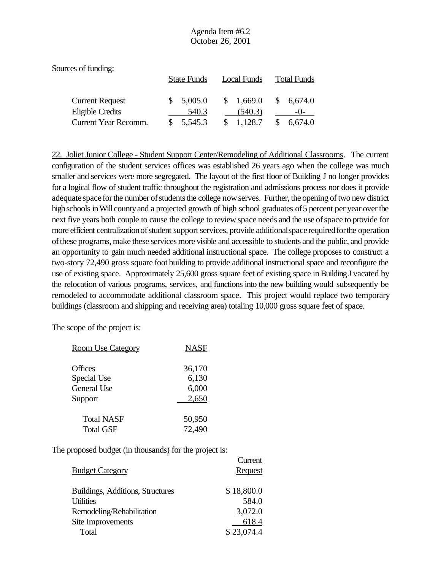| Sources of funding:    |                    |             |                    |
|------------------------|--------------------|-------------|--------------------|
|                        | <b>State Funds</b> | Local Funds | <b>Total Funds</b> |
| <b>Current Request</b> | 5,005.0            | \$1,669.0   | \$6,674.0          |
| Eligible Credits       | 540.3              | (540.3)     |                    |
| Current Year Recomm.   | 5,545.3            | 1,128.7     | 6.674.0            |

22. Joliet Junior College - Student Support Center/Remodeling of Additional Classrooms. The current configuration of the student services offices was established 26 years ago when the college was much smaller and services were more segregated. The layout of the first floor of Building J no longer provides for a logical flow of student traffic throughout the registration and admissions process nor does it provide adequate space for the number of students the college now serves. Further, the opening of two new district high schools in Will county and a projected growth of high school graduates of 5 percent per year over the next five years both couple to cause the college to review space needs and the use ofspace to provide for more efficient centralization of student support services, provide additional space required for the operation ofthese programs, make these services more visible and accessible to students and the public, and provide an opportunity to gain much needed additional instructional space. The college proposes to construct a two-story 72,490 gross square foot building to provide additional instructional space and reconfigure the use of existing space. Approximately 25,600 gross square feet of existing space in Building J vacated by the relocation of various programs, services, and functions into the new building would subsequently be remodeled to accommodate additional classroom space. This project would replace two temporary buildings (classroom and shipping and receiving area) totaling 10,000 gross square feet of space.

Current

The scope of the project is:

| <b>Room Use Category</b> | <b>NASF</b> |
|--------------------------|-------------|
| <b>Offices</b>           | 36,170      |
| Special Use              | 6,130       |
| General Use              | 6,000       |
| Support                  | 2,650       |
| <b>Total NASF</b>        | 50,950      |
| <b>Total GSF</b>         | 72,490      |

|                                  | Cuncin         |
|----------------------------------|----------------|
| <b>Budget Category</b>           | <b>Request</b> |
|                                  |                |
| Buildings, Additions, Structures | \$18,800.0     |
| <b>Utilities</b>                 | 584.0          |
| Remodeling/Rehabilitation        | 3,072.0        |
| Site Improvements                | 618.4          |
| Total                            | \$23,074.4     |
|                                  |                |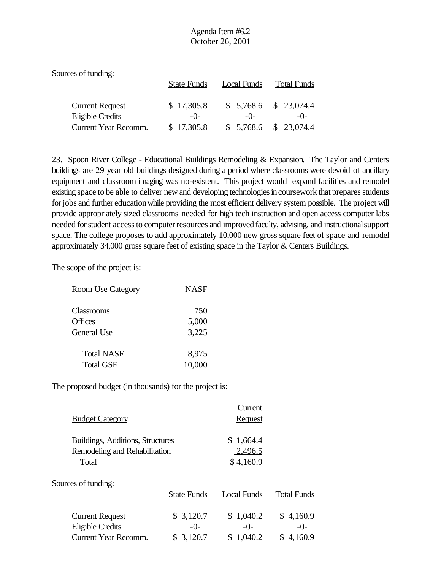| Sources of funding:    |                    |             |                        |
|------------------------|--------------------|-------------|------------------------|
|                        | <b>State Funds</b> | Local Funds | <b>Total Funds</b>     |
| <b>Current Request</b> | \$17,305.8         |             | $$5,768.6$ $$23,074.4$ |
| Eligible Credits       | $-()$              | $-()$       | $-()$                  |
| Current Year Recomm.   | \$17,305.8         |             | $$5,768.6$ $$23,074.4$ |

23. Spoon River College - Educational Buildings Remodeling & Expansion. The Taylor and Centers buildings are 29 year old buildings designed during a period where classrooms were devoid of ancillary equipment and classroom imaging was no-existent. This project would expand facilities and remodel existing space to be able to deliver new and developing technologies in coursework that prepares students for jobs and further education while providing the most efficient delivery system possible. The project will provide appropriately sized classrooms needed for high tech instruction and open access computer labs needed for student access to computer resources and improved faculty, advising, and instructional support space. The college proposes to add approximately 10,000 new gross square feet of space and remodel approximately 34,000 gross square feet of existing space in the Taylor & Centers Buildings.

The scope of the project is:

| <b>Room Use Category</b> | <b>NASF</b> |
|--------------------------|-------------|
| Classrooms               | 750         |
| Offices                  | 5,000       |
| General Use              | 3,225       |
| <b>Total NASF</b>        | 8,975       |
| <b>Total GSF</b>         | 10,000      |

| <b>Budget Category</b>           |                    | Current<br><b>Request</b> |                    |
|----------------------------------|--------------------|---------------------------|--------------------|
| Buildings, Additions, Structures |                    | \$1,664.4                 |                    |
| Remodeling and Rehabilitation    |                    | 2,496.5                   |                    |
| Total                            |                    | \$4,160.9                 |                    |
| Sources of funding:              |                    |                           |                    |
|                                  | <b>State Funds</b> | Local Funds               | <b>Total Funds</b> |
| <b>Current Request</b>           | \$3,120.7          | \$1,040.2                 | \$4,160.9          |
| <b>Eligible Credits</b>          | $-()$              | $-()$ -                   | $-()$              |
| <b>Current Year Recomm.</b>      | 3,120.7            | 1,040.2                   | 4,160.9            |
|                                  |                    |                           |                    |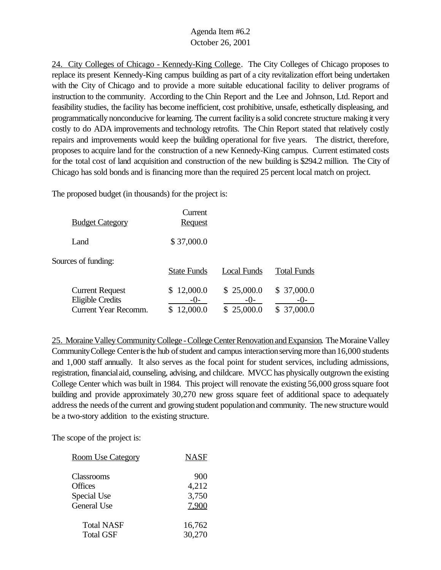24. City Colleges of Chicago - Kennedy-King College. The City Colleges of Chicago proposes to replace its present Kennedy-King campus building as part of a city revitalization effort being undertaken with the City of Chicago and to provide a more suitable educational facility to deliver programs of instruction to the community. According to the Chin Report and the Lee and Johnson, Ltd. Report and feasibility studies, the facility has become inefficient, cost prohibitive, unsafe, esthetically displeasing, and programmatically nonconducive for learning. The current facility is a solid concrete structure making it very costly to do ADA improvements and technology retrofits. The Chin Report stated that relatively costly repairs and improvements would keep the building operational for five years. The district, therefore, proposes to acquire land for the construction of a new Kennedy-King campus. Current estimated costs for the total cost of land acquisition and construction of the new building is \$294.2 million. The City of Chicago has sold bonds and is financing more than the required 25 percent local match on project.

The proposed budget (in thousands) for the project is:

| <b>Budget Category</b>                                                           | Current<br><b>Request</b> |                                     |                                 |
|----------------------------------------------------------------------------------|---------------------------|-------------------------------------|---------------------------------|
| Land                                                                             | \$37,000.0                |                                     |                                 |
| Sources of funding:                                                              | <b>State Funds</b>        | <b>Local Funds</b>                  | <b>Total Funds</b>              |
| <b>Current Request</b><br><b>Eligible Credits</b><br><b>Current Year Recomm.</b> | \$12,000.0<br>12,000.0    | \$25,000.0<br>$-()$ -<br>\$25,000.0 | \$37,000.0<br>$-()$<br>37,000.0 |

25. Moraine Valley Community College - College Center Renovation and Expansion. The Moraine Valley Community College Center is the hub of student and campus interaction serving more than 16,000 students and 1,000 staff annually. It also serves as the focal point for student services, including admissions, registration, financialaid, counseling, advising, and childcare. MVCC has physically outgrown the existing College Center which was built in 1984. This project will renovate the existing 56,000 gross square foot building and provide approximately 30,270 new gross square feet of additional space to adequately address the needs of the current and growing student population and community. The new structure would be a two-story addition to the existing structure.

| <b>Room Use Category</b> | <b>NASF</b> |
|--------------------------|-------------|
| Classrooms               | 900         |
| Offices                  | 4,212       |
| Special Use              | 3,750       |
| General Use              | 7,900       |
| <b>Total NASF</b>        | 16,762      |
| <b>Total GSF</b>         | 30,270      |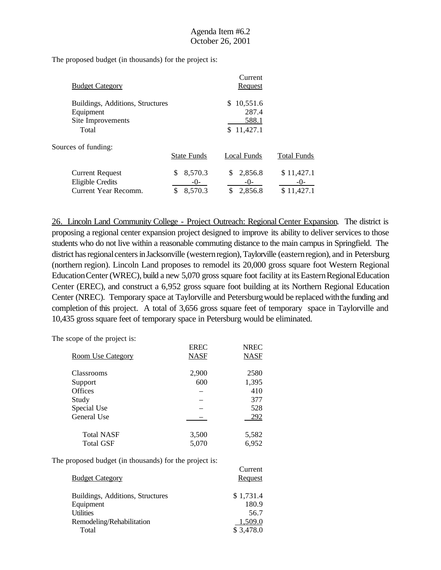The proposed budget (in thousands) for the project is:

| <b>Budget Category</b>                                                      |                                        | Current<br>Request                          |                                   |
|-----------------------------------------------------------------------------|----------------------------------------|---------------------------------------------|-----------------------------------|
| Buildings, Additions, Structures<br>Equipment<br>Site Improvements<br>Total |                                        | 10,551.6<br>S<br>287.4<br>588.1<br>11,427.1 |                                   |
| Sources of funding:                                                         | <b>State Funds</b>                     | <b>Local Funds</b>                          | <b>Total Funds</b>                |
| <b>Current Request</b><br>Eligible Credits<br>Current Year Recomm.          | 8,570.3<br>\$<br>$-0-$<br>8,570.3<br>S | 2,856.8<br>$-0-$<br>2,856.8                 | \$11,427.1<br>$-0-$<br>\$11,427.1 |

26. Lincoln Land Community College - Project Outreach: Regional Center Expansion. The district is proposing a regional center expansion project designed to improve its ability to deliver services to those students who do not live within a reasonable commuting distance to the main campus in Springfield. The district has regional centers in Jacksonville (western region), Taylorville (eastern region), and in Petersburg (northern region). Lincoln Land proposes to remodel its 20,000 gross square foot Western Regional Education Center (WREC), build a new 5,070 gross square foot facility at its Eastern Regional Education Center (EREC), and construct a 6,952 gross square foot building at its Northern Regional Education Center (NREC). Temporary space at Taylorville and Petersburgwould be replaced withthe funding and completion of this project. A total of 3,656 gross square feet of temporary space in Taylorville and 10,435 gross square feet of temporary space in Petersburg would be eliminated.

Current

The scope of the project is:

|                          | <b>EREC</b> | <b>NREC</b> |
|--------------------------|-------------|-------------|
| <b>Room Use Category</b> | <b>NASF</b> | NASF        |
|                          |             |             |
| <b>Classrooms</b>        | 2,900       | 2580        |
| Support                  | 600         | 1,395       |
| <b>Offices</b>           |             | 410         |
| Study                    |             | 377         |
| Special Use              |             | 528         |
| General Use              |             | 292         |
| <b>Total NASF</b>        | 3,500       | 5,582       |
|                          |             |             |
| <b>Total GSF</b>         | 5,070       | 6,952       |

| <b>Budget Category</b>           | <b>Request</b> |
|----------------------------------|----------------|
| Buildings, Additions, Structures | \$1,731.4      |
| Equipment                        | 180.9          |
| <b>Utilities</b>                 | 56.7           |
| Remodeling/Rehabilitation        | 1,509.0        |
| Total                            | \$3,478.0      |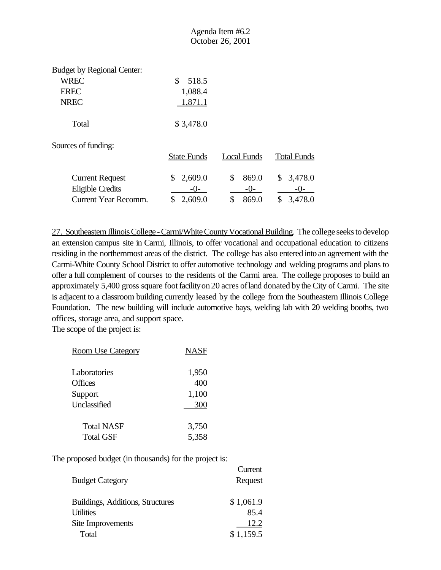|                                                                                |                                   | October 26, 2001   |                    |
|--------------------------------------------------------------------------------|-----------------------------------|--------------------|--------------------|
| <b>Budget by Regional Center:</b><br><b>WREC</b><br><b>EREC</b><br><b>NREC</b> | S.<br>518.5<br>1,088.4<br>1,871.1 |                    |                    |
| Total                                                                          | \$3,478.0                         |                    |                    |
| Sources of funding:                                                            | <b>State Funds</b>                | <b>Local Funds</b> | <b>Total Funds</b> |
| <b>Current Request</b>                                                         | 2,609.0<br>\$                     | \$<br>869.0        | \$<br>3,478.0      |

Eligible Credits  $-0$ - $-0$ - $-$ Current Year Recomm. \$ 2,609.0 \$ 869.0 \$ 3,478.0

27. Southeastern Illinois College - Carmi/White County Vocational Building. The college seeks to develop an extension campus site in Carmi, Illinois, to offer vocational and occupational education to citizens residing in the northernmost areas of the district. The college has also entered into an agreement with the Carmi-White County School District to offer automotive technology and welding programs and plans to offer a full complement of courses to the residents of the Carmi area. The college proposes to build an approximately 5,400 gross square foot facility on 20 acres of land donated by the City of Carmi. The site is adjacent to a classroom building currently leased by the college from the Southeastern Illinois College Foundation. The new building will include automotive bays, welding lab with 20 welding booths, two offices, storage area, and support space.

Agenda Item #6.2

The scope of the project is:

| <b>Room Use Category</b> | NASF  |
|--------------------------|-------|
| Laboratories             | 1,950 |
| <b>Offices</b>           | 400   |
| Support                  | 1,100 |
| Unclassified             | 300   |
| <b>Total NASF</b>        | 3,750 |
| <b>Total GSF</b>         | 5,358 |

|                                  | Current        |
|----------------------------------|----------------|
| <b>Budget Category</b>           | <b>Request</b> |
|                                  |                |
| Buildings, Additions, Structures | \$1,061.9      |
| Utilities                        | 85.4           |
| Site Improvements                | 12.2           |
| Total                            | \$1,159.5      |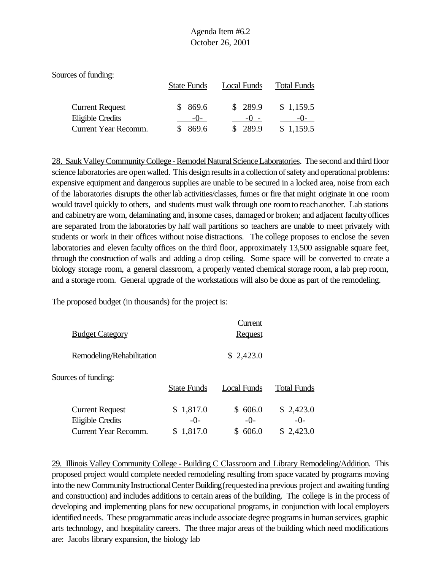| Sources of funding:                                                       |                         |                             |                                 |
|---------------------------------------------------------------------------|-------------------------|-----------------------------|---------------------------------|
|                                                                           | <b>State Funds</b>      | Local Funds                 | <b>Total Funds</b>              |
| <b>Current Request</b><br><b>Eligible Credits</b><br>Current Year Recomm. | 869.6<br>$-()$<br>869.6 | \$289.9<br>$-() -$<br>289.9 | \$1,159.5<br>$-()$<br>\$1,159.5 |

28. Sauk Valley Community College - Remodel Natural Science Laboratories. The second and third floor science laboratories are openwalled. This design results in a collection of safety and operational problems: expensive equipment and dangerous supplies are unable to be secured in a locked area, noise from each of the laboratories disrupts the other lab activities/classes, fumes or fire that might originate in one room would travel quickly to others, and students must walk through one roomto reachanother. Lab stations and cabinetryare worn, delaminating and, insome cases, damaged or broken; and adjacent facultyoffices are separated from the laboratories by half wall partitions so teachers are unable to meet privately with students or work in their offices without noise distractions. The college proposes to enclose the seven laboratories and eleven faculty offices on the third floor, approximately 13,500 assignable square feet, through the construction of walls and adding a drop ceiling. Some space will be converted to create a biology storage room, a general classroom, a properly vented chemical storage room, a lab prep room, and a storage room. General upgrade of the workstations will also be done as part of the remodeling.

The proposed budget (in thousands) for the project is:

| <b>Budget Category</b>                                                           |                               | Current<br><b>Request</b>      |                                   |
|----------------------------------------------------------------------------------|-------------------------------|--------------------------------|-----------------------------------|
| Remodeling/Rehabilitation                                                        |                               | \$2,423.0                      |                                   |
| Sources of funding:                                                              | <b>State Funds</b>            | Local Funds                    | <b>Total Funds</b>                |
| <b>Current Request</b><br><b>Eligible Credits</b><br><b>Current Year Recomm.</b> | \$1,817.0<br>$-()$<br>1,817.0 | 606.0<br>S<br>$-()$ -<br>606.0 | \$2,423.0<br>$-()$ -<br>\$2,423.0 |

29. Illinois Valley Community College - Building C Classroom and Library Remodeling/Addition. This proposed project would complete needed remodeling resulting from space vacated by programs moving into the new Community Instructional Center Building (requested in a previous project and awaiting funding and construction) and includes additions to certain areas of the building. The college is in the process of developing and implementing plans for new occupational programs, in conjunction with local employers identified needs. These programmatic areas include associate degree programs in human services, graphic arts technology, and hospitality careers. The three major areas of the building which need modifications are: Jacobs library expansion, the biology lab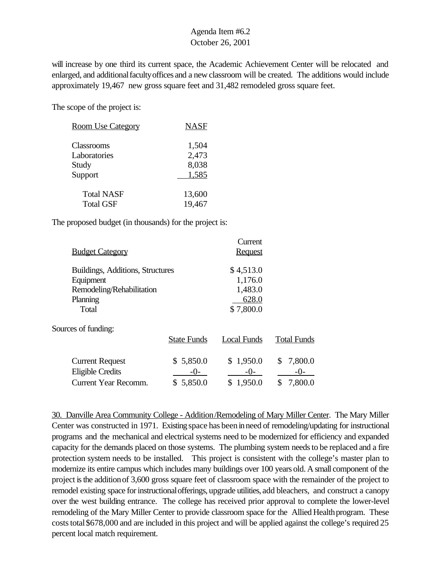will increase by one third its current space, the Academic Achievement Center will be relocated and enlarged, and additionalfacultyoffices and a new classroom will be created. The additions would include approximately 19,467 new gross square feet and 31,482 remodeled gross square feet.

The scope of the project is:

| <b>Room Use Category</b> | <b>NASF</b> |
|--------------------------|-------------|
| Classrooms               | 1,504       |
| Laboratories             | 2,473       |
| Study                    | 8,038       |
| Support                  | 1,585       |
| <b>Total NASF</b>        | 13,600      |
| <b>Total GSF</b>         | 19,467      |

The proposed budget (in thousands) for the project is:

|                                  |                    | Current        |                    |
|----------------------------------|--------------------|----------------|--------------------|
| <b>Budget Category</b>           |                    | <b>Request</b> |                    |
| Buildings, Additions, Structures |                    | \$4,513.0      |                    |
| Equipment                        |                    | 1,176.0        |                    |
| Remodeling/Rehabilitation        |                    | 1,483.0        |                    |
| Planning                         |                    | 628.0          |                    |
| Total                            |                    | \$7,800.0      |                    |
| Sources of funding:              |                    |                |                    |
|                                  | <b>State Funds</b> | Local Funds    | <b>Total Funds</b> |
| <b>Current Request</b>           | \$5,850.0          | \$1,950.0      | 7,800.0<br>\$      |
| <b>Eligible Credits</b>          | $-()$ -            | $-0-$          | $-0-$              |
| <b>Current Year Recomm.</b>      | \$5,850.0          | \$1,950.0      | 7,800.0<br>\$      |

30. Danville Area Community College - Addition/Remodeling of Mary Miller Center. The Mary Miller Center was constructed in 1971. Existing space has beeninneed of remodeling/updating for instructional programs and the mechanical and electrical systems need to be modernized for efficiency and expanded capacity for the demands placed on those systems. The plumbing system needs to be replaced and a fire protection system needs to be installed. This project is consistent with the college's master plan to modernize its entire campus which includes many buildings over 100 years old. A small component of the project isthe additionof 3,600 gross square feet of classroom space with the remainder of the project to remodel existing space for instructional offerings, upgrade utilities, add bleachers, and construct a canopy over the west building entrance. The college has received prior approval to complete the lower-level remodeling of the Mary Miller Center to provide classroom space for the Allied Health program. These costs total \$678,000 and are included in this project and will be applied against the college's required 25 percent local match requirement.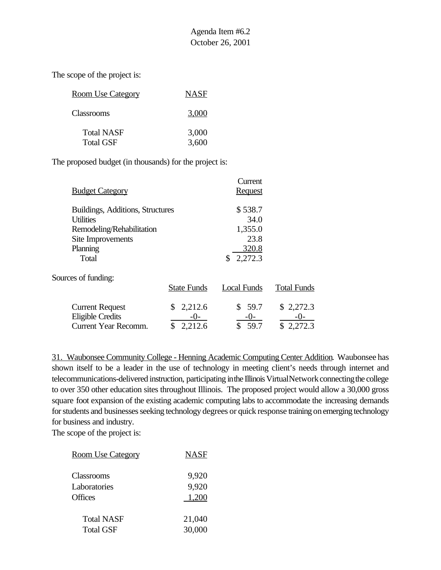The scope of the project is:

| <b>Room Use Category</b>              | <b>NASF</b>    |
|---------------------------------------|----------------|
| Classrooms                            | 3.000          |
| <b>Total NASF</b><br><b>Total GSF</b> | 3,000<br>3,600 |

The proposed budget (in thousands) for the project is:

|                                  |                    | Current        |                    |
|----------------------------------|--------------------|----------------|--------------------|
| <b>Budget Category</b>           |                    | <b>Request</b> |                    |
| Buildings, Additions, Structures |                    | \$538.7        |                    |
| <b>Utilities</b>                 |                    | 34.0           |                    |
| Remodeling/Rehabilitation        |                    | 1,355.0        |                    |
| Site Improvements                |                    | 23.8           |                    |
| Planning                         |                    | 320.8          |                    |
| Total                            |                    | 2,272.3<br>\$  |                    |
| Sources of funding:              |                    |                |                    |
|                                  | <b>State Funds</b> | Local Funds    | <b>Total Funds</b> |
| <b>Current Request</b>           | 2,212.6<br>S       | \$59.7         | \$2,272.3          |
| <b>Eligible Credits</b>          | $-()$ -            | $-0-$          | $-()$              |
| <b>Current Year Recomm.</b>      | 2,212.6            | 59.7           | \$2,272.3          |

31. Waubonsee Community College - Henning Academic Computing Center Addition. Waubonsee has shown itself to be a leader in the use of technology in meeting client's needs through internet and telecommunications-delivered instruction, participating in the Illinois VirtualNetwork connecting the college to over 350 other education sites throughout Illinois. The proposed project would allow a 30,000 gross square foot expansion of the existing academic computing labs to accommodate the increasing demands for students and businesses seeking technology degrees or quick response training on emerging technology for business and industry.

| <b>Room Use Category</b> | <b>NASF</b> |
|--------------------------|-------------|
| <b>Classrooms</b>        | 9,920       |
| Laboratories             | 9,920       |
| <b>Offices</b>           | 1,200       |
| <b>Total NASF</b>        | 21,040      |
| <b>Total GSF</b>         | 30,000      |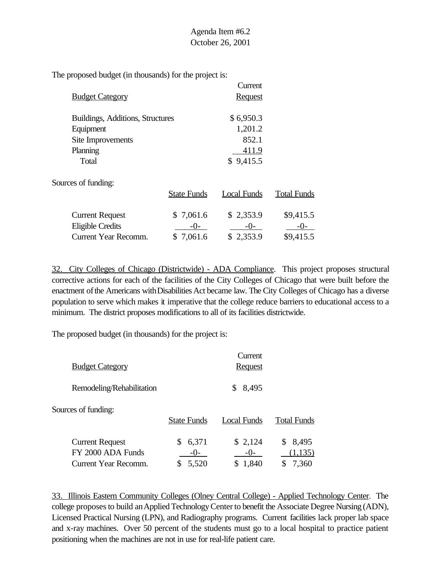The proposed budget (in thousands) for the project is:

|                                  |                    | Current        |                    |
|----------------------------------|--------------------|----------------|--------------------|
| <b>Budget Category</b>           |                    | <b>Request</b> |                    |
| Buildings, Additions, Structures |                    | \$6,950.3      |                    |
| Equipment                        |                    | 1,201.2        |                    |
| Site Improvements                |                    | 852.1          |                    |
| Planning                         |                    | 411.9          |                    |
| Total                            |                    | \$9,415.5      |                    |
| Sources of funding:              |                    |                |                    |
|                                  | <b>State Funds</b> | Local Funds    | <b>Total Funds</b> |
| <b>Current Request</b>           | \$7,061.6          | \$2,353.9      | \$9,415.5          |
| <b>Eligible Credits</b>          | $-()$ -            | $-0-$          | -()-               |
| <b>Current Year Recomm.</b>      | \$7,061.6          | \$2,353.9      | \$9,415.5          |

32. City Colleges of Chicago (Districtwide) - ADA Compliance. This project proposes structural corrective actions for each of the facilities of the City Colleges of Chicago that were built before the enactment of the Americans with Disabilities Act became law. The City Colleges of Chicago has a diverse population to serve which makes it imperative that the college reduce barriers to educational access to a minimum. The district proposes modifications to all of its facilities districtwide.

The proposed budget (in thousands) for the project is:

| <b>Budget Category</b>                                              |                         | Current<br><b>Request</b>   |                                  |
|---------------------------------------------------------------------|-------------------------|-----------------------------|----------------------------------|
| Remodeling/Rehabilitation                                           |                         | 8,495<br>S                  |                                  |
| Sources of funding:                                                 | <b>State Funds</b>      | Local Funds                 | <b>Total Funds</b>               |
| <b>Current Request</b><br>FY 2000 ADA Funds<br>Current Year Recomm. | 6,371<br>$-()$<br>5,520 | \$2,124<br>$-()$ -<br>1,840 | 8,495<br>\$<br>(1, 135)<br>7,360 |

33. Illinois Eastern Community Colleges (Olney Central College) - Applied Technology Center. The college proposes to build an Applied Technology Center to benefit the Associate Degree Nursing (ADN), Licensed Practical Nursing (LPN), and Radiography programs. Current facilities lack proper lab space and x-ray machines. Over 50 percent of the students must go to a local hospital to practice patient positioning when the machines are not in use for real-life patient care.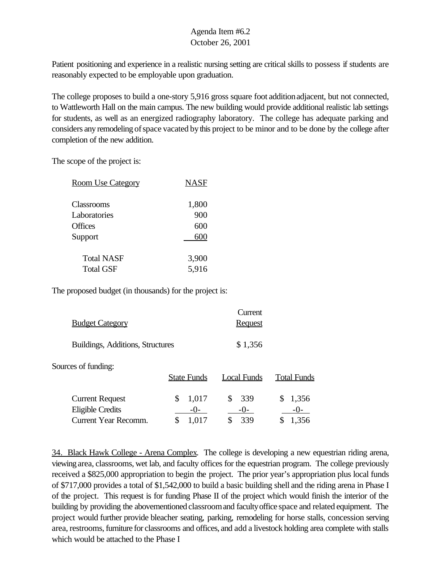Patient positioning and experience in a realistic nursing setting are critical skills to possess if students are reasonably expected to be employable upon graduation.

The college proposes to build a one-story 5,916 gross square foot additionadjacent, but not connected, to Wattleworth Hall on the main campus. The new building would provide additional realistic lab settings for students, as well as an energized radiography laboratory. The college has adequate parking and considers any remodeling of space vacated by this project to be minor and to be done by the college after completion of the new addition.

The scope of the project is:

| <b>Room Use Category</b> | <b>NASF</b> |  |
|--------------------------|-------------|--|
| Classrooms               | 1,800       |  |
| Laboratories<br>Offices  | 900<br>600  |  |
| Support                  | 600         |  |
| <b>Total NASF</b>        | 3,900       |  |
| <b>Total GSF</b>         | 5,916       |  |

The proposed budget (in thousands) for the project is:

| <b>Budget Category</b>                                                    |                      | Current<br><b>Request</b>  |                               |
|---------------------------------------------------------------------------|----------------------|----------------------------|-------------------------------|
| Buildings, Additions, Structures                                          |                      | \$1,356                    |                               |
| Sources of funding:                                                       | <b>State Funds</b>   | Local Funds                | <b>Total Funds</b>            |
| <b>Current Request</b><br><b>Eligible Credits</b><br>Current Year Recomm. | 1,017<br>\$<br>$-()$ | 339<br>S<br>$-()$ -<br>339 | S<br>1,356<br>$-()$ -<br>.356 |

34. Black Hawk College - Arena Complex. The college is developing a new equestrian riding arena, viewing area, classrooms, wet lab, and faculty offices for the equestrian program. The college previously received a \$825,000 appropriation to begin the project. The prior year's appropriation plus local funds of \$717,000 provides a total of \$1,542,000 to build a basic building shell and the riding arena in Phase I of the project. This request is for funding Phase II of the project which would finish the interior of the building by providing the abovementioned classroomand facultyoffice space and related equipment. The project would further provide bleacher seating, parking, remodeling for horse stalls, concession serving area, restrooms, furniture for classrooms and offices, and add a livestock holding area complete with stalls which would be attached to the Phase I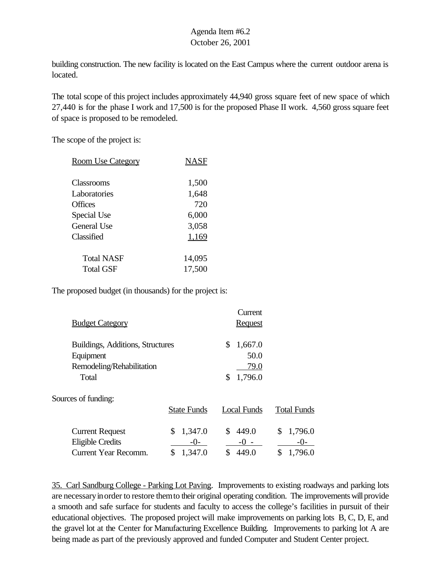building construction. The new facility is located on the East Campus where the current outdoor arena is located.

The total scope of this project includes approximately 44,940 gross square feet of new space of which 27,440 is for the phase I work and 17,500 is for the proposed Phase II work. 4,560 gross square feet of space is proposed to be remodeled.

The scope of the project is:

| <b>Room Use Category</b> | NASF   |
|--------------------------|--------|
| Classrooms               | 1,500  |
| Laboratories             | 1,648  |
| Offices                  | 720    |
| Special Use              | 6,000  |
| General Use              | 3,058  |
| Classified               | 1,169  |
| Total NASF               | 14,095 |
| Total GSF                | 17,500 |

The proposed budget (in thousands) for the project is:

| <b>Budget Category</b>                                                              |                                   | Current<br><b>Request</b>                      |                          |
|-------------------------------------------------------------------------------------|-----------------------------------|------------------------------------------------|--------------------------|
| Buildings, Additions, Structures<br>Equipment<br>Remodeling/Rehabilitation<br>Total |                                   | \$<br>1,667.0<br>50.0<br>79.0<br>1,796.0<br>\$ |                          |
| Sources of funding:                                                                 | <b>State Funds</b>                | <b>Local Funds</b>                             | <b>Total Funds</b>       |
| <b>Current Request</b><br><b>Eligible Credits</b><br>Current Year Recomm.           | 1,347.0<br>\$<br>$-()$<br>1,347.0 | \$<br>449.0<br>$-() -$<br>449.0                | 1,796.0<br>\$<br>1,796.0 |

35. Carl Sandburg College - Parking Lot Paving. Improvements to existing roadways and parking lots are necessary in order to restore them to their original operating condition. The improvements will provide a smooth and safe surface for students and faculty to access the college's facilities in pursuit of their educational objectives. The proposed project will make improvements on parking lots B, C, D, E, and the gravel lot at the Center for Manufacturing Excellence Building. Improvements to parking lot A are being made as part of the previously approved and funded Computer and Student Center project.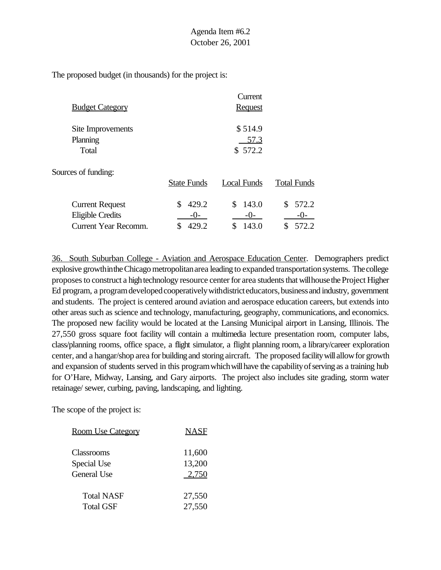The proposed budget (in thousands) for the project is:

|                        |                    | Current        |                    |
|------------------------|--------------------|----------------|--------------------|
| <b>Budget Category</b> |                    | <b>Request</b> |                    |
| Site Improvements      |                    | \$514.9        |                    |
| Planning               |                    | 57.3           |                    |
| Total                  |                    | \$572.2        |                    |
| Sources of funding:    |                    |                |                    |
|                        | <b>State Funds</b> | Local Funds    | <b>Total Funds</b> |
| <b>Current Request</b> | 429.2              | \$<br>143.0    | 572.2              |

Eligible Credits  $-0$ -  $-0$ -  $-0$ -Current Year Recomm. \$ 429.2 \$ 143.0 \$ 572.2

36. South Suburban College - Aviation and Aerospace Education Center. Demographers predict explosive growthinthe Chicago metropolitan area leading to expanded transportation systems. The college proposes to construct a high technology resource center for area students that will house the Project Higher Ed program, a program developed cooperatively with district educators, business and industry, government and students. The project is centered around aviation and aerospace education careers, but extends into other areas such as science and technology, manufacturing, geography, communications, and economics. The proposed new facility would be located at the Lansing Municipal airport in Lansing, Illinois. The 27,550 gross square foot facility will contain a multimedia lecture presentation room, computer labs, class/planning rooms, office space, a flight simulator, a flight planning room, a library/career exploration center, and a hangar/shop area for building and storing aircraft. The proposed facilitywill allowfor growth and expansion of students served in this program which will have the capability of serving as a training hub for O'Hare, Midway, Lansing, and Gary airports. The project also includes site grading, storm water retainage/ sewer, curbing, paving, landscaping, and lighting.

| <b>Room Use Category</b> | <b>NASF</b> |
|--------------------------|-------------|
| Classrooms               | 11,600      |
| Special Use              | 13,200      |
| General Use              | 2,750       |
| <b>Total NASF</b>        | 27,550      |
| <b>Total GSF</b>         | 27,550      |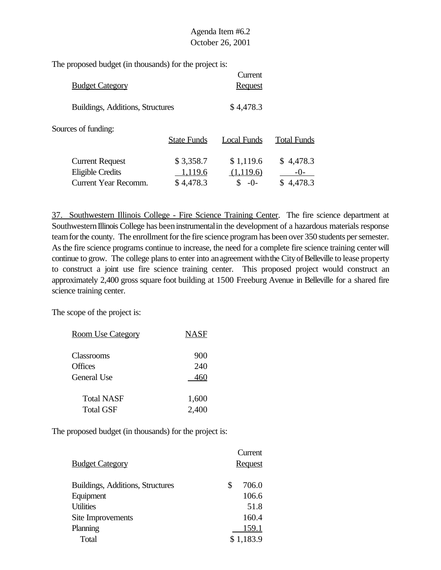The proposed budget (in thousands) for the project is:

| <b>Budget Category</b>                            |                      | Current<br><b>Request</b> |                      |
|---------------------------------------------------|----------------------|---------------------------|----------------------|
| Buildings, Additions, Structures                  |                      | \$4,478.3                 |                      |
| Sources of funding:                               | <b>State Funds</b>   | Local Funds               | <b>Total Funds</b>   |
| <b>Current Request</b><br><b>Eligible Credits</b> | \$3,358.7<br>1,119.6 | \$1,119.6<br>(1,119.6)    | \$4,478.3<br>$-()$ - |
| Current Year Recomm.                              | \$4,478.3            | $-()$                     | 4,478.3              |

37. Southwestern Illinois College - Fire Science Training Center. The fire science department at Southwestern Illinois College has been instrumental in the development of a hazardous materials response team for the county. The enrollment for the fire science program has been over 350 students per semester. Asthe fire science programs continue to increase, the need for a complete fire science training center will continue to grow. The college plans to enter into an agreement with the City of Belleville to lease property to construct a joint use fire science training center. This proposed project would construct an approximately 2,400 gross square foot building at 1500 Freeburg Avenue in Belleville for a shared fire science training center.

The scope of the project is:

| <b>Room Use Category</b> | <b>NASF</b> |
|--------------------------|-------------|
| Classrooms               | 900         |
| Offices                  | 240         |
| General Use              | 460         |
|                          |             |
| <b>Total NASF</b>        | 1,600       |
| <b>Total GSF</b>         | 2,400       |

|                                  | Current        |
|----------------------------------|----------------|
| <b>Budget Category</b>           | <b>Request</b> |
|                                  |                |
| Buildings, Additions, Structures | \$<br>706.0    |
| Equipment                        | 106.6          |
| <b>Utilities</b>                 | 51.8           |
| Site Improvements                | 160.4          |
| Planning                         | 159.1          |
| Total                            | \$1,183.9      |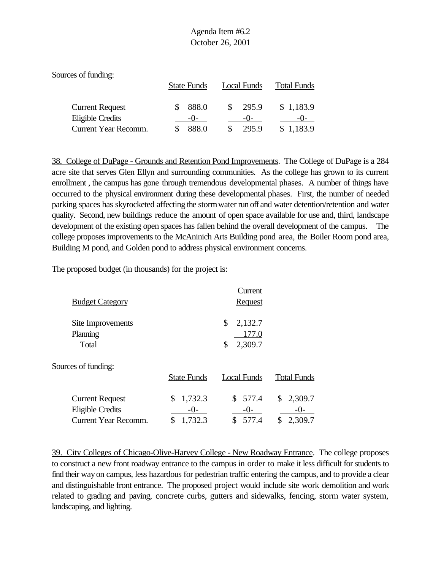| Sources of funding:                               |                    |                |                    |
|---------------------------------------------------|--------------------|----------------|--------------------|
|                                                   | <b>State Funds</b> | Local Funds    | <b>Total Funds</b> |
| <b>Current Request</b><br><b>Eligible Credits</b> | 888.0<br>$-()$     | 295.9<br>$-()$ | \$1,183.9          |
| Current Year Recomm.                              | 888.0              | 295.9          | \$1,183.9          |

38. College of DuPage - Grounds and Retention Pond Improvements. The College of DuPage is a 284 acre site that serves Glen Ellyn and surrounding communities. As the college has grown to its current enrollment , the campus has gone through tremendous developmental phases. A number of things have occurred to the physical environment during these developmental phases. First, the number of needed parking spaces has skyrocketed affecting the stormwater run off and water detention/retention and water quality. Second, new buildings reduce the amount of open space available for use and, third, landscape development of the existing open spaces has fallen behind the overall development of the campus. The college proposes improvements to the McAninich Arts Building pond area, the Boiler Room pond area, Building M pond, and Golden pond to address physical environment concerns.

The proposed budget (in thousands) for the project is:

| <b>Budget Category</b>                                                           |                                           | Current<br><b>Request</b>               |                                           |
|----------------------------------------------------------------------------------|-------------------------------------------|-----------------------------------------|-------------------------------------------|
| Site Improvements<br>Planning<br>Total                                           |                                           | \$<br>2,132.7<br>177.0<br>2,309.7<br>\$ |                                           |
| Sources of funding:                                                              | <b>State Funds</b>                        | <b>Local Funds</b>                      | <b>Total Funds</b>                        |
| <b>Current Request</b><br><b>Eligible Credits</b><br><b>Current Year Recomm.</b> | 1,732.3<br>\$<br>$-()$ -<br>1,732.3<br>\$ | \$577.4<br>$-0-$<br>\$<br>577.4         | 2,309.7<br>\$<br>$-()$ -<br>2,309.7<br>\$ |

39. City Colleges of Chicago-Olive-Harvey College - New Roadway Entrance. The college proposes to construct a new front roadway entrance to the campus in order to make it less difficult for students to find their wayon campus, less hazardous for pedestrian traffic entering the campus, and to provide a clear and distinguishable front entrance. The proposed project would include site work demolition and work related to grading and paving, concrete curbs, gutters and sidewalks, fencing, storm water system, landscaping, and lighting.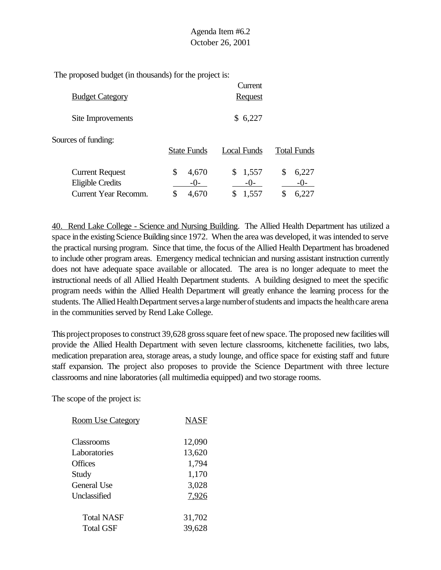The proposed budget (in thousands) for the project is:

|                                                   |                        | Current                |                        |
|---------------------------------------------------|------------------------|------------------------|------------------------|
| <b>Budget Category</b>                            |                        | <b>Request</b>         |                        |
| Site Improvements                                 |                        | \$6,227                |                        |
| Sources of funding:                               | <b>State Funds</b>     | Local Funds            | <b>Total Funds</b>     |
| <b>Current Request</b><br><b>Eligible Credits</b> | \$<br>4,670<br>$-()$ - | 1,557<br>\$<br>$-()$ - | \$<br>6,227<br>$-()$ - |
| <b>Current Year Recomm.</b>                       | 4,670                  | 1,557<br>\$            | 6,227                  |

40. Rend Lake College - Science and Nursing Building. The Allied Health Department has utilized a space in the existing Science Building since 1972. When the area was developed, it was intended to serve the practical nursing program. Since that time, the focus of the Allied Health Department has broadened to include other program areas. Emergency medical technician and nursing assistant instruction currently does not have adequate space available or allocated. The area is no longer adequate to meet the instructional needs of all Allied Health Department students. A building designed to meet the specific program needs within the Allied Health Department will greatly enhance the learning process for the students. The Allied Health Department serves a large number of students and impacts the health care arena in the communities served by Rend Lake College.

This project proposes to construct 39,628 gross square feet of new space. The proposed new facilities will provide the Allied Health Department with seven lecture classrooms, kitchenette facilities, two labs, medication preparation area, storage areas, a study lounge, and office space for existing staff and future staff expansion. The project also proposes to provide the Science Department with three lecture classrooms and nine laboratories (all multimedia equipped) and two storage rooms.

| <u>Room Use Category</u> | NASF   |
|--------------------------|--------|
| Classrooms               | 12,090 |
| Laboratories             | 13,620 |
| Offices                  | 1,794  |
| Study                    | 1,170  |
| General Use              | 3,028  |
| Unclassified             | 7,926  |
| Total NASF               | 31,702 |
| <b>Total GSF</b>         | 39,628 |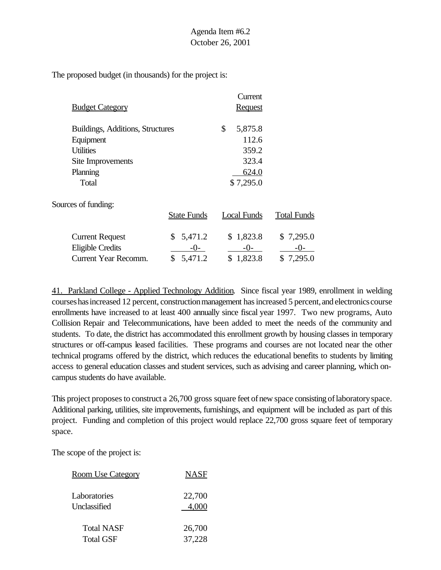The proposed budget (in thousands) for the project is:

|                                  |                    | Current            |                    |
|----------------------------------|--------------------|--------------------|--------------------|
| <b>Budget Category</b>           |                    | <b>Request</b>     |                    |
| Buildings, Additions, Structures |                    | \$<br>5,875.8      |                    |
| Equipment                        |                    | 112.6              |                    |
| <b>Utilities</b>                 |                    | 359.2              |                    |
| Site Improvements                |                    | 323.4              |                    |
| Planning                         |                    | 624.0              |                    |
| Total                            |                    | \$7,295.0          |                    |
| Sources of funding:              |                    |                    |                    |
|                                  | <b>State Funds</b> | <b>Local Funds</b> | <b>Total Funds</b> |
| <b>Current Request</b>           | 5,471.2<br>S.      | \$1,823.8          | \$7,295.0          |
| <b>Eligible Credits</b>          | -0-                | $-()$ -            | -0-                |
| <b>Current Year Recomm.</b>      | \$<br>5,471.2      | \$1,823.8          | \$7,295.0          |

41. Parkland College - Applied Technology Addition. Since fiscal year 1989, enrollment in welding courses has increased 12 percent, construction management has increased 5 percent, and electronics course enrollments have increased to at least 400 annually since fiscal year 1997. Two new programs, Auto Collision Repair and Telecommunications, have been added to meet the needs of the community and students. To date, the district has accommodated this enrollment growth by housing classes in temporary structures or off-campus leased facilities. These programs and courses are not located near the other technical programs offered by the district, which reduces the educational benefits to students by limiting access to general education classes and student services, such as advising and career planning, which oncampus students do have available.

This project proposes to construct a 26,700 gross square feet of new space consisting of laboratory space. Additional parking, utilities, site improvements, furnishings, and equipment will be included as part of this project. Funding and completion of this project would replace 22,700 gross square feet of temporary space.

| <u>Room Use Category</u> | <b>NASF</b> |
|--------------------------|-------------|
| Laboratories             | 22,700      |
| Unclassified             | 4,000       |
| <b>Total NASF</b>        | 26,700      |
| <b>Total GSF</b>         | 37,228      |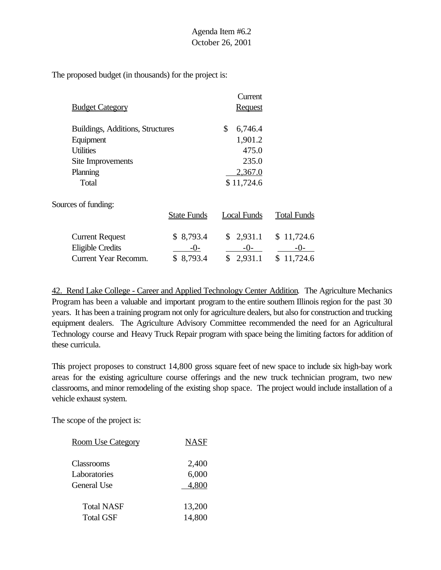The proposed budget (in thousands) for the project is:

|                                  |                    | Current        |                    |
|----------------------------------|--------------------|----------------|--------------------|
| <b>Budget Category</b>           |                    | <b>Request</b> |                    |
| Buildings, Additions, Structures |                    | \$<br>6,746.4  |                    |
| Equipment                        |                    | 1,901.2        |                    |
| <b>Utilities</b>                 |                    | 475.0          |                    |
| Site Improvements                |                    | 235.0          |                    |
| Planning                         |                    | 2,367.0        |                    |
| Total                            |                    | \$11,724.6     |                    |
| Sources of funding:              |                    |                |                    |
|                                  | <b>State Funds</b> | Local Funds    | <b>Total Funds</b> |
| <b>Current Request</b>           | \$8,793.4          | \$2,931.1      | \$11,724.6         |
| <b>Eligible Credits</b>          | $-()$              | $-0-$          | $-()$ -            |
| Current Year Recomm.             | \$8,793.4          | \$<br>2,931.1  | \$11,724.6         |

42. Rend Lake College - Career and Applied Technology Center Addition. The Agriculture Mechanics Program has been a valuable and important program to the entire southern Illinois region for the past 30 years. It has been a training program not only for agriculture dealers, but also for construction and trucking equipment dealers. The Agriculture Advisory Committee recommended the need for an Agricultural Technology course and Heavy Truck Repair program with space being the limiting factors for addition of these curricula.

This project proposes to construct 14,800 gross square feet of new space to include six high-bay work areas for the existing agriculture course offerings and the new truck technician program, two new classrooms, and minor remodeling of the existing shop space. The project would include installation of a vehicle exhaust system.

| <b>Room Use Category</b> | <b>NASF</b> |
|--------------------------|-------------|
| Classrooms               | 2,400       |
| Laboratories             | 6,000       |
| General Use              | 4.800       |
| <b>Total NASF</b>        | 13,200      |
| <b>Total GSF</b>         | 14,800      |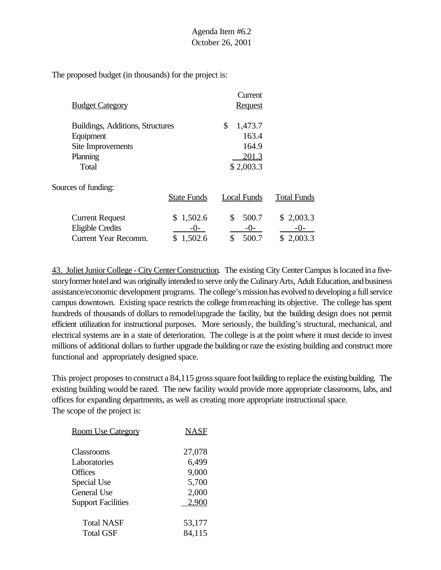The proposed budget (in thousands) for the project is:

|                                  |                    | Current        |                    |
|----------------------------------|--------------------|----------------|--------------------|
| <b>Budget Category</b>           |                    | <b>Request</b> |                    |
| Buildings, Additions, Structures |                    | \$<br>1,473.7  |                    |
| Equipment                        |                    | 163.4          |                    |
| Site Improvements                |                    | 164.9          |                    |
| Planning                         |                    | 201.3          |                    |
| Total                            |                    | \$2,003.3      |                    |
| Sources of funding:              |                    |                |                    |
|                                  | <b>State Funds</b> | Local Funds    | <b>Total Funds</b> |
| <b>Current Request</b>           | \$1,502.6          | 500.7<br>\$    | \$2,003.3          |
| <b>Eligible Credits</b>          | $-()$ -            | $-0-$          | $-()$ -            |
| <b>Current Year Recomm.</b>      | 1,502.6<br>\$      | 500.7<br>\$    | \$2,003.3          |

43. Joliet Junior College - City Center Construction. The existing City CenterCampus islocated ina fivestory former hotel and was originally intended to serve only the Culinary Arts, Adult Education, and business assistance/economic development programs. The college's mission has evolved to developing a full service campus downtown. Existing space restricts the college fromreaching its objective. The college has spent hundreds of thousands of dollars to remodel/upgrade the facility, but the building design does not permit efficient utilization for instructional purposes. More seriously, the building's structural, mechanical, and electrical systems are in a state of deterioration. The college is at the point where it must decide to invest millions of additional dollars to further upgrade the building or raze the existing building and construct more functional and appropriately designed space.

This project proposes to construct a 84,115 gross square foot building to replace the existing building. The existing building would be razed. The new facility would provide more appropriate classrooms, labs, and offices for expanding departments, as well as creating more appropriate instructional space. The scope of the project is:

| <b>Room Use Category</b>              | NASF             |
|---------------------------------------|------------------|
| Classrooms<br>Laboratories            | 27,078<br>6,499  |
| Offices                               | 9,000            |
| Special Use<br>General Use            | 5,700<br>2,000   |
| <b>Support Facilities</b>             | 2,900            |
| <b>Total NASF</b><br><b>Total GSF</b> | 53,177<br>84,115 |
|                                       |                  |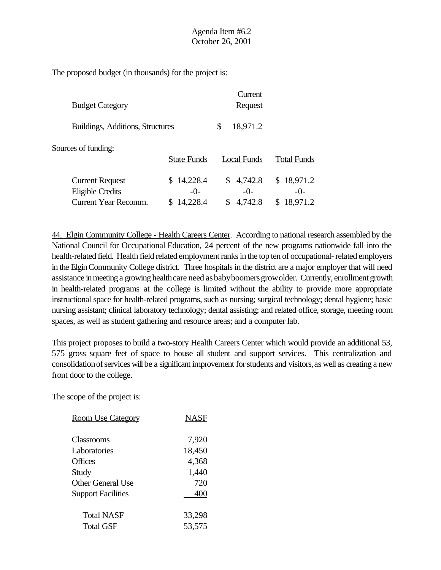The proposed budget (in thousands) for the project is:

|                                                   |                       | Current            |                       |
|---------------------------------------------------|-----------------------|--------------------|-----------------------|
| <b>Budget Category</b>                            |                       | <b>Request</b>     |                       |
| Buildings, Additions, Structures                  |                       | 18,971.2<br>\$     |                       |
| Sources of funding:                               | <b>State Funds</b>    | Local Funds        | <b>Total Funds</b>    |
| <b>Current Request</b><br><b>Eligible Credits</b> | \$14,228.4<br>$-()$ - | 4,742.8<br>$-()$ - | \$18,971.2<br>$-()$ - |
| Current Year Recomm.                              | 14,228.4              | 4,742.8            | 18,971.2              |

44. Elgin Community College - Health Careers Center. According to national research assembled by the National Council for Occupational Education, 24 percent of the new programs nationwide fall into the health-related field. Health field related employment ranks in the top ten of occupational- related employers in the Elgin Community College district. Three hospitals in the district are a major employer that will need assistance in meeting a growing health care need as baby boomers growolder. Currently, enrollment growth in health-related programs at the college is limited without the ability to provide more appropriate instructional space for health-related programs, such as nursing; surgical technology; dental hygiene; basic nursing assistant; clinical laboratory technology; dental assisting; and related office, storage, meeting room spaces, as well as student gathering and resource areas; and a computer lab.

This project proposes to build a two-story Health Careers Center which would provide an additional 53, 575 gross square feet of space to house all student and support services. This centralization and consolidation of services will be a significant improvement for students and visitors, as well as creating a new front door to the college.

| <b>Room Use Category</b>  | NASF   |
|---------------------------|--------|
| Classrooms                | 7,920  |
| Laboratories              | 18,450 |
| <b>Offices</b>            | 4,368  |
| Study                     | 1,440  |
| <b>Other General Use</b>  | 720    |
| <b>Support Facilities</b> | 400    |
| Total NASF                | 33,298 |
| <b>Total GSF</b>          | 53,575 |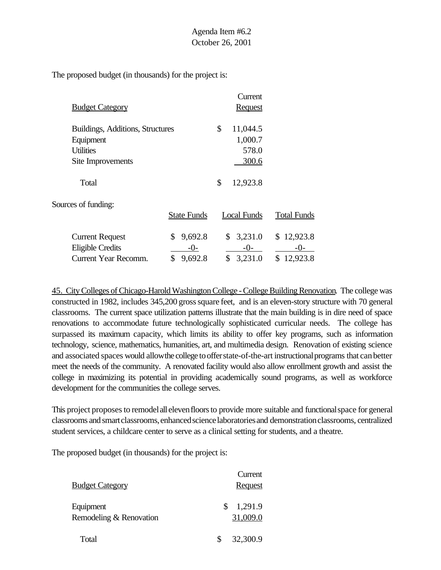The proposed budget (in thousands) for the project is:

|                                  |                    | Current        |                    |
|----------------------------------|--------------------|----------------|--------------------|
| <b>Budget Category</b>           |                    | <b>Request</b> |                    |
| Buildings, Additions, Structures |                    | \$<br>11,044.5 |                    |
| Equipment                        |                    | 1,000.7        |                    |
| <b>Utilities</b>                 |                    | 578.0          |                    |
| Site Improvements                |                    | 300.6          |                    |
| Total                            |                    | \$<br>12,923.8 |                    |
| Sources of funding:              |                    |                |                    |
|                                  | <b>State Funds</b> | Local Funds    | <b>Total Funds</b> |
| <b>Current Request</b>           | 9,692.8<br>\$      | 3,231.0<br>\$  | \$12,923.8         |
| <b>Eligible Credits</b>          | $-()$              | $-0-$          | $-()$              |
| <b>Current Year Recomm.</b>      | \$<br>9,692.8      | \$<br>3,231.0  | \$12,923.8         |

45. City Colleges of Chicago-Harold Washington College - College Building Renovation. The college was constructed in 1982, includes 345,200 gross square feet, and is an eleven-story structure with 70 general classrooms. The current space utilization patterns illustrate that the main building is in dire need of space renovations to accommodate future technologically sophisticated curricular needs. The college has surpassed its maximum capacity, which limits its ability to offer key programs, such as information technology, science, mathematics, humanities, art, and multimedia design. Renovation of existing science and associated spaces would allowthe college toofferstate-of-the-art instructionalprograms that canbetter meet the needs of the community. A renovated facility would also allow enrollment growth and assist the college in maximizing its potential in providing academically sound programs, as well as workforce development for the communities the college serves.

This project proposesto remodelall elevenfloorsto provide more suitable and functionalspace for general classrooms and smartclassrooms,enhancedsciencelaboratoriesand demonstrationclassrooms, centralized student services, a childcare center to serve as a clinical setting for students, and a theatre.

| <b>Budget Category</b>               | Current<br><b>Request</b> |
|--------------------------------------|---------------------------|
| Equipment<br>Remodeling & Renovation | 1,291.9<br>31,009.0       |
| Total                                | 32,300.9                  |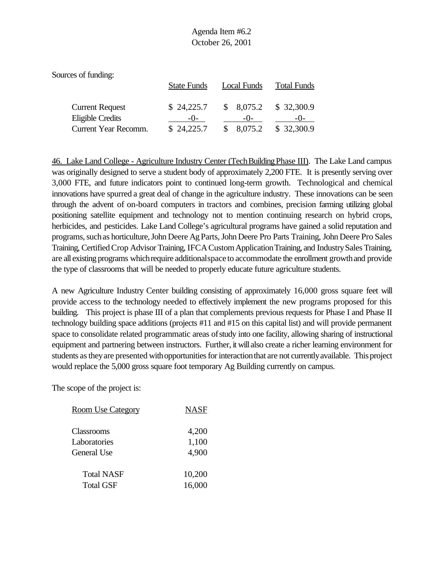| Sources of funding:                        |                     |                    |                    |
|--------------------------------------------|---------------------|--------------------|--------------------|
|                                            | <b>State Funds</b>  | Local Funds        | <b>Total Funds</b> |
| <b>Current Request</b><br>Eligible Credits | \$24,225.7<br>$-()$ | \$8,075.2<br>$-()$ | \$32,300.9         |
| Current Year Recomm.                       | \$24,225.7          | 8,075.2            | \$32,300.9         |

46. Lake Land College - Agriculture Industry Center (TechBuildingPhase III). The Lake Land campus was originally designed to serve a student body of approximately 2,200 FTE. It is presently serving over 3,000 FTE, and future indicators point to continued long-term growth. Technological and chemical innovations have spurred a great deal of change in the agriculture industry. These innovations can be seen through the advent of on-board computers in tractors and combines, precision farming utilizing global positioning satellite equipment and technology not to mention continuing research on hybrid crops, herbicides, and pesticides. Lake Land College's agricultural programs have gained a solid reputation and programs, such as horticulture, John Deere Ag Parts, John Deere Pro Parts Training, John Deere Pro Sales Training, CertifiedCrop Advisor Training, IFCACustomApplicationTraining, and IndustrySales Training, are all existing programs which require additional space to accommodate the enrollment growth and provide the type of classrooms that will be needed to properly educate future agriculture students.

A new Agriculture Industry Center building consisting of approximately 16,000 gross square feet will provide access to the technology needed to effectively implement the new programs proposed for this building. This project is phase III of a plan that complements previous requests for Phase I and Phase II technology building space additions (projects #11 and #15 on this capital list) and will provide permanent space to consolidate related programmatic areas of study into one facility, allowing sharing of instructional equipment and partnering between instructors. Further, it will also create a richer learning environment for students as they are presented with opportunities for interaction that are not currently available. This project would replace the 5,000 gross square foot temporary Ag Building currently on campus.

| <b>Room Use Category</b> | <b>NASF</b> |
|--------------------------|-------------|
| Classrooms               | 4,200       |
| Laboratories             | 1,100       |
| General Use              | 4,900       |
| <b>Total NASF</b>        | 10,200      |
| <b>Total GSF</b>         | 16,000      |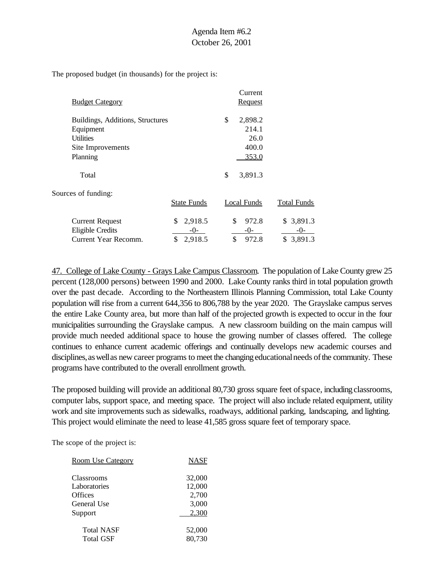The proposed budget (in thousands) for the project is:

| <b>Budget Category</b>           |                    | Current<br>Request |                    |
|----------------------------------|--------------------|--------------------|--------------------|
| Buildings, Additions, Structures |                    | \$<br>2,898.2      |                    |
| Equipment                        |                    | 214.1              |                    |
| <b>Utilities</b>                 |                    | 26.0               |                    |
| Site Improvements                |                    | 400.0              |                    |
| Planning                         |                    | 353.0              |                    |
| Total                            |                    | \$<br>3,891.3      |                    |
| Sources of funding:              |                    |                    |                    |
|                                  | <b>State Funds</b> | Local Funds        | <b>Total Funds</b> |
| <b>Current Request</b>           | 2,918.5<br>\$      | \$<br>972.8        | \$3,891.3          |
| Eligible Credits                 | $-()$ -            | $-0-$              | $-0-$              |
| Current Year Recomm.             | \$<br>2,918.5      | \$<br>972.8        | 3,891.3<br>\$      |

47. College of Lake County - Grays Lake Campus Classroom. The population of Lake County grew 25 percent (128,000 persons) between 1990 and 2000. Lake County ranks third in total population growth over the past decade. According to the Northeastern Illinois Planning Commission, total Lake County population will rise from a current 644,356 to 806,788 by the year 2020. The Grayslake campus serves the entire Lake County area, but more than half of the projected growth is expected to occur in the four municipalities surrounding the Grayslake campus. A new classroom building on the main campus will provide much needed additional space to house the growing number of classes offered. The college continues to enhance current academic offerings and continually develops new academic courses and disciplines, as well as new career programs to meet the changing educational needs of the community. These programs have contributed to the overall enrollment growth.

The proposed building will provide an additional 80,730 gross square feet ofspace, including classrooms, computer labs, support space, and meeting space. The project will also include related equipment, utility work and site improvements such as sidewalks, roadways, additional parking, landscaping, and lighting. This project would eliminate the need to lease 41,585 gross square feet of temporary space.

| <b>Room Use Category</b> | <b>NASF</b> |
|--------------------------|-------------|
| Classrooms               | 32,000      |
| Laboratories             | 12,000      |
| Offices                  | 2,700       |
| General Use              | 3,000       |
| Support                  | 2,300       |
| <b>Total NASF</b>        | 52,000      |
| Total GSF                | 80,730      |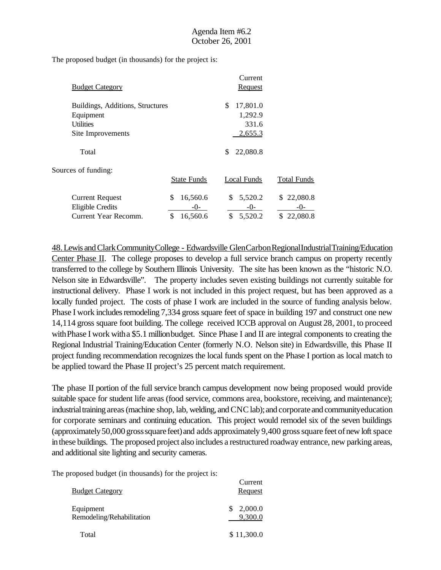The proposed budget (in thousands) for the project is:

|                                  |                    | Current        |                    |
|----------------------------------|--------------------|----------------|--------------------|
| <b>Budget Category</b>           |                    | <b>Request</b> |                    |
| Buildings, Additions, Structures |                    | \$<br>17,801.0 |                    |
| Equipment                        |                    | 1,292.9        |                    |
| <b>Utilities</b>                 |                    | 331.6          |                    |
| Site Improvements                |                    | 2,655.3        |                    |
| Total                            |                    | 22,080.8<br>S  |                    |
| Sources of funding:              |                    |                |                    |
|                                  | <b>State Funds</b> | Local Funds    | <b>Total Funds</b> |
| <b>Current Request</b>           | \$<br>16,560.6     | 5,520.2<br>\$. | 22,080.8<br>S.     |
| <b>Eligible Credits</b>          | $-()$ -            | $-0-$          | $-0-$              |
| Current Year Recomm.             | \$<br>16,560.6     | 5,520.2<br>\$  | 22,080.8<br>\$.    |

48.Lewis andClarkCommunityCollege - Edwardsville GlenCarbonRegionalIndustrialTraining/Education Center Phase II. The college proposes to develop a full service branch campus on property recently transferred to the college by Southern Illinois University. The site has been known as the "historic N.O. Nelson site in Edwardsville". The property includes seven existing buildings not currently suitable for instructional delivery. Phase I work is not included in this project request, but has been approved as a locally funded project. The costs of phase I work are included in the source of funding analysis below. Phase I work includes remodeling 7,334 gross square feet of space in building 197 and construct one new 14,114 gross square foot building. The college received ICCB approval on August 28, 2001, to proceed with Phase I work with a \$5.1 million budget. Since Phase I and II are integral components to creating the Regional Industrial Training/Education Center (formerly N.O. Nelson site) in Edwardsville, this Phase II project funding recommendation recognizes the local funds spent on the Phase I portion as local match to be applied toward the Phase II project's 25 percent match requirement.

The phase II portion of the full service branch campus development now being proposed would provide suitable space for student life areas (food service, commons area, bookstore, receiving, and maintenance); industrial training areas (machine shop, lab, welding, and CNC lab); and corporate and communityeducation for corporate seminars and continuing education. This project would remodel six of the seven buildings (approximately 50,000 gross square feet) and adds approximately 9,400 gross square feet of new loft space inthese buildings. The proposed project also includes a restructured roadway entrance, new parking areas, and additional site lighting and security cameras.

Current

| <b>Budget Category</b>                 | Culture<br>Request |
|----------------------------------------|--------------------|
| Equipment<br>Remodeling/Rehabilitation | 2,000.0<br>9,300.0 |
| Total                                  | \$11,300.0         |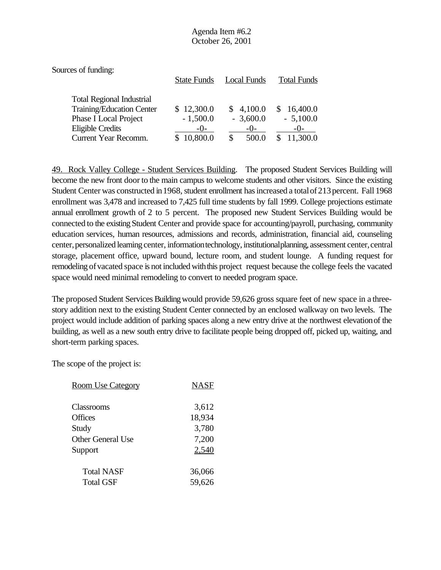| Sources of funding:                                                                                                                              | <b>State Funds</b>                              | <b>Local Funds</b>                        | <b>Total Funds</b>                                  |
|--------------------------------------------------------------------------------------------------------------------------------------------------|-------------------------------------------------|-------------------------------------------|-----------------------------------------------------|
| <b>Total Regional Industrial</b><br>Training/Education Center<br>Phase I Local Project<br><b>Eligible Credits</b><br><b>Current Year Recomm.</b> | \$12,300.0<br>$-1,500.0$<br>$-()$ -<br>10,800.0 | \$4,100.0<br>$-3,600.0$<br>$-()$<br>500.0 | 16,400.0<br>S.<br>$-5,100.0$<br>$-()$ -<br>11,300.0 |

49. Rock Valley College - Student Services Building. The proposed Student Services Building will become the new front door to the main campus to welcome students and other visitors. Since the existing Student Center was constructed in 1968, student enrollment has increased a total of 213 percent. Fall 1968 enrollment was 3,478 and increased to 7,425 full time students by fall 1999. College projections estimate annual enrollment growth of 2 to 5 percent. The proposed new Student Services Building would be connected to the existing Student Center and provide space for accounting/payroll, purchasing, community education services, human resources, admissions and records, administration, financial aid, counseling center, personalized learning center, information technology, institutional planning, assessment center, central storage, placement office, upward bound, lecture room, and student lounge. A funding request for remodeling of vacated space is not included with this project request because the college feels the vacated space would need minimal remodeling to convert to needed program space.

The proposed Student Services Building would provide 59,626 gross square feet of new space in a threestory addition next to the existing Student Center connected by an enclosed walkway on two levels. The project would include addition of parking spaces along a new entry drive at the northwest elevationof the building, as well as a new south entry drive to facilitate people being dropped off, picked up, waiting, and short-term parking spaces.

| <b>Room Use Category</b> | <b>NASF</b> |
|--------------------------|-------------|
| <b>Classrooms</b>        | 3,612       |
| <b>Offices</b>           | 18,934      |
| Study                    | 3,780       |
| <b>Other General Use</b> | 7,200       |
| Support                  | 2,540       |
| <b>Total NASF</b>        | 36,066      |
| <b>Total GSF</b>         | 59,626      |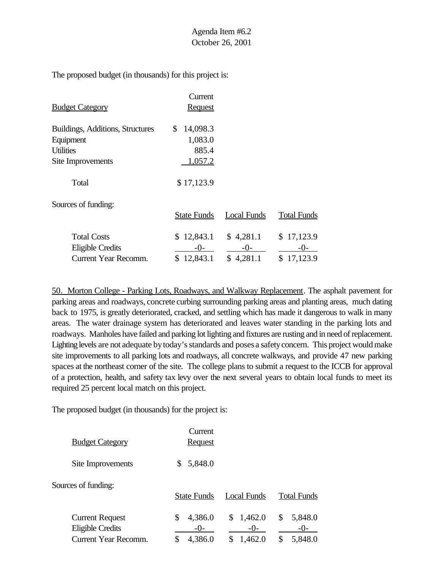The proposed budget (in thousands) for this project is:

|                                         | Current            |                    |                    |
|-----------------------------------------|--------------------|--------------------|--------------------|
| <b>Budget Category</b>                  | <b>Request</b>     |                    |                    |
| <b>Buildings, Additions, Structures</b> | 14,098.3<br>\$     |                    |                    |
| Equipment                               | 1,083.0            |                    |                    |
| <b>Utilities</b>                        | 885.4              |                    |                    |
| Site Improvements                       | 1,057.2            |                    |                    |
| Total                                   | \$17,123.9         |                    |                    |
| Sources of funding:                     |                    |                    |                    |
|                                         | <b>State Funds</b> | <b>Local Funds</b> | <b>Total Funds</b> |
| <b>Total Costs</b>                      | \$12,843.1         | \$4,281.1          | \$17,123.9         |
| <b>Eligible Credits</b>                 | $-0-$              | $-0-$              | $-()$ -            |
| Current Year Recomm.                    | \$12,843.1         | \$4,281.1          | \$17,123.9         |

50. Morton College - Parking Lots, Roadways, and Walkway Replacement. The asphalt pavement for parking areas and roadways, concrete curbing surrounding parking areas and planting areas, much dating back to 1975, is greatly deteriorated, cracked, and settling which has made it dangerous to walk in many areas. The water drainage system has deteriorated and leaves water standing in the parking lots and roadways. Manholes have failed and parking lot lighting and fixtures are rusting and in need of replacement. Lighting levels are not adequate by today's standards and poses a safety concern. This project would make site improvements to all parking lots and roadways, all concrete walkways, and provide 47 new parking spaces at the northeast corner of the site. The college plans to submit a request to the ICCB for approval of a protection, health, and safety tax levy over the next several years to obtain local funds to meet its required 25 percent local match on this project.

| <b>Budget Category</b>                                                    | Current<br><b>Request</b>               |                                   |                                           |
|---------------------------------------------------------------------------|-----------------------------------------|-----------------------------------|-------------------------------------------|
| Site Improvements                                                         | 5,848.0<br>S                            |                                   |                                           |
| Sources of funding:                                                       | <b>State Funds</b>                      | <b>Local Funds</b>                | <b>Total Funds</b>                        |
| <b>Current Request</b><br><b>Eligible Credits</b><br>Current Year Recomm. | 4,386.0<br>\$<br>$-()$<br>4,386.0<br>\$ | \$<br>1,462.0<br>$-()$<br>1,462.0 | \$<br>5,848.0<br>$-()$ -<br>\$<br>5,848.0 |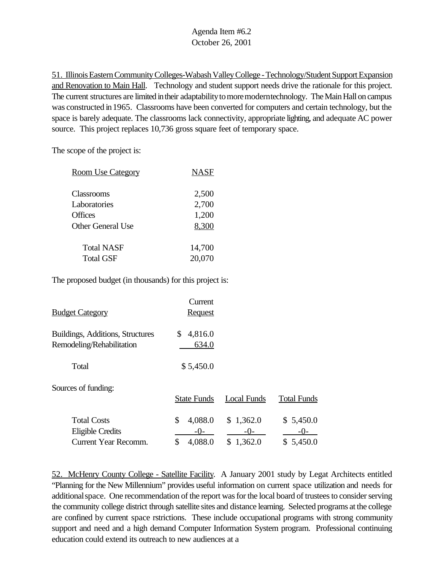51. Illinois Eastern Community Colleges-Wabash Valley College - Technology/Student Support Expansion and Renovation to Main Hall. Technology and student support needs drive the rationale for this project. The current structures are limited in their adaptability to more moderntechnology. The Main Hall on campus was constructed in 1965. Classrooms have been converted for computers and certain technology, but the space is barely adequate. The classrooms lack connectivity, appropriate lighting, and adequate AC power source. This project replaces 10,736 gross square feet of temporary space.

The scope of the project is:

| <b>Room Use Category</b> | <b>NASF</b> |
|--------------------------|-------------|
| Classrooms               | 2,500       |
| Laboratories             | 2,700       |
| Offices                  | 1,200       |
| Other General Use        | 8,300       |
| <b>Total NASF</b>        | 14,700      |
| <b>Total GSF</b>         | 20,070      |

The proposed budget (in thousands) for this project is:

| <u> Budget Category</u>                                                      | Current<br><b>Request</b>               |                                 |                                   |
|------------------------------------------------------------------------------|-----------------------------------------|---------------------------------|-----------------------------------|
| <b>Buildings, Additions, Structures</b><br>Remodeling/Rehabilitation         | \$<br>4,816.0<br>634.0                  |                                 |                                   |
| Total                                                                        | \$5,450.0                               |                                 |                                   |
| Sources of funding:                                                          | <b>State Funds</b>                      | <b>Local Funds</b>              | <b>Total Funds</b>                |
| <b>Total Costs</b><br><b>Eligible Credits</b><br><b>Current Year Recomm.</b> | \$<br>4,088.0<br>$-0-$<br>4,088.0<br>\$ | \$1,362.0<br>$-0-$<br>\$1,362.0 | \$5,450.0<br>$-()$ -<br>\$5,450.0 |

52. McHenry County College - Satellite Facility. A January 2001 study by Legat Architects entitled "Planning for the New Millennium" provides useful information on current space utilization and needs for additionalspace. One recommendation of the report was for the local board of trustees to consider serving the community college district through satellite sites and distance learning. Selected programs at the college are confined by current space rstrictions. These include occupational programs with strong community support and need and a high demand Computer Information System program. Professional continuing education could extend its outreach to new audiences at a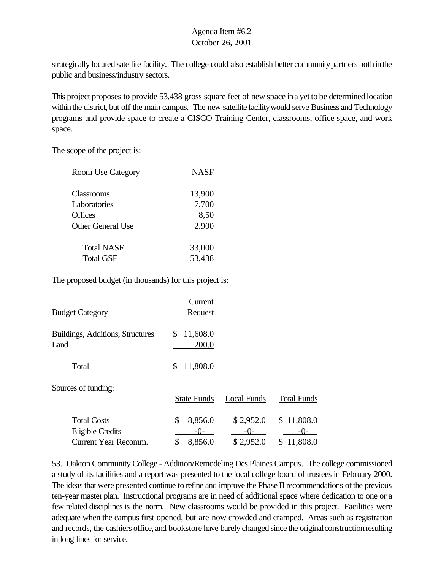strategically located satellite facility. The college could also establish better community partners both in the public and business/industry sectors.

This project proposes to provide 53,438 gross square feet of new space ina yet to be determined location within the district, but off the main campus. The new satellite facility would serve Business and Technology programs and provide space to create a CISCO Training Center, classrooms, office space, and work space.

The scope of the project is:

| <b>Room Use Category</b> | <b>NASF</b> |
|--------------------------|-------------|
| Classrooms               | 13,900      |
| Laboratories             | 7,700       |
| Offices                  | 8,50        |
| <b>Other General Use</b> | 2,900       |
| <b>Total NASF</b>        | 33,000      |
| <b>Total GSF</b>         | 53,438      |

The proposed budget (in thousands) for this project is:

| <b>Budget Category</b>                        | Current<br><b>Request</b> |                      |                     |
|-----------------------------------------------|---------------------------|----------------------|---------------------|
| Buildings, Additions, Structures<br>Land      | 11,608.0<br>\$<br>200.0   |                      |                     |
| Total                                         | 11,808.0<br>\$            |                      |                     |
| Sources of funding:                           | <b>State Funds</b>        | <b>Local Funds</b>   | <b>Total Funds</b>  |
| <b>Total Costs</b><br><b>Eligible Credits</b> | \$<br>8,856.0<br>$-0-$    | \$2,952.0<br>$-()$ - | \$11,808.0<br>$-0-$ |
| <b>Current Year Recomm.</b>                   | \$<br>8,856.0             | \$2,952.0            | 11,808.0<br>\$      |

53. Oakton Community College - Addition/Remodeling Des Plaines Campus. The college commissioned a study of its facilities and a report was presented to the local college board of trustees in February 2000. The ideas that were presented continue to refine and improve the Phase II recommendations of the previous ten-year master plan. Instructional programs are in need of additional space where dedication to one or a few related disciplines is the norm. New classrooms would be provided in this project. Facilities were adequate when the campus first opened, but are now crowded and cramped. Areas such as registration and records, the cashiers office, and bookstore have barely changed since the originalconstructionresulting in long lines for service.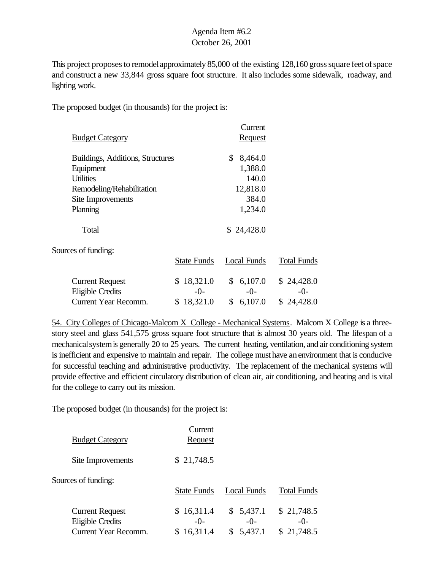This project proposes to remodel approximately 85,000 of the existing 128,160 gross square feet of space and construct a new 33,844 gross square foot structure. It also includes some sidewalk, roadway, and lighting work.

The proposed budget (in thousands) for the project is:

|                                  |                    | Current        |                    |
|----------------------------------|--------------------|----------------|--------------------|
| <b>Budget Category</b>           |                    | <b>Request</b> |                    |
| Buildings, Additions, Structures |                    | \$<br>8,464.0  |                    |
| Equipment                        |                    | 1,388.0        |                    |
| <b>Utilities</b>                 |                    | 140.0          |                    |
| Remodeling/Rehabilitation        |                    | 12,818.0       |                    |
| Site Improvements                |                    | 384.0          |                    |
| Planning                         |                    | 1,234.0        |                    |
| Total                            |                    | \$24,428.0     |                    |
| Sources of funding:              |                    |                |                    |
|                                  | <b>State Funds</b> | Local Funds    | <b>Total Funds</b> |
| <b>Current Request</b>           | \$18,321.0         | 6,107.0<br>\$  | \$24,428.0         |

Eligible Credits  $-0$ - $-0$ - $-0$ - $-$ Current Year Recomm. \$ 18,321.0 \$ 6,107.0 \$ 24,428.0

54. City Colleges of Chicago-Malcom X College - Mechanical Systems. Malcom X College is a threestory steel and glass 541,575 gross square foot structure that is almost 30 years old. The lifespan of a mechanical system is generally 20 to 25 years. The current heating, ventilation, and air conditioning system is inefficient and expensive to maintain and repair. The college must have anenvironment that is conducive for successful teaching and administrative productivity. The replacement of the mechanical systems will provide effective and efficient circulatory distribution of clean air, air conditioning, and heating and is vital for the college to carry out its mission.

| <b>Budget Category</b>                                                    | Current<br><b>Request</b>         |                               |                                 |
|---------------------------------------------------------------------------|-----------------------------------|-------------------------------|---------------------------------|
| Site Improvements                                                         | \$21,748.5                        |                               |                                 |
| Sources of funding:                                                       | <b>State Funds</b>                | <b>Local Funds</b>            | <b>Total Funds</b>              |
| <b>Current Request</b><br>Eligible Credits<br><b>Current Year Recomm.</b> | \$16,311.4<br>$-()$ -<br>16,311.4 | \$5,437.1<br>$-0-$<br>5,437.1 | \$21,748.5<br>$-()$<br>21,748.5 |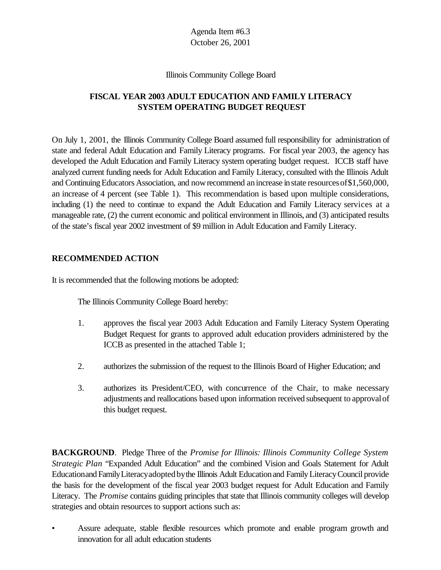#### Illinois Community College Board

# **FISCAL YEAR 2003 ADULT EDUCATION AND FAMILY LITERACY SYSTEM OPERATING BUDGET REQUEST**

On July 1, 2001, the Illinois Community College Board assumed full responsibility for administration of state and federal Adult Education and Family Literacy programs. For fiscal year 2003, the agency has developed the Adult Education and Family Literacy system operating budget request. ICCB staff have analyzed current funding needs for Adult Education and Family Literacy, consulted with the Illinois Adult and Continuing Educators Association, and now recommend an increase in state resources of \$1,560,000, an increase of 4 percent (see Table 1). This recommendation is based upon multiple considerations, including (1) the need to continue to expand the Adult Education and Family Literacy services at a manageable rate, (2) the current economic and political environment in Illinois, and (3) anticipated results of the state's fiscal year 2002 investment of \$9 million in Adult Education and Family Literacy.

### **RECOMMENDED ACTION**

It is recommended that the following motions be adopted:

The Illinois Community College Board hereby:

- 1. approves the fiscal year 2003 Adult Education and Family Literacy System Operating Budget Request for grants to approved adult education providers administered by the ICCB as presented in the attached Table 1;
- 2. authorizes the submission of the request to the Illinois Board of Higher Education; and
- 3. authorizes its President/CEO, with concurrence of the Chair, to make necessary adjustments and reallocations based upon information received subsequent to approvalof this budget request.

**BACKGROUND**. Pledge Three of the *Promise for Illinois: Illinois Community College System Strategic Plan* "Expanded Adult Education" and the combined Vision and Goals Statement for Adult Educationand FamilyLiteracyadoptedbythe Illinois Adult Educationand FamilyLiteracyCouncil provide the basis for the development of the fiscal year 2003 budget request for Adult Education and Family Literacy. The *Promise* contains guiding principles that state that Illinois community colleges will develop strategies and obtain resources to support actions such as:

• Assure adequate, stable flexible resources which promote and enable program growth and innovation for all adult education students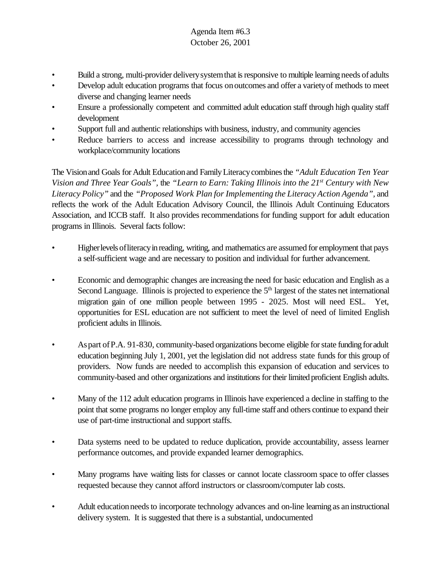- Build a strong, multi-provider delivery system that is responsive to multiple learning needs of adults
- Develop adult education programs that focus on outcomes and offer a variety of methods to meet diverse and changing learner needs
- Ensure a professionally competent and committed adult education staff through high quality staff development
- Support full and authentic relationships with business, industry, and community agencies
- Reduce barriers to access and increase accessibility to programs through technology and workplace/community locations

The Visionand Goals for Adult Educationand FamilyLiteracycombinesthe *"Adult Education Ten Year Vision and Three Year Goals",* the *"Learn to Earn: Taking Illinois into the 21st Century with New Literacy Policy"* and the *"Proposed Work Plan forImplementing the Literacy Action Agenda",* and reflects the work of the Adult Education Advisory Council, the Illinois Adult Continuing Educators Association, and ICCB staff. It also provides recommendations for funding support for adult education programs in Illinois. Several facts follow:

- Higher levels of literacy in reading, writing, and mathematics are assumed for employment that pays a self-sufficient wage and are necessary to position and individual for further advancement.
- Economic and demographic changes are increasing the need for basic education and English as a Second Language. Illinois is projected to experience the 5<sup>th</sup> largest of the states net international migration gain of one million people between 1995 - 2025. Most will need ESL. Yet, opportunities for ESL education are not sufficient to meet the level of need of limited English proficient adults in Illinois.
- Aspart ofP.A. 91-830, community-based organizations become eligible forstate funding foradult education beginning July 1, 2001, yet the legislation did not address state funds for this group of providers. Now funds are needed to accomplish this expansion of education and services to community-based and other organizations and institutions fortheir limited proficient English adults.
- Many of the 112 adult education programs in Illinois have experienced a decline in staffing to the point that some programs no longer employ any full-time staff and others continue to expand their use of part-time instructional and support staffs.
- Data systems need to be updated to reduce duplication, provide accountability, assess learner performance outcomes, and provide expanded learner demographics.
- Many programs have waiting lists for classes or cannot locate classroom space to offer classes requested because they cannot afford instructors or classroom/computer lab costs.
- Adult education needs to incorporate technology advances and on-line learning as an instructional delivery system. It is suggested that there is a substantial, undocumented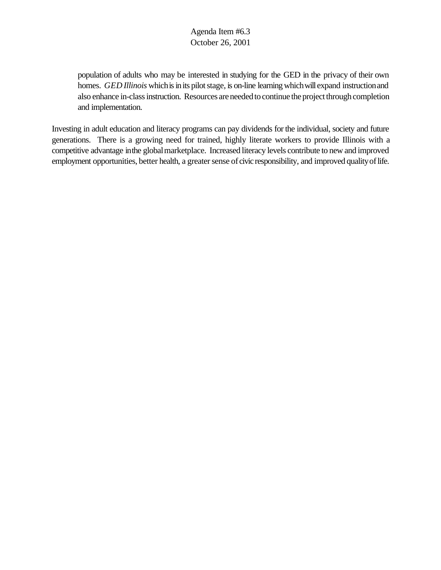population of adults who may be interested in studying for the GED in the privacy of their own homes. *GED Illinois* which is in its pilot stage, is on-line learning which will expand instruction and also enhance in-class instruction. Resources are needed to continue the project through completion and implementation.

Investing in adult education and literacy programs can pay dividends forthe individual, society and future generations. There is a growing need for trained, highly literate workers to provide Illinois with a competitive advantage inthe globalmarketplace. Increased literacy levels contribute to new and improved employment opportunities, better health, a greater sense of civic responsibility, and improved quality of life.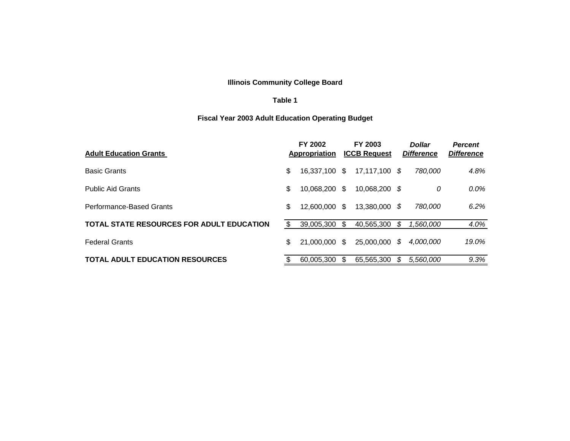### **Illinois Community College Board**

#### **Table 1**

# **Fiscal Year 2003 Adult Education Operating Budget**

| <b>Adult Education Grants</b>                    |     | <b>FY 2002</b><br>Appropriation |     | <b>FY 2003</b><br><b>ICCB Request</b> |     | <b>Dollar</b><br><b>Difference</b> | <b>Percent</b><br><b>Difference</b> |
|--------------------------------------------------|-----|---------------------------------|-----|---------------------------------------|-----|------------------------------------|-------------------------------------|
| <b>Basic Grants</b>                              | \$. | 16.337.100 \$                   |     | 17,117,100 \$                         |     | 780,000                            | 4.8%                                |
| <b>Public Aid Grants</b>                         | \$  | 10,068,200                      | - S | 10,068,200 \$                         |     | 0                                  | $0.0\%$                             |
| Performance-Based Grants                         | \$  | 12.600.000                      | \$  | 13.380.000                            | - S | 780,000                            | 6.2%                                |
| <b>TOTAL STATE RESOURCES FOR ADULT EDUCATION</b> | S   | 39.005.300                      | \$. | 40.565.300                            | S   | 1.560.000                          | 4.0%                                |
| <b>Federal Grants</b>                            | \$  | 21,000,000 \$                   |     | 25,000,000                            | S   | <i>4.000.000</i>                   | 19.0%                               |
| <b>TOTAL ADULT EDUCATION RESOURCES</b>           |     | 60.005.300                      | -S  | 65.565.300                            | S   | 5.560.000                          | 9.3%                                |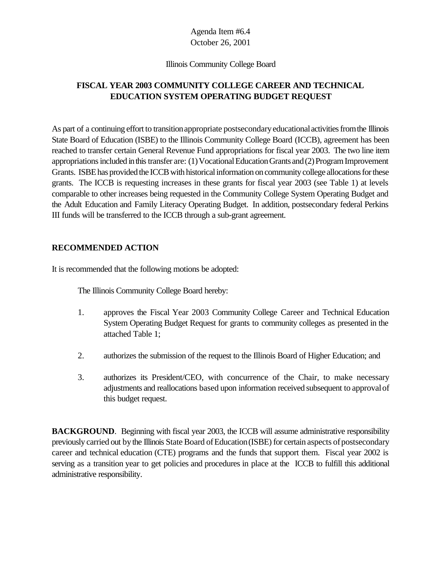#### Illinois Community College Board

# **FISCAL YEAR 2003 COMMUNITY COLLEGE CAREER AND TECHNICAL EDUCATION SYSTEM OPERATING BUDGET REQUEST**

As part of a continuing effort to transition appropriate postsecondary educational activities from the Illinois State Board of Education (ISBE) to the Illinois Community College Board (ICCB), agreement has been reached to transfer certain General Revenue Fund appropriations for fiscal year 2003. The two line item appropriations included in this transfer are: (1) Vocational Education Grants and (2) Program Improvement Grants. ISBE has provided the ICCB with historical information on community college allocations for these grants. The ICCB is requesting increases in these grants for fiscal year 2003 (see Table 1) at levels comparable to other increases being requested in the Community College System Operating Budget and the Adult Education and Family Literacy Operating Budget. In addition, postsecondary federal Perkins III funds will be transferred to the ICCB through a sub-grant agreement.

### **RECOMMENDED ACTION**

It is recommended that the following motions be adopted:

The Illinois Community College Board hereby:

- 1. approves the Fiscal Year 2003 Community College Career and Technical Education System Operating Budget Request for grants to community colleges as presented in the attached Table 1;
- 2. authorizes the submission of the request to the Illinois Board of Higher Education; and
- 3. authorizes its President/CEO, with concurrence of the Chair, to make necessary adjustments and reallocations based upon information received subsequent to approvalof this budget request.

**BACKGROUND**. Beginning with fiscal year 2003, the ICCB will assume administrative responsibility previously carried out by the Illinois State Board of Education (ISBE) for certain aspects of postsecondary career and technical education (CTE) programs and the funds that support them. Fiscal year 2002 is serving as a transition year to get policies and procedures in place at the ICCB to fulfill this additional administrative responsibility.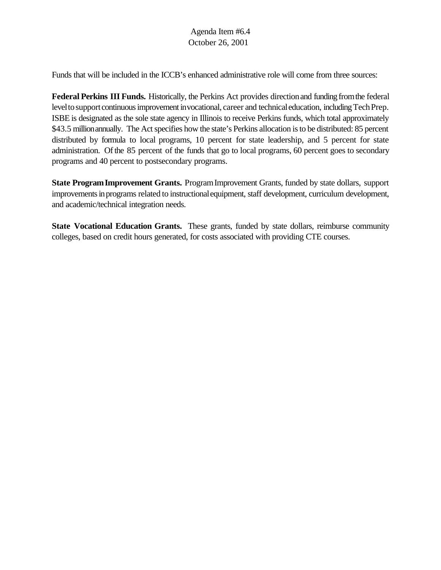Funds that will be included in the ICCB's enhanced administrative role will come from three sources:

**Federal Perkins III Funds.** Historically, the Perkins Act provides directionand funding fromthe federal level to support continuous improvement in vocational, career and technical education, including Tech Prep. ISBE is designated as the sole state agency in Illinois to receive Perkins funds, which total approximately \$43.5 millionannually. The Act specifies how the state's Perkins allocation is to be distributed: 85 percent distributed by formula to local programs, 10 percent for state leadership, and 5 percent for state administration. Of the 85 percent of the funds that go to local programs, 60 percent goes to secondary programs and 40 percent to postsecondary programs.

**State ProgramImprovement Grants.** ProgramImprovement Grants, funded by state dollars, support improvements in programs related to instructional equipment, staff development, curriculum development, and academic/technical integration needs.

**State Vocational Education Grants.** These grants, funded by state dollars, reimburse community colleges, based on credit hours generated, for costs associated with providing CTE courses.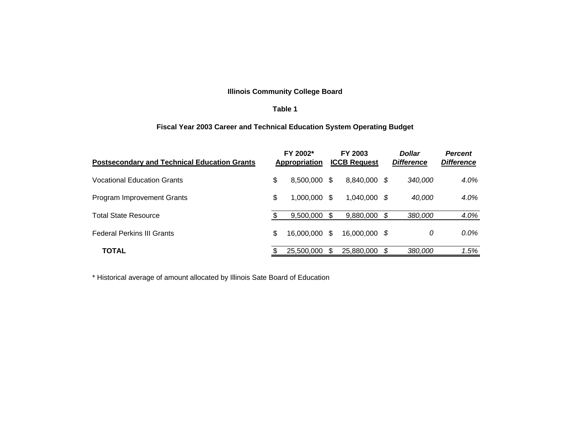### **Illinois Community College Board**

#### **Table 1**

### **Fiscal Year 2003 Career and Technical Education System Operating Budget**

| <b>Postsecondary and Technical Education Grants</b> |    | FY 2002*<br>Appropriation |     | FY 2003<br><b>ICCB Request</b> |      | <b>Dollar</b><br><b>Difference</b> | <b>Percent</b><br><b>Difference</b> |
|-----------------------------------------------------|----|---------------------------|-----|--------------------------------|------|------------------------------------|-------------------------------------|
| <b>Vocational Education Grants</b>                  | \$ | 8.500.000 \$              |     | 8.840.000                      | - \$ | 340,000                            | 4.0%                                |
| Program Improvement Grants                          | \$ | 1.000.000 \$              |     | $1.040.000$ \$                 |      | 40,000                             | 4.0%                                |
| Total State Resource                                |    | 9.500.000                 | -SS | 9,880,000                      | - S  | 380,000                            | 4.0%                                |
| <b>Federal Perkins III Grants</b>                   | \$ | 16,000,000 \$             |     | 16,000,000 \$                  |      | 0                                  | $0.0\%$                             |
| <b>TOTAL</b>                                        |    | 25,500,000                |     | 25,880,000                     | - \$ | 380,000                            | 1.5%                                |

\* Historical average of amount allocated by Illinois Sate Board of Education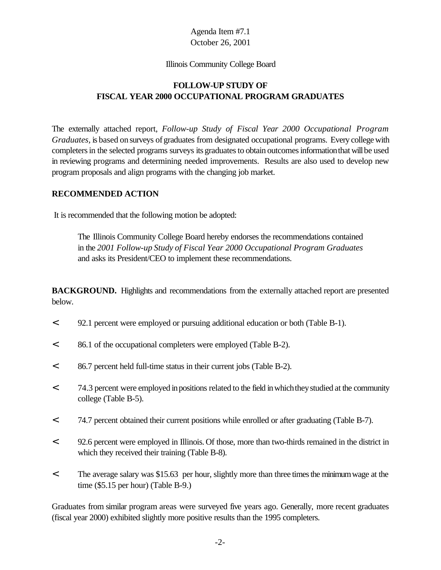#### Illinois Community College Board

# **FOLLOW-UP STUDY OF FISCAL YEAR 2000 OCCUPATIONAL PROGRAM GRADUATES**

The externally attached report, *Follow-up Study of Fiscal Year 2000 Occupational Program Graduates,* is based on surveys of graduates from designated occupational programs. Every college with completers in the selected programs surveys its graduates to obtain outcomes information that will be used in reviewing programs and determining needed improvements. Results are also used to develop new program proposals and align programs with the changing job market.

### **RECOMMENDED ACTION**

It is recommended that the following motion be adopted:

The Illinois Community College Board hereby endorses the recommendations contained in the *2001 Follow-up Study of Fiscal Year 2000 Occupational Program Graduates* and asks its President/CEO to implement these recommendations.

**BACKGROUND.** Highlights and recommendations from the externally attached report are presented below.

- < 92.1 percent were employed or pursuing additional education or both (Table B-1).
- < 86.1 of the occupational completers were employed (Table B-2).
- < 86.7 percent held full-time status in their current jobs (Table B-2).
- < 74.3 percent were employed inpositions related to the field inwhichtheystudied at the community college (Table B-5).
- < 74.7 percent obtained their current positions while enrolled or after graduating (Table B-7).
- < 92.6 percent were employed in Illinois. Of those, more than two-thirds remained in the district in which they received their training (Table B-8).
- < The average salary was \$15.63 per hour, slightly more than three timesthe minimumwage at the time (\$5.15 per hour) (Table B-9.)

Graduates from similar program areas were surveyed five years ago. Generally, more recent graduates (fiscal year 2000) exhibited slightly more positive results than the 1995 completers.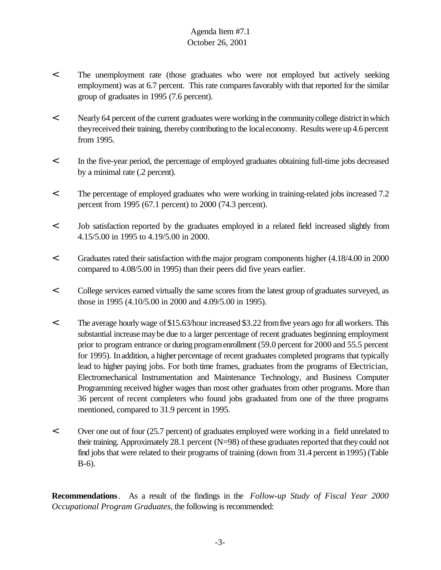- < The unemployment rate (those graduates who were not employed but actively seeking employment) was at 6.7 percent. This rate compares favorably with that reported for the similar group of graduates in 1995 (7.6 percent).
- < Nearly 64 percent of the current graduates were working in the community college district in which theyreceived their training, thereby contributing to the local economy. Results were up 4.6 percent from 1995.
- < In the five-year period, the percentage of employed graduates obtaining full-time jobs decreased by a minimal rate (.2 percent).
- < The percentage of employed graduates who were working in training-related jobs increased 7.2 percent from 1995 (67.1 percent) to 2000 (74.3 percent).
- < Job satisfaction reported by the graduates employed in a related field increased slightly from 4.15/5.00 in 1995 to 4.19/5.00 in 2000.
- < Graduates rated their satisfaction withthe major program components higher (4.18/4.00 in 2000 compared to 4.08/5.00 in 1995) than their peers did five years earlier.
- < College services earned virtually the same scores from the latest group ofgraduates surveyed, as those in 1995 (4.10/5.00 in 2000 and 4.09/5.00 in 1995).
- < The average hourlywage of\$15.63/hour increased \$3.22 fromfive years ago for allworkers. This substantial increase may be due to a larger percentage of recent graduates beginning employment prior to program entrance or during programenrollment (59.0 percent for 2000 and 55.5 percent for 1995). Inaddition, a higher percentage of recent graduates completed programs that typically lead to higher paying jobs. For both time frames, graduates from the programs of Electrician, Electromechanical Instrumentation and Maintenance Technology, and Business Computer Programming received higher wages than most other graduates from other programs. More than 36 percent of recent completers who found jobs graduated from one of the three programs mentioned, compared to 31.9 percent in 1995.
- < Over one out of four (25.7 percent) of graduates employed were working in a field unrelated to their training. Approximately 28.1 percent  $(N=98)$  of these graduates reported that they could not find jobs that were related to their programs of training (down from 31.4 percent in 1995) (Table B-6).

**Recommendations**. As a result of the findings in the *Follow-up Study of Fiscal Year 2000 Occupational Program Graduates*, the following is recommended: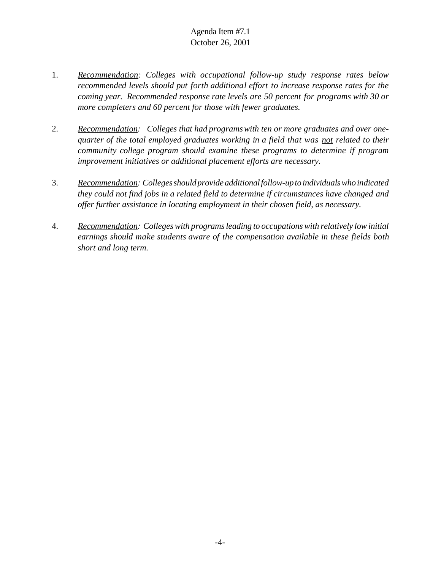- 1. *Recommendation: Colleges with occupational follow-up study response rates below recommended levels should put forth additional effort to increase response rates for the coming year. Recommended response rate levels are 50 percent for programs with 30 or more completers and 60 percent for those with fewer graduates.*
- 2. *Recommendation: Colleges that had programswith ten or more graduates and over onequarter of the total employed graduates working in a field that was not related to their community college program should examine these programs to determine if program improvement initiatives or additional placement efforts are necessary.*
- 3. *Recommendation: Colleges should provide additional follow-up to individuals who indicated they could not find jobs in a related field to determine if circumstances have changed and offer further assistance in locating employment in their chosen field, as necessary.*
- 4. *Recommendation: Colleges with programs leading to occupations with relatively low initial earnings should make students aware of the compensation available in these fields both short and long term.*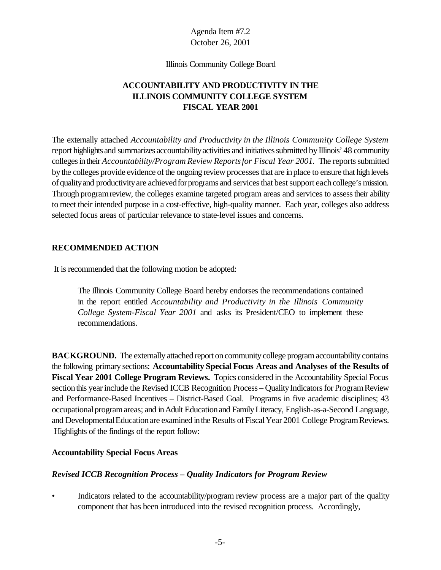Illinois Community College Board

# **ACCOUNTABILITY AND PRODUCTIVITY IN THE ILLINOIS COMMUNITY COLLEGE SYSTEM FISCAL YEAR 2001**

The externally attached *Accountability and Productivity in the Illinois Community College System* report highlights and summarizes accountability activities and initiatives submitted by Illinois' 48 community colleges in their *Accountability/Program Review Reports for Fiscal Year 2001*. The reports submitted bythe colleges provide evidence ofthe ongoing review processesthat are inplace to ensure that highlevels of quality and productivity are achieved for programs and services that best support each college's mission. Through programreview, the colleges examine targeted program areas and services to assesstheir ability to meet their intended purpose in a cost-effective, high-quality manner. Each year, colleges also address selected focus areas of particular relevance to state-level issues and concerns.

## **RECOMMENDED ACTION**

It is recommended that the following motion be adopted:

The Illinois Community College Board hereby endorses the recommendations contained in the report entitled *Accountability and Productivity in the Illinois Community College System-Fiscal Year 2001* and asks its President/CEO to implement these recommendations.

**BACKGROUND.** The externally attached report on community college program accountability contains the following primary sections: **Accountability Special Focus Areas and Analyses of the Results of Fiscal Year 2001 College Program Reviews.** Topics considered in the Accountability Special Focus section this year include the Revised ICCB Recognition Process – Quality Indicators for Program Review and Performance-Based Incentives – District-Based Goal. Programs in five academic disciplines; 43 occupationalprogramareas; and inAdult Educationand FamilyLiteracy, English-as-a-Second Language, and Developmental Education are examined in the Results of Fiscal Year 2001 College Program Reviews. Highlights of the findings of the report follow:

## **Accountability Special Focus Areas**

## *Revised ICCB Recognition Process – Quality Indicators for Program Review*

• Indicators related to the accountability/program review process are a major part of the quality component that has been introduced into the revised recognition process. Accordingly,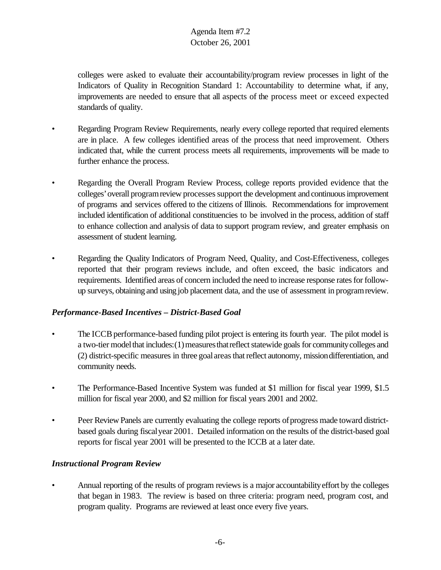colleges were asked to evaluate their accountability/program review processes in light of the Indicators of Quality in Recognition Standard 1: Accountability to determine what, if any, improvements are needed to ensure that all aspects of the process meet or exceed expected standards of quality.

- Regarding Program Review Requirements, nearly every college reported that required elements are in place. A few colleges identified areas of the process that need improvement. Others indicated that, while the current process meets all requirements, improvements will be made to further enhance the process.
- Regarding the Overall Program Review Process, college reports provided evidence that the colleges' overall program review processes support the development and continuous improvement of programs and services offered to the citizens of Illinois. Recommendations for improvement included identification of additional constituencies to be involved in the process, addition of staff to enhance collection and analysis of data to support program review, and greater emphasis on assessment of student learning.
- Regarding the Quality Indicators of Program Need, Quality, and Cost-Effectiveness, colleges reported that their program reviews include, and often exceed, the basic indicators and requirements. Identified areas of concern included the need to increase response rates for followup surveys, obtaining and using job placement data, and the use of assessment in programreview.

# *Performance-Based Incentives – District-Based Goal*

- The ICCB performance-based funding pilot project is entering its fourth year. The pilot model is a two-tier model that includes: (1) measures that reflect statewide goals for community colleges and (2) district-specific measures in three goal areas that reflect autonomy, mission differentiation, and community needs.
- The Performance-Based Incentive System was funded at \$1 million for fiscal year 1999, \$1.5 million for fiscal year 2000, and \$2 million for fiscal years 2001 and 2002.
- Peer Review Panels are currently evaluating the college reports ofprogress made toward districtbased goals during fiscalyear 2001. Detailed information on the results of the district-based goal reports for fiscal year 2001 will be presented to the ICCB at a later date.

# *Instructional Program Review*

• Annual reporting of the results of program reviews is a major accountabilityeffort by the colleges that began in 1983. The review is based on three criteria: program need, program cost, and program quality. Programs are reviewed at least once every five years.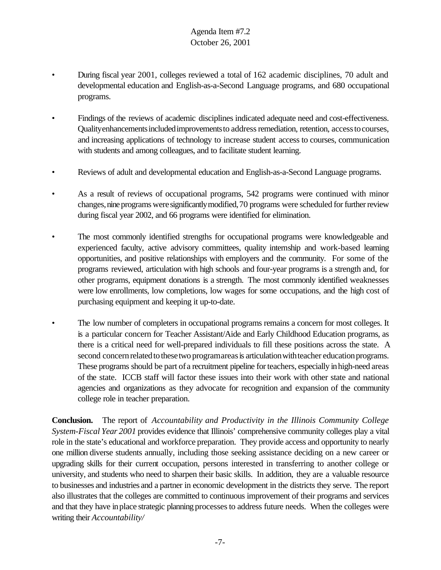- During fiscal year 2001, colleges reviewed a total of 162 academic disciplines, 70 adult and developmental education and English-as-a-Second Language programs, and 680 occupational programs.
- Findings of the reviews of academic disciplines indicated adequate need and cost-effectiveness. Qualityenhancements included improvements to address remediation, retention, access to courses, and increasing applications of technology to increase student access to courses, communication with students and among colleagues, and to facilitate student learning.
- Reviews of adult and developmental education and English-as-a-Second Language programs.
- As a result of reviews of occupational programs, 542 programs were continued with minor changes, nine programs were significantly modified, 70 programs were scheduled for further review during fiscal year 2002, and 66 programs were identified for elimination.
- The most commonly identified strengths for occupational programs were knowledgeable and experienced faculty, active advisory committees, quality internship and work-based learning opportunities, and positive relationships with employers and the community. For some of the programs reviewed, articulation with high schools and four-year programs is a strength and, for other programs, equipment donations is a strength. The most commonly identified weaknesses were low enrollments, low completions, low wages for some occupations, and the high cost of purchasing equipment and keeping it up-to-date.
- The low number of completers in occupational programs remains a concern for most colleges. It is a particular concern for Teacher Assistant/Aide and Early Childhood Education programs, as there is a critical need for well-prepared individuals to fill these positions across the state. A second concern related to these two programareas is articulation with teacher education programs. These programs should be part of a recruitment pipeline for teachers, especially in high-need areas of the state. ICCB staff will factor these issues into their work with other state and national agencies and organizations as they advocate for recognition and expansion of the community college role in teacher preparation.

**Conclusion.** The report of *Accountability and Productivity in the Illinois Community College System-Fiscal Year 2001* provides evidence that Illinois' comprehensive community colleges play a vital role in the state's educational and workforce preparation. They provide access and opportunity to nearly one million diverse students annually, including those seeking assistance deciding on a new career or upgrading skills for their current occupation, persons interested in transferring to another college or university, and students who need to sharpen their basic skills. In addition, they are a valuable resource to businesses and industries and a partner in economic development in the districts they serve. The report also illustrates that the colleges are committed to continuous improvement of their programs and services and that they have inplace strategic planning processesto address future needs. When the colleges were writing their *Accountability/*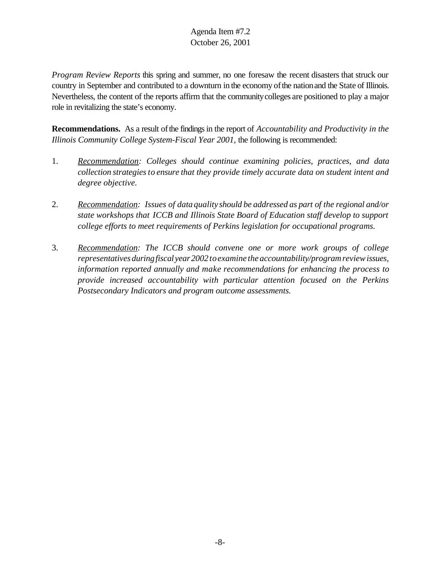*Program Review Reports* this spring and summer, no one foresaw the recent disasters that struck our country in September and contributed to a downturn in the economy of the nation and the State of Illinois. Nevertheless, the content of the reports affirm that the communitycolleges are positioned to play a major role in revitalizing the state's economy.

**Recommendations.** As a result of the findings in the report of *Accountability and Productivity in the Illinois Community College System-Fiscal Year 2001,* the following is recommended:

- 1. *Recommendation: Colleges should continue examining policies, practices, and data collection strategiesto ensure that they provide timely accurate data on student intent and degree objective.*
- 2. *Recommendation: Issues of data quality should be addressed as part of the regional and/or state workshops that ICCB and Illinois State Board of Education staff develop to support college efforts to meet requirements of Perkins legislation for occupational programs.*
- 3. *Recommendation: The ICCB should convene one or more work groups of college representatives duringfiscal year2002toexamine the accountability/programreviewissues, information reported annually and make recommendations for enhancing the process to provide increased accountability with particular attention focused on the Perkins Postsecondary Indicators and program outcome assessments.*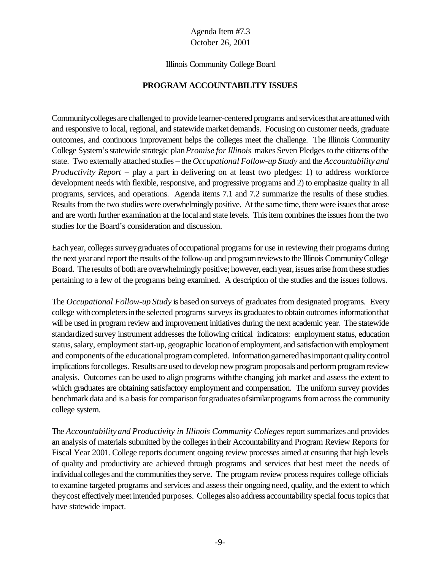#### Illinois Community College Board

### **PROGRAM ACCOUNTABILITY ISSUES**

Communitycolleges are challenged to provide learner-centered programs and services that are attuned with and responsive to local, regional, and statewide market demands. Focusing on customer needs, graduate outcomes, and continuous improvement helps the colleges meet the challenge. The Illinois Community College System's statewide strategic plan *Promise for Illinois* makes Seven Pledges to the citizens of the state. Two externally attached studies – the *Occupational Follow-up Study* and the *Accountability and Productivity Report* – play a part in delivering on at least two pledges: 1) to address workforce development needs with flexible, responsive, and progressive programs and 2) to emphasize quality in all programs, services, and operations. Agenda items 7.1 and 7.2 summarize the results of these studies. Results from the two studies were overwhelmingly positive. At the same time, there were issues that arose and are worth further examination at the localand state levels. This item combines the issues from the two studies for the Board's consideration and discussion.

Each year, colleges survey graduates of occupational programs for use in reviewing their programs during the next year and report the results of the follow-up and program reviews to the Illinois Community College Board. The results of both are overwhelmingly positive; however, each year, issues arise from these studies pertaining to a few of the programs being examined. A description of the studies and the issues follows.

The *Occupational Follow-up Study* is based on surveys of graduates from designated programs. Every college with completers in the selected programs surveys its graduates to obtain outcomes information that will be used in program review and improvement initiatives during the next academic year. The statewide standardized survey instrument addresses the following critical indicators: employment status, education status, salary, employment start-up, geographic location of employment, and satisfaction with employment and components of the educational program completed. Information garnered has important quality control implications for colleges. Results are used to develop new program proposals and perform program review analysis. Outcomes can be used to align programs withthe changing job market and assess the extent to which graduates are obtaining satisfactory employment and compensation. The uniform survey provides benchmark data and is a basis for comparison for graduates of similar programs from across the community college system.

The *Accountability and Productivity in Illinois Community Colleges* report summarizes and provides an analysis of materials submitted by the colleges in their Accountability and Program Review Reports for Fiscal Year 2001. College reports document ongoing review processes aimed at ensuring that high levels of quality and productivity are achieved through programs and services that best meet the needs of individual colleges and the communities they serve. The program review process requires college officials to examine targeted programs and services and assess their ongoing need, quality, and the extent to which theycost effectivelymeet intended purposes. Colleges also address accountability special focus topics that have statewide impact.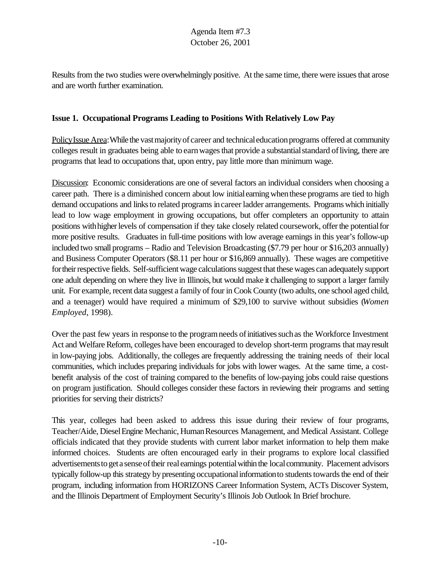Results from the two studies were overwhelmingly positive. At the same time, there were issues that arose and are worth further examination.

## **Issue 1. Occupational Programs Leading to Positions With Relatively Low Pay**

Policy Issue Area: While the vast majority of career and technical education programs offered at community colleges result in graduates being able to earn wages that provide a substantial standard of living, there are programs that lead to occupations that, upon entry, pay little more than minimum wage.

Discussion: Economic considerations are one of several factors an individual considers when choosing a career path. There is a diminished concern about low initialearningwhenthese programs are tied to high demand occupations and links to related programs in career ladder arrangements. Programs which initially lead to low wage employment in growing occupations, but offer completers an opportunity to attain positions with higher levels of compensation if they take closely related coursework, offer the potential for more positive results. Graduates in full-time positions with low average earnings in this year's follow-up included two small programs – Radio and Television Broadcasting (\$7.79 per hour or \$16,203 annually) and Business Computer Operators (\$8.11 per hour or \$16,869 annually). These wages are competitive for their respective fields. Self-sufficient wage calculations suggest that these wages can adequately support one adult depending on where they live in Illinois, but would make it challenging to support a larger family unit. For example, recent data suggest a family of four in Cook County (two adults, one school aged child, and a teenager) would have required a minimum of \$29,100 to survive without subsidies (*Women Employed*, 1998).

Over the past few years in response to the program needs of initiatives such as the Workforce Investment Act and Welfare Reform, colleges have been encouraged to develop short-term programs that may result in low-paying jobs. Additionally, the colleges are frequently addressing the training needs of their local communities, which includes preparing individuals for jobs with lower wages. At the same time, a costbenefit analysis of the cost of training compared to the benefits of low-paying jobs could raise questions on program justification. Should colleges consider these factors in reviewing their programs and setting priorities for serving their districts?

This year, colleges had been asked to address this issue during their review of four programs, Teacher/Aide, Diesel Engine Mechanic, Human Resources Management, and Medical Assistant. College officials indicated that they provide students with current labor market information to help them make informed choices. Students are often encouraged early in their programs to explore local classified advertisements to get a sense of their real earnings potential within the local community. Placement advisors typically follow-up this strategy by presenting occupational information to students towards the end of their program, including information from HORIZONS Career Information System, ACTs Discover System, and the Illinois Department of Employment Security's Illinois Job Outlook In Brief brochure.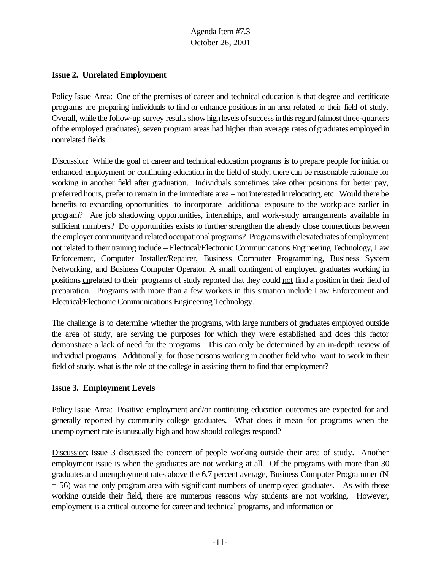### **Issue 2. Unrelated Employment**

Policy Issue Area: One of the premises of career and technical education is that degree and certificate programs are preparing individuals to find or enhance positions in an area related to their field of study. Overall, while the follow-up survey results show high levels of success in this regard (almost three-quarters ofthe employed graduates), seven program areas had higher than average rates ofgraduates employed in nonrelated fields.

Discussion: While the goal of career and technical education programs is to prepare people for initial or enhanced employment or continuing education in the field of study, there can be reasonable rationale for working in another field after graduation. Individuals sometimes take other positions for better pay, preferred hours, prefer to remain in the immediate area – not interested inrelocating, etc. Would there be benefits to expanding opportunities to incorporate additional exposure to the workplace earlier in program? Are job shadowing opportunities, internships, and work-study arrangements available in sufficient numbers? Do opportunities exists to further strengthen the already close connections between the employer community and related occupational programs? Programs with elevated rates of employment not related to their training include – Electrical/Electronic Communications Engineering Technology, Law Enforcement, Computer Installer/Repairer, Business Computer Programming, Business System Networking, and Business Computer Operator. A small contingent of employed graduates working in positions unrelated to their programs of study reported that they could not find a position in their field of preparation. Programs with more than a few workers in this situation include Law Enforcement and Electrical/Electronic Communications Engineering Technology.

The challenge is to determine whether the programs, with large numbers of graduates employed outside the area of study, are serving the purposes for which they were established and does this factor demonstrate a lack of need for the programs. This can only be determined by an in-depth review of individual programs. Additionally, for those persons working in another field who want to work in their field of study, what is the role of the college in assisting them to find that employment?

## **Issue 3. Employment Levels**

Policy Issue Area: Positive employment and/or continuing education outcomes are expected for and generally reported by community college graduates. What does it mean for programs when the unemployment rate is unusually high and how should colleges respond?

Discussion: Issue 3 discussed the concern of people working outside their area of study. Another employment issue is when the graduates are not working at all. Of the programs with more than 30 graduates and unemployment rates above the 6.7 percent average, Business Computer Programmer (N  $= 56$ ) was the only program area with significant numbers of unemployed graduates. As with those working outside their field, there are numerous reasons why students are not working. However, employment is a critical outcome for career and technical programs, and information on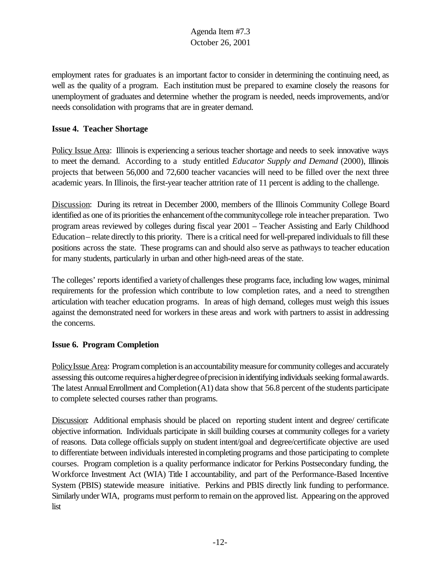employment rates for graduates is an important factor to consider in determining the continuing need, as well as the quality of a program. Each institution must be prepared to examine closely the reasons for unemployment of graduates and determine whether the program is needed, needs improvements, and/or needs consolidation with programs that are in greater demand.

## **Issue 4. Teacher Shortage**

Policy Issue Area: Illinois is experiencing a serious teacher shortage and needs to seek innovative ways to meet the demand. According to a study entitled *Educator Supply and Demand* (2000), Illinois projects that between 56,000 and 72,600 teacher vacancies will need to be filled over the next three academic years. In Illinois, the first-year teacher attrition rate of 11 percent is adding to the challenge.

Discussion: During its retreat in December 2000, members of the Illinois Community College Board identified as one of its priorities the enhancement of the community college role in teacher preparation. Two program areas reviewed by colleges during fiscal year 2001 – Teacher Assisting and Early Childhood Education– relate directly to this priority. There is a critical need for well-prepared individuals to fill these positions across the state. These programs can and should also serve as pathways to teacher education for many students, particularly in urban and other high-need areas of the state.

The colleges' reports identified a varietyof challenges these programs face, including low wages, minimal requirements for the profession which contribute to low completion rates, and a need to strengthen articulation with teacher education programs. In areas of high demand, colleges must weigh this issues against the demonstrated need for workers in these areas and work with partners to assist in addressing the concerns.

# **Issue 6. Program Completion**

PolicyIssue Area: Program completion is an accountability measure for community colleges and accurately assessing this outcome requires a higher degree of precision in identifying individuals seeking formal awards. The latest Annual Enrollment and Completion (A1) data show that 56.8 percent of the students participate to complete selected courses rather than programs.

Discussion: Additional emphasis should be placed on reporting student intent and degree/ certificate objective information. Individuals participate in skill building courses at community colleges for a variety of reasons. Data college officials supply on student intent/goal and degree/certificate objective are used to differentiate between individuals interested in completing programs and those participating to complete courses. Program completion is a quality performance indicator for Perkins Postsecondary funding, the Workforce Investment Act (WIA) Title I accountability, and part of the Performance-Based Incentive System (PBIS) statewide measure initiative. Perkins and PBIS directly link funding to performance. Similarly underWIA, programs must perform to remain on the approved list. Appearing on the approved list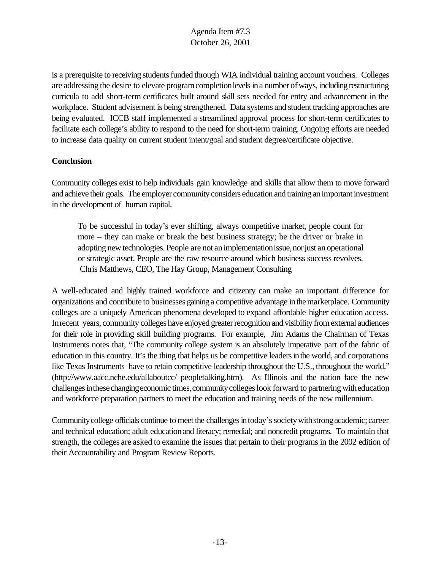is a prerequisite to receiving students funded through WIA individual training account vouchers. Colleges are addressing the desire to elevate program completion levels in a number of ways, including restructuring curricula to add short-term certificates built around skill sets needed for entry and advancement in the workplace. Student advisement is being strengthened. Data systems and student tracking approaches are being evaluated. ICCB staff implemented a streamlined approval process for short-term certificates to facilitate each college's ability to respond to the need for short-term training. Ongoing efforts are needed to increase data quality on current student intent/goal and student degree/certificate objective.

## **Conclusion**

Community colleges exist to help individuals gain knowledge and skills that allow them to move forward and achieve their goals. The employer community considers education and training an important investment in the development of human capital.

To be successful in today's ever shifting, always competitive market, people count for more – they can make or break the best business strategy; be the driver or brake in adopting new technologies. People are not an implementation issue, nor just an operational or strategic asset. People are the raw resource around which business success revolves. Chris Matthews, CEO, The Hay Group, Management Consulting

A well-educated and highly trained workforce and citizenry can make an important difference for organizations and contribute to businesses gaininga competitive advantage inthemarketplace. Community colleges are a uniquely American phenomena developed to expand affordable higher education access. Inrecent years, community colleges have enjoyed greater recognition and visibility from external audiences for their role in providing skill building programs. For example, Jim Adams the Chairman of Texas Instruments notes that, "The community college system is an absolutely imperative part of the fabric of education in this country. It's the thing that helps us be competitive leaders in the world, and corporations like Texas Instruments have to retain competitive leadership throughout the U.S., throughout the world." (http://www.aacc.nche.edu/allaboutcc/ peopletalking.htm). As Illinois and the nation face the new challenges in these changing economic times, community colleges look forward to partnering with education and workforce preparation partners to meet the education and training needs of the new millennium.

Community college officials continue to meet the challenges in today's society with strong academic; career and technical education; adult education and literacy; remedial; and noncredit programs. To maintain that strength, the colleges are asked to examine the issues that pertain to their programs in the 2002 edition of their Accountability and Program Review Reports.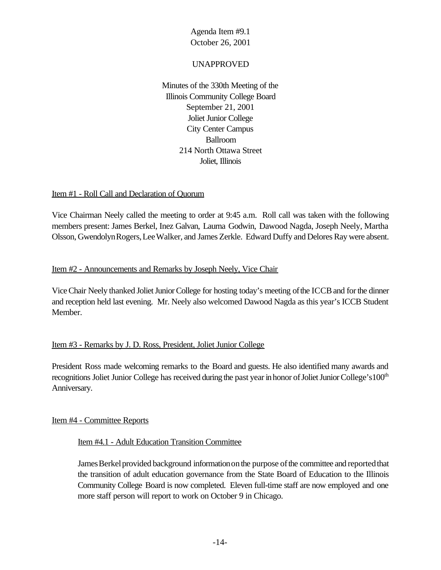## UNAPPROVED

Minutes of the 330th Meeting of the Illinois Community College Board September 21, 2001 Joliet Junior College City Center Campus Ballroom 214 North Ottawa Street Joliet, Illinois

### Item #1 - Roll Call and Declaration of Quorum

Vice Chairman Neely called the meeting to order at 9:45 a.m. Roll call was taken with the following members present: James Berkel, Inez Galvan, Laurna Godwin, Dawood Nagda, Joseph Neely, Martha Olsson, GwendolynRogers,LeeWalker, and James Zerkle. Edward Duffy and Delores Ray were absent.

### Item #2 - Announcements and Remarks by Joseph Neely, Vice Chair

Vice Chair Neely thanked Joliet Junior College for hosting today's meeting of the ICCB and for the dinner and reception held last evening. Mr. Neely also welcomed Dawood Nagda as this year's ICCB Student Member.

## Item #3 - Remarks by J. D. Ross, President, Joliet Junior College

President Ross made welcoming remarks to the Board and guests. He also identified many awards and recognitions Joliet Junior College has received during the past year in honor of Joliet Junior College's 100<sup>th</sup> Anniversary.

#### Item #4 - Committee Reports

#### Item #4.1 - Adult Education Transition Committee

James Berkel provided background information on the purpose of the committee and reported that the transition of adult education governance from the State Board of Education to the Illinois Community College Board is now completed. Eleven full-time staff are now employed and one more staff person will report to work on October 9 in Chicago.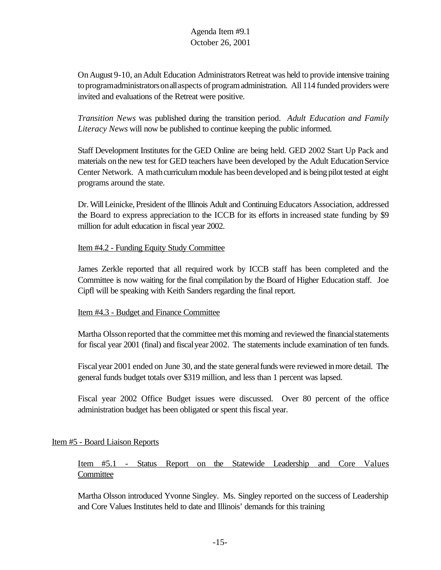On August 9-10, an Adult Education Administrators Retreat was held to provide intensive training to programadministrators on all aspects of program administration. All 114 funded providers were invited and evaluations of the Retreat were positive.

*Transition News* was published during the transition period. *Adult Education and Family Literacy News* will now be published to continue keeping the public informed.

Staff Development Institutes for the GED Online are being held. GED 2002 Start Up Pack and materials on the new test for GED teachers have been developed by the Adult Education Service Center Network. A math curriculum module has been developed and is being pilot tested at eight programs around the state.

Dr. Will Leinicke, President of the Illinois Adult and Continuing Educators Association, addressed the Board to express appreciation to the ICCB for its efforts in increased state funding by \$9 million for adult education in fiscal year 2002.

### Item #4.2 - Funding Equity Study Committee

James Zerkle reported that all required work by ICCB staff has been completed and the Committee is now waiting for the final compilation by the Board of Higher Education staff. Joe Cipfl will be speaking with Keith Sanders regarding the final report.

#### Item #4.3 - Budget and Finance Committee

Martha Olsson reported that the committee met this morning and reviewed the financial statements for fiscal year 2001 (final) and fiscalyear 2002. The statements include examination of ten funds.

Fiscal year 2001 ended on June 30, and the state general funds were reviewed in more detail. The general funds budget totals over \$319 million, and less than 1 percent was lapsed.

Fiscal year 2002 Office Budget issues were discussed. Over 80 percent of the office administration budget has been obligated or spent this fiscal year.

## Item #5 - Board Liaison Reports

# Item #5.1 - Status Report on the Statewide Leadership and Core Values **Committee**

Martha Olsson introduced Yvonne Singley. Ms. Singley reported on the success of Leadership and Core Values Institutes held to date and Illinois' demands for this training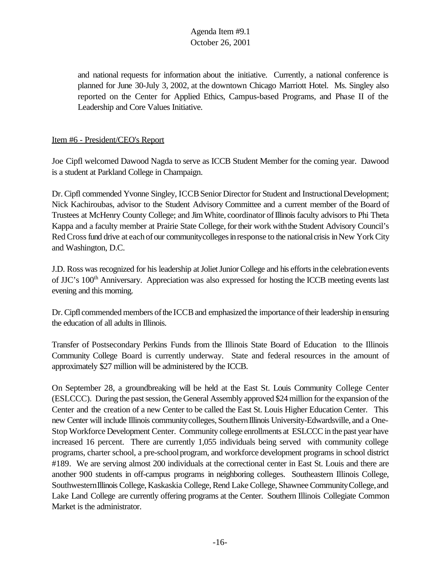and national requests for information about the initiative. Currently, a national conference is planned for June 30-July 3, 2002, at the downtown Chicago Marriott Hotel. Ms. Singley also reported on the Center for Applied Ethics, Campus-based Programs, and Phase II of the Leadership and Core Values Initiative.

## Item #6 - President/CEO's Report

Joe Cipfl welcomed Dawood Nagda to serve as ICCB Student Member for the coming year. Dawood is a student at Parkland College in Champaign.

Dr. Cipfl commended Yvonne Singley, ICCB Senior Director for Student and Instructional Development; Nick Kachiroubas, advisor to the Student Advisory Committee and a current member of the Board of Trustees at McHenry County College; and Jim White, coordinator of Illinois faculty advisors to Phi Theta Kappa and a faculty member at Prairie State College, for their work with the Student Advisory Council's Red Cross fund drive at each of our community colleges in response to the national crisis in New York City and Washington, D.C.

J.D. Ross was recognized for his leadership at Joliet Junior College and his efforts in the celebration events of JJC's 100<sup>th</sup> Anniversary. Appreciation was also expressed for hosting the ICCB meeting events last evening and this morning.

Dr. Cipfl commended members of the ICCB and emphasized the importance of their leadership in ensuring the education of all adults in Illinois.

Transfer of Postsecondary Perkins Funds from the Illinois State Board of Education to the Illinois Community College Board is currently underway. State and federal resources in the amount of approximately \$27 million will be administered by the ICCB.

On September 28, a groundbreaking will be held at the East St. Louis Community College Center (ESLCCC). During the past session, the General Assembly approved \$24 million for the expansion of the Center and the creation of a new Center to be called the East St. Louis Higher Education Center. This new Center will include Illinois community colleges, Southern Illinois University-Edwardsville, and a One-Stop Workforce Development Center. Community college enrollments at ESLCCC in the past year have increased 16 percent. There are currently 1,055 individuals being served with community college programs, charter school, a pre-schoolprogram, and workforce development programs in school district #189. We are serving almost 200 individuals at the correctional center in East St. Louis and there are another 900 students in off-campus programs in neighboring colleges. Southeastern Illinois College, Southwestern Illinois College, Kaskaskia College, Rend Lake College, Shawnee Community College, and Lake Land College are currently offering programs at the Center. Southern Illinois Collegiate Common Market is the administrator.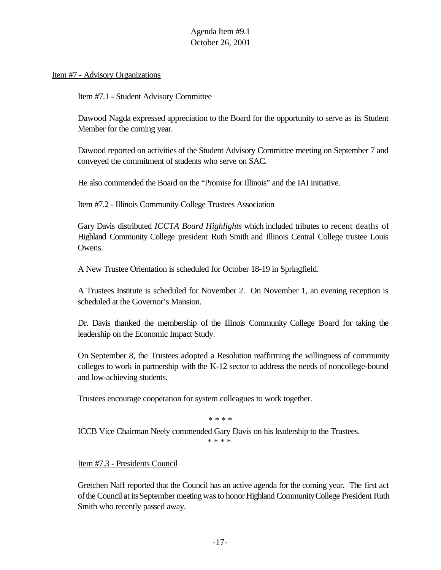Item #7 - Advisory Organizations

Item #7.1 - Student Advisory Committee

Dawood Nagda expressed appreciation to the Board for the opportunity to serve as its Student Member for the coming year.

Dawood reported on activities of the Student Advisory Committee meeting on September 7 and conveyed the commitment of students who serve on SAC.

He also commended the Board on the "Promise for Illinois" and the IAI initiative.

Item #7.2 - Illinois Community College Trustees Association

Gary Davis distributed *ICCTA Board Highlights* which included tributes to recent deaths of Highland Community College president Ruth Smith and Illinois Central College trustee Louis Owens.

A New Trustee Orientation is scheduled for October 18-19 in Springfield.

A Trustees Institute is scheduled for November 2. On November 1, an evening reception is scheduled at the Governor's Mansion.

Dr. Davis thanked the membership of the Illinois Community College Board for taking the leadership on the Economic Impact Study.

On September 8, the Trustees adopted a Resolution reaffirming the willingness of community colleges to work in partnership with the K-12 sector to address the needs of noncollege-bound and low-achieving students.

Trustees encourage cooperation for system colleagues to work together.

\* \* \* \*

ICCB Vice Chairman Neely commended Gary Davis on his leadership to the Trustees.

\* \* \* \*

Item #7.3 - Presidents Council

Gretchen Naff reported that the Council has an active agenda for the coming year. The first act ofthe Council at itsSeptember meetingwasto honor Highland CommunityCollege President Ruth Smith who recently passed away.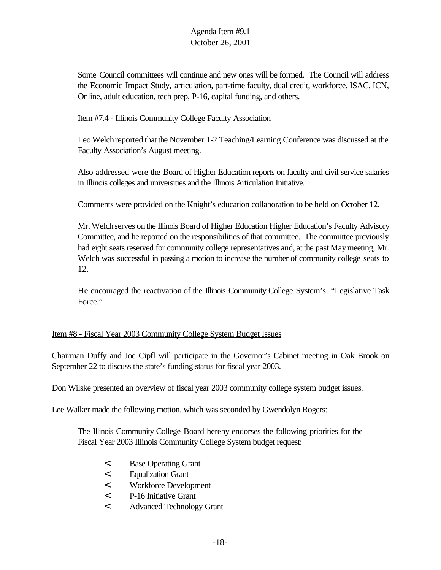Some Council committees will continue and new ones will be formed. The Council will address the Economic Impact Study, articulation, part-time faculty, dual credit, workforce, ISAC, ICN, Online, adult education, tech prep, P-16, capital funding, and others.

### Item #7.4 - Illinois Community College Faculty Association

Leo Welchreported that the November 1-2 Teaching/Learning Conference was discussed at the Faculty Association's August meeting.

Also addressed were the Board of Higher Education reports on faculty and civil service salaries in Illinois colleges and universities and the Illinois Articulation Initiative.

Comments were provided on the Knight's education collaboration to be held on October 12.

Mr. Welchserves onthe Illinois Board of Higher Education Higher Education's Faculty Advisory Committee, and he reported on the responsibilities of that committee. The committee previously had eight seats reserved for community college representatives and, at the past Maymeeting, Mr. Welch was successful in passing a motion to increase the number of community college seats to 12.

He encouraged the reactivation of the Illinois Community College System's "Legislative Task Force."

#### Item #8 - Fiscal Year 2003 Community College System Budget Issues

Chairman Duffy and Joe Cipfl will participate in the Governor's Cabinet meeting in Oak Brook on September 22 to discuss the state's funding status for fiscal year 2003.

Don Wilske presented an overview of fiscal year 2003 community college system budget issues.

Lee Walker made the following motion, which was seconded by Gwendolyn Rogers:

The Illinois Community College Board hereby endorses the following priorities for the Fiscal Year 2003 Illinois Community College System budget request:

- < Base Operating Grant
- < Equalization Grant
- < Workforce Development
- < P-16 Initiative Grant
- < Advanced Technology Grant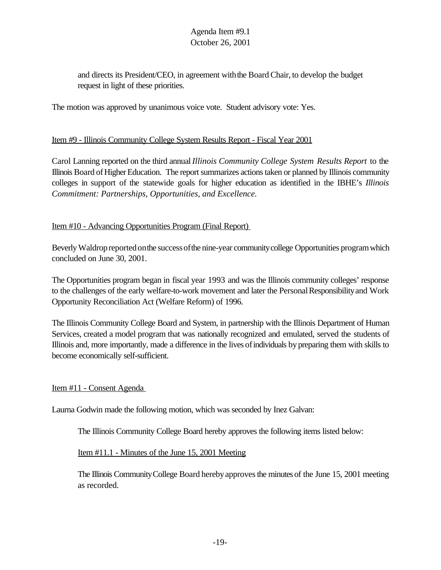and directs its President/CEO, in agreement withthe Board Chair, to develop the budget request in light of these priorities.

The motion was approved by unanimous voice vote. Student advisory vote: Yes.

#### Item #9 - Illinois Community College System Results Report - Fiscal Year 2001

Carol Lanning reported on the third annual *Illinois Community College System Results Report* to the Illinois Board ofHigherEducation. The report summarizes actions taken or planned by Illinois community colleges in support of the statewide goals for higher education as identified in the IBHE's *Illinois Commitment: Partnerships, Opportunities, and Excellence.*

### Item #10 - Advancing Opportunities Program (Final Report)

Beverly Waldrop reported on the success of the nine-year community college Opportunities program which concluded on June 30, 2001.

The Opportunities program began in fiscal year 1993 and was the Illinois community colleges' response to the challenges of the early welfare-to-work movement and later the Personal Responsibility and Work Opportunity Reconciliation Act (Welfare Reform) of 1996.

The Illinois Community College Board and System, in partnership with the Illinois Department of Human Services, created a model program that was nationally recognized and emulated, served the students of Illinois and, more importantly, made a difference in the lives ofindividuals bypreparing them with skills to become economically self-sufficient.

Item #11 - Consent Agenda

Laurna Godwin made the following motion, which was seconded by Inez Galvan:

The Illinois Community College Board hereby approves the following items listed below:

Item #11.1 - Minutes of the June 15, 2001 Meeting

The Illinois Community College Board hereby approves the minutes of the June 15, 2001 meeting as recorded.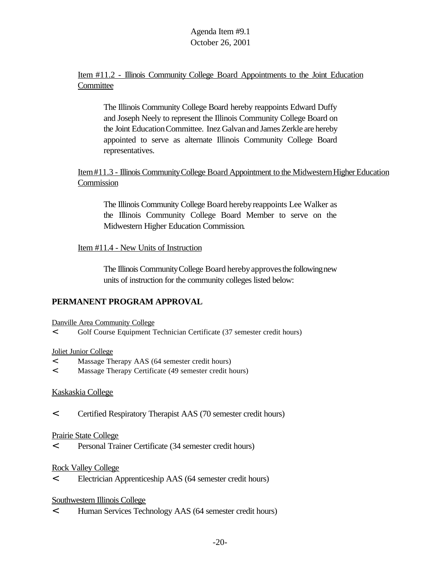## Item #11.2 - Illinois Community College Board Appointments to the Joint Education **Committee**

The Illinois Community College Board hereby reappoints Edward Duffy and Joseph Neely to represent the Illinois Community College Board on the Joint EducationCommittee. Inez Galvan and James Zerkle are hereby appointed to serve as alternate Illinois Community College Board representatives.

## Item#11.3 - Illinois Community College Board Appointment to the Midwestern Higher Education Commission

The Illinois Community College Board hereby reappoints Lee Walker as the Illinois Community College Board Member to serve on the Midwestern Higher Education Commission.

## Item #11.4 - New Units of Instruction

The Illinois Community College Board hereby approves the following new units of instruction for the community colleges listed below:

# **PERMANENT PROGRAM APPROVAL**

Danville Area Community College

< Golf Course Equipment Technician Certificate (37 semester credit hours)

## Joliet Junior College

- < Massage Therapy AAS (64 semester credit hours)
- < Massage Therapy Certificate (49 semester credit hours)

## Kaskaskia College

< Certified Respiratory Therapist AAS (70 semester credit hours)

## Prairie State College

< Personal Trainer Certificate (34 semester credit hours)

## Rock Valley College

< Electrician Apprenticeship AAS (64 semester credit hours)

## Southwestern Illinois College

< Human Services Technology AAS (64 semester credit hours)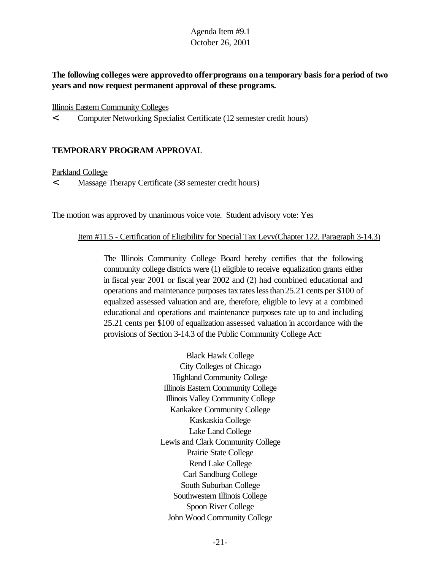**The following colleges were approvedto offerprograms ona temporary basis fora period of two years and now request permanent approval of these programs.**

#### Illinois Eastern Community Colleges

< Computer Networking Specialist Certificate (12 semester credit hours)

## **TEMPORARY PROGRAM APPROVAL**

#### Parkland College

< Massage Therapy Certificate (38 semester credit hours)

The motion was approved by unanimous voice vote. Student advisory vote: Yes

#### Item #11.5 - Certification of Eligibility for Special Tax Levy(Chapter 122, Paragraph 3-14.3)

The Illinois Community College Board hereby certifies that the following community college districts were (1) eligible to receive equalization grants either in fiscal year 2001 or fiscal year 2002 and (2) had combined educational and operations and maintenance purposes taxrateslessthan25.21 cents per \$100 of equalized assessed valuation and are, therefore, eligible to levy at a combined educational and operations and maintenance purposes rate up to and including 25.21 cents per \$100 of equalization assessed valuation in accordance with the provisions of Section 3-14.3 of the Public Community College Act:

> Black Hawk College City Colleges of Chicago Highland Community College Illinois Eastern Community College Illinois Valley Community College Kankakee Community College Kaskaskia College Lake Land College Lewis and Clark Community College Prairie State College Rend Lake College Carl Sandburg College South Suburban College Southwestern Illinois College Spoon River College John Wood Community College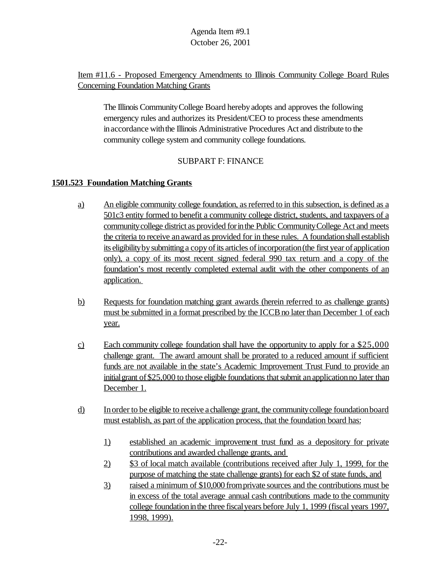# Item #11.6 - Proposed Emergency Amendments to Illinois Community College Board Rules Concerning Foundation Matching Grants

The Illinois CommunityCollege Board herebyadopts and approves the following emergency rules and authorizes its President/CEO to process these amendments in accordance with the Illinois Administrative Procedures Act and distribute to the community college system and community college foundations.

## SUBPART F: FINANCE

## **1501.523 Foundation Matching Grants**

- a) An eligible community college foundation, asreferred to in this subsection, is defined as a 501c3 entity formed to benefit a community college district, students, and taxpayers of a communitycollege district as provided forinthe Public CommunityCollege Act and meets the criteria to receive anaward as provided for in these rules. A foundationshall establish its eligibility by submitting a copy of its articles of incorporation (the first year of application only), a copy of its most recent signed federal 990 tax return and a copy of the foundation's most recently completed external audit with the other components of an application.
- b) Requests for foundation matching grant awards (herein referred to as challenge grants) must be submitted in a format prescribed by the ICCB no later than December 1 of each year.
- c) Each community college foundation shall have the opportunity to apply for a \$25,000 challenge grant. The award amount shall be prorated to a reduced amount if sufficient funds are not available in the state's Academic Improvement Trust Fund to provide an initial grant of \$25,000 to those eligible foundations that submit an application no later than December 1.
- d) Inorder to be eligible to receive a challenge grant, the communitycollege foundationboard must establish, as part of the application process, that the foundation board has:
	- 1) established an academic improvement trust fund as a depository for private contributions and awarded challenge grants, and
	- 2) \$3 of local match available (contributions received after July 1, 1999, for the purpose of matching the state challenge grants) for each \$2 of state funds, and
	- 3) raised a minimum of \$10,000 fromprivate sources and the contributions must be in excess of the total average annual cash contributions made to the community college foundationinthe three fiscalyears before July 1, 1999 (fiscal years 1997, 1998, 1999).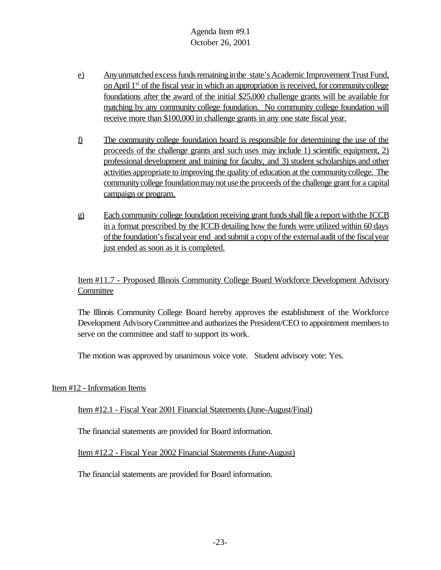- e) Any unmatched excess funds remaining in the state's Academic Improvement Trust Fund, on April 1<sup>st</sup> of the fiscal year in which an appropriation is received, for community college foundations after the award of the initial \$25,000 challenge grants will be available for matching by any community college foundation. No community college foundation will receive more than \$100,000 in challenge grants in any one state fiscal year.
- f) The community college foundation board is responsible for determining the use of the proceeds of the challenge grants and such uses may include 1) scientific equipment, 2) professional development and training for faculty, and 3) student scholarships and other activities appropriate to improving the quality of education at the communitycollege. The communitycollege foundationmaynot use the proceeds ofthe challenge grant for a capital campaign or program.
- g) Each community college foundation receiving grant funds shall file a report with the ICCB in a format prescribed by the ICCB detailing how the funds were utilized within 60 days ofthe foundation'sfiscalyear end and submit a copyofthe externalaudit ofthe fiscalyear just ended as soon as it is completed.

Item #11.7 - Proposed Illinois Community College Board Workforce Development Advisory **Committee** 

The Illinois Community College Board hereby approves the establishment of the Workforce Development Advisory Committee and authorizes the President/CEO to appointment members to serve on the committee and staff to support its work.

The motion was approved by unanimous voice vote. Student advisory vote: Yes.

Item #12 - Information Items

Item #12.1 - Fiscal Year 2001 Financial Statements (June-August/Final)

The financial statements are provided for Board information.

Item #12.2 - Fiscal Year 2002 Financial Statements (June-August)

The financial statements are provided for Board information.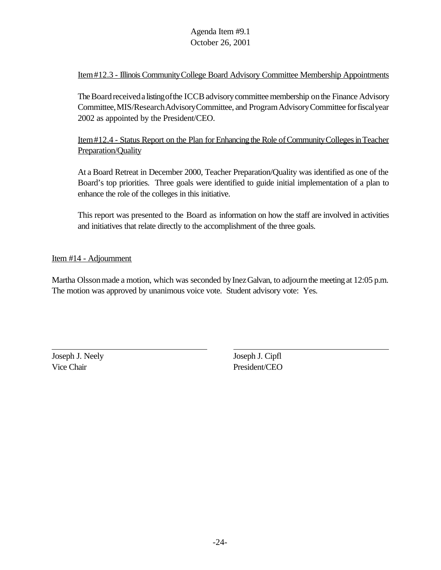## Item#12.3 - Illinois CommunityCollege Board Advisory Committee Membership Appointments

The Board received a listing of the ICCB advisory committee membership on the Finance Advisory Committee,MIS/ResearchAdvisoryCommittee, and ProgramAdvisoryCommittee forfiscalyear 2002 as appointed by the President/CEO.

Item#12.4 - Status Report on the Plan for Enhancing the Role of Community Colleges in Teacher Preparation/Quality

At a Board Retreat in December 2000, Teacher Preparation/Quality was identified as one of the Board's top priorities. Three goals were identified to guide initial implementation of a plan to enhance the role of the colleges in this initiative.

This report was presented to the Board as information on how the staff are involved in activities and initiatives that relate directly to the accomplishment of the three goals.

### Item #14 - Adjournment

Martha Olsson made a motion, which was seconded by Inez Galvan, to adjourn the meeting at 12:05 p.m. The motion was approved by unanimous voice vote. Student advisory vote: Yes.

Joseph J. Neely Joseph J. Cipfl Vice Chair President/CEO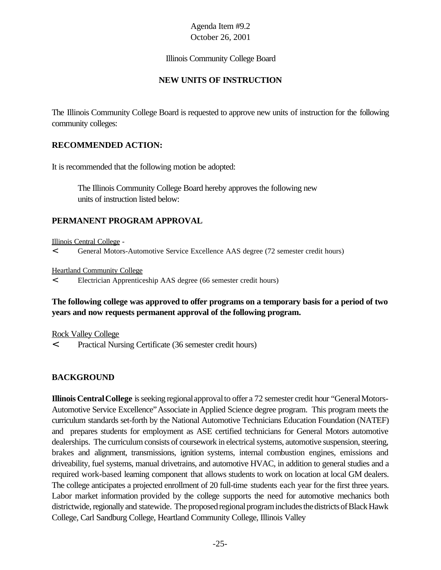#### Illinois Community College Board

### **NEW UNITS OF INSTRUCTION**

The Illinois Community College Board is requested to approve new units of instruction for the following community colleges:

#### **RECOMMENDED ACTION:**

It is recommended that the following motion be adopted:

The Illinois Community College Board hereby approves the following new units of instruction listed below:

## **PERMANENT PROGRAM APPROVAL**

Illinois Central College -

< General Motors-Automotive Service Excellence AAS degree (72 semester credit hours)

Heartland Community College

< Electrician Apprenticeship AAS degree (66 semester credit hours)

## **The following college was approved to offer programs on a temporary basis for a period of two years and now requests permanent approval of the following program.**

Rock Valley College

< Practical Nursing Certificate (36 semester credit hours)

## **BACKGROUND**

**Illinois Central College** is seeking regional approval to offer a 72 semester credit hour "General Motors-Automotive Service Excellence"Associate in Applied Science degree program. This program meets the curriculum standards set-forth by the National Automotive Technicians Education Foundation (NATEF) and prepares students for employment as ASE certified technicians for General Motors automotive dealerships. The curriculum consists of coursework in electrical systems, automotive suspension, steering, brakes and alignment, transmissions, ignition systems, internal combustion engines, emissions and driveability, fuel systems, manual drivetrains, and automotive HVAC, in addition to general studies and a required work-based learning component that allows students to work on location at local GM dealers. The college anticipates a projected enrollment of 20 full-time students each year for the first three years. Labor market information provided by the college supports the need for automotive mechanics both districtwide, regionally and statewide. The proposed regional program includes the districts of Black Hawk College, Carl Sandburg College, Heartland Community College, Illinois Valley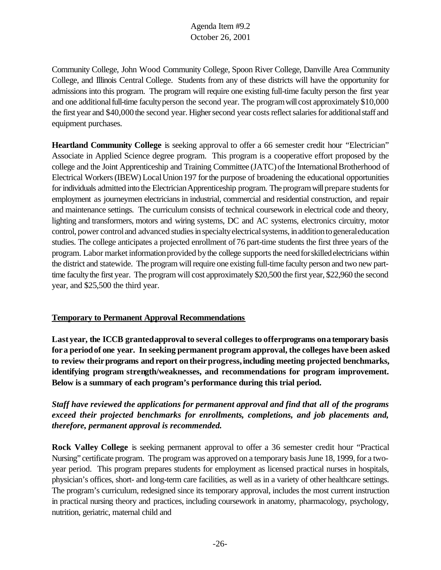Community College, John Wood Community College, Spoon River College, Danville Area Community College, and Illinois Central College. Students from any of these districts will have the opportunity for admissions into this program. The program will require one existing full-time faculty person the first year and one additional full-time faculty person the second year. The program will cost approximately \$10,000 the first year and \$40,000 the second year. Higher second year costs reflect salaries for additional staff and equipment purchases.

**Heartland Community College** is seeking approval to offer a 66 semester credit hour "Electrician" Associate in Applied Science degree program. This program is a cooperative effort proposed by the college and the Joint Apprenticeship and Training Committee (JATC) of the International Brotherhood of Electrical Workers(IBEW) LocalUnion197 forthe purpose of broadening the educational opportunities for individuals admitted into the Electrician Apprenticeship program. The program will prepare students for employment as journeymen electricians in industrial, commercial and residential construction, and repair and maintenance settings. The curriculum consists of technical coursework in electrical code and theory, lighting and transformers, motors and wiring systems, DC and AC systems, electronics circuitry, motor control, power control and advanced studies in specialty electrical systems, in addition to general education studies. The college anticipates a projected enrollment of 76 part-time students the first three years of the program. Labor market information provided by the college supports the need for skilled electricians within the district and statewide. The program will require one existing full-time faculty person and two new parttime faculty the first year. The program will cost approximately \$20,500 the first year, \$22,960 the second year, and \$25,500 the third year.

#### **Temporary to Permanent Approval Recommendations**

**Last year, the ICCB grantedapprovalto several colleges to offerprograms onatemporary basis fora periodof one year. In seeking permanent program approval, the colleges have been asked to review theirprograms and report ontheirprogress,including meeting projected benchmarks, identifying program strength/weaknesses, and recommendations for program improvement. Below is a summary of each program's performance during this trial period.**

# *Staff have reviewed the applications for permanent approval and find that all of the programs exceed their projected benchmarks for enrollments, completions, and job placements and, therefore, permanent approval is recommended.*

**Rock Valley College** is seeking permanent approval to offer a 36 semester credit hour "Practical Nursing" certificate program. The program was approved on a temporary basis June 18, 1999, for a twoyear period. This program prepares students for employment as licensed practical nurses in hospitals, physician's offices, short- and long-term care facilities, as well as in a variety of other healthcare settings. The program's curriculum, redesigned since its temporary approval, includes the most current instruction in practical nursing theory and practices, including coursework in anatomy, pharmacology, psychology, nutrition, geriatric, maternal child and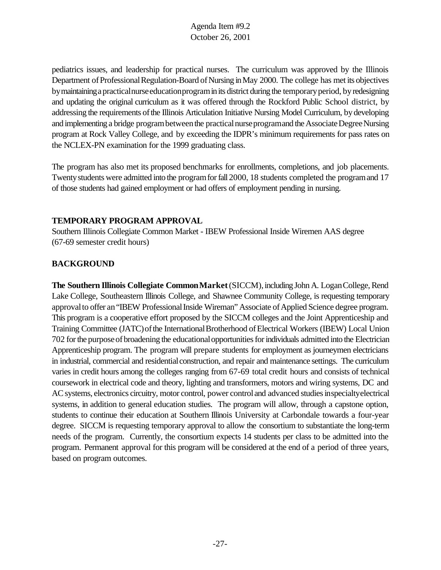pediatrics issues, and leadership for practical nurses. The curriculum was approved by the Illinois Department of Professional Regulation-Board of Nursing in May 2000. The college has met its objectives bymaintainingapracticalnurseeducationprograminits district during the temporaryperiod, byredesigning and updating the original curriculum as it was offered through the Rockford Public School district, by addressing the requirements of the Illinois Articulation Initiative Nursing Model Curriculum, by developing and implementing a bridge program between the practical nurse programand the Associate Degree Nursing program at Rock Valley College, and by exceeding the IDPR's minimum requirements for pass rates on the NCLEX-PN examination for the 1999 graduating class.

The program has also met its proposed benchmarks for enrollments, completions, and job placements. Twenty students were admitted into the program for fall 2000, 18 students completed the program and 17 of those students had gained employment or had offers of employment pending in nursing.

## **TEMPORARY PROGRAM APPROVAL**

Southern Illinois Collegiate Common Market - IBEW Professional Inside Wiremen AAS degree (67-69 semester credit hours)

# **BACKGROUND**

**The Southern Illinois Collegiate Common Market (SICCM), including John A. Logan College, Rend** Lake College, Southeastern Illinois College, and Shawnee Community College, is requesting temporary approval to offer an "IBEW Professional Inside Wireman" Associate of Applied Science degree program. This program is a cooperative effort proposed by the SICCM colleges and the Joint Apprenticeship and Training Committee (JATC) of the International Brotherhood of Electrical Workers (IBEW) Local Union 702 for the purpose of broadening the educational opportunities for individuals admitted into the Electrician Apprenticeship program. The program will prepare students for employment as journeymen electricians in industrial, commercial and residential construction, and repair and maintenance settings. The curriculum varies in credit hours among the colleges ranging from 67-69 total credit hours and consists of technical coursework in electrical code and theory, lighting and transformers, motors and wiring systems, DC and AC systems, electronics circuitry, motor control, power control and advanced studies in specialty electrical systems, in addition to general education studies. The program will allow, through a capstone option, students to continue their education at Southern Illinois University at Carbondale towards a four-year degree. SICCM is requesting temporary approval to allow the consortium to substantiate the long-term needs of the program. Currently, the consortium expects 14 students per class to be admitted into the program. Permanent approval for this program will be considered at the end of a period of three years, based on program outcomes.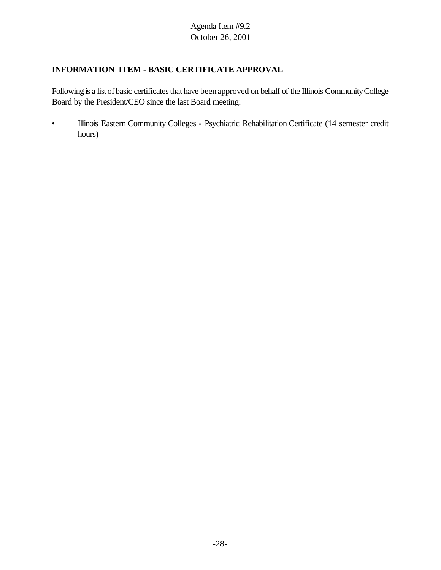# **INFORMATION ITEM - BASIC CERTIFICATE APPROVAL**

Following is a list of basic certificates that have been approved on behalf of the Illinois Community College Board by the President/CEO since the last Board meeting:

• Illinois Eastern Community Colleges - Psychiatric Rehabilitation Certificate (14 semester credit hours)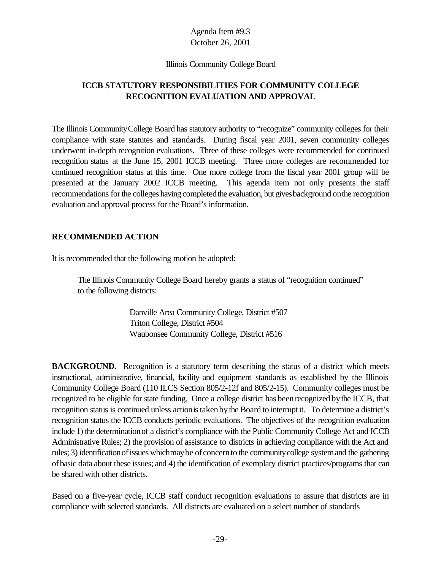#### Illinois Community College Board

# **ICCB STATUTORY RESPONSIBILITIES FOR COMMUNITY COLLEGE RECOGNITION EVALUATION AND APPROVAL**

The Illinois CommunityCollege Board has statutory authority to "recognize" community colleges for their compliance with state statutes and standards. During fiscal year 2001, seven community colleges underwent in-depth recognition evaluations. Three of these colleges were recommended for continued recognition status at the June 15, 2001 ICCB meeting. Three more colleges are recommended for continued recognition status at this time. One more college from the fiscal year 2001 group will be presented at the January 2002 ICCB meeting. This agenda item not only presents the staff recommendations for the colleges having completed the evaluation, but gives background on the recognition evaluation and approval process for the Board's information.

### **RECOMMENDED ACTION**

It is recommended that the following motion be adopted:

The Illinois Community College Board hereby grants a status of "recognition continued" to the following districts:

> Danville Area Community College, District #507 Triton College, District #504 Waubonsee Community College, District #516

**BACKGROUND.** Recognition is a statutory term describing the status of a district which meets instructional, administrative, financial, facility and equipment standards as established by the Illinois Community College Board (110 ILCS Section 805/2-12f and 805/2-15). Community colleges must be recognized to be eligible for state funding. Once a college district has beenrecognized bythe ICCB, that recognition status is continued unless action is taken by the Board to interrupt it. To determine a district's recognition status the ICCB conducts periodic evaluations. The objectives of the recognition evaluation include 1) the determinationof a district's compliance with the Public Community College Act and ICCB Administrative Rules; 2) the provision of assistance to districts in achieving compliance with the Act and rules; 3) identificationofissues whichmaybe of concernto the communitycollege systemand the gathering ofbasic data about these issues; and 4) the identification of exemplary district practices/programs that can be shared with other districts.

Based on a five-year cycle, ICCB staff conduct recognition evaluations to assure that districts are in compliance with selected standards. All districts are evaluated on a select number of standards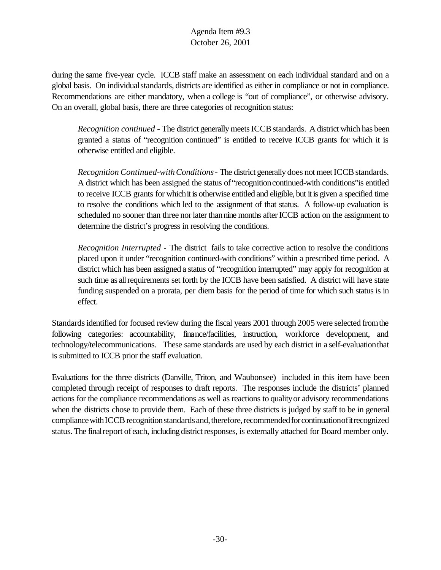during the same five-year cycle. ICCB staff make an assessment on each individual standard and on a global basis. On individual standards, districts are identified as either in compliance or not in compliance. Recommendations are either mandatory, when a college is "out of compliance", or otherwise advisory. On an overall, global basis, there are three categories of recognition status:

*Recognition continued* - The district generally meets ICCB standards. A district which has been granted a status of "recognition continued" is entitled to receive ICCB grants for which it is otherwise entitled and eligible.

*Recognition Continued-with Conditions* - The district generally does not meet ICCB standards. A district which has been assigned the status of"recognitioncontinued-with conditions"is entitled to receive ICCB grants for whichit is otherwise entitled and eligible, but it is given a specified time to resolve the conditions which led to the assignment of that status. A follow-up evaluation is scheduled no sooner than three nor later than nine months after ICCB action on the assignment to determine the district's progress in resolving the conditions.

*Recognition Interrupted* - The district fails to take corrective action to resolve the conditions placed upon it under "recognition continued-with conditions" within a prescribed time period. A district which has been assigned a status of "recognition interrupted" may apply for recognition at such time as all requirements set forth by the ICCB have been satisfied. A district will have state funding suspended on a prorata, per diem basis for the period of time for which such status is in effect.

Standards identified for focused review during the fiscal years 2001 through 2005 were selected from the following categories: accountability, finance/facilities, instruction, workforce development, and technology/telecommunications. These same standards are used by each district in a self-evaluationthat is submitted to ICCB prior the staff evaluation.

Evaluations for the three districts (Danville, Triton, and Waubonsee) included in this item have been completed through receipt of responses to draft reports. The responses include the districts' planned actions for the compliance recommendations as well as reactions to qualityor advisory recommendations when the districts chose to provide them. Each of these three districts is judged by staff to be in general compliance with ICCB recognition standards and, therefore, recommended for continuation of it recognized status. The final report of each, including district responses, is externally attached for Board member only.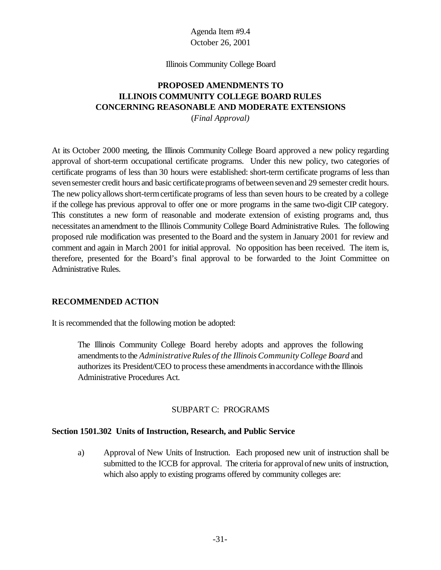#### Illinois Community College Board

# **PROPOSED AMENDMENTS TO ILLINOIS COMMUNITY COLLEGE BOARD RULES CONCERNING REASONABLE AND MODERATE EXTENSIONS**

(*Final Approval)*

At its October 2000 meeting, the Illinois Community College Board approved a new policy regarding approval of short-term occupational certificate programs. Under this new policy, two categories of certificate programs of less than 30 hours were established: short-term certificate programs of less than seven semester credit hours and basic certificate programs of between seven and 29 semester credit hours. The new policy allows short-term certificate programs of less than seven hours to be created by a college if the college has previous approval to offer one or more programs in the same two-digit CIP category. This constitutes a new form of reasonable and moderate extension of existing programs and, thus necessitates anamendment to the Illinois Community College Board Administrative Rules. The following proposed rule modification was presented to the Board and the system in January 2001 for review and comment and again in March 2001 for initial approval. No opposition has been received. The item is, therefore, presented for the Board's final approval to be forwarded to the Joint Committee on Administrative Rules.

## **RECOMMENDED ACTION**

It is recommended that the following motion be adopted:

The Illinois Community College Board hereby adopts and approves the following amendments to the *Administrative Rules of the Illinois Community College Board* and authorizes its President/CEO to process these amendments in accordance with the Illinois Administrative Procedures Act.

#### SUBPART C: PROGRAMS

#### **Section 1501.302 Units of Instruction, Research, and Public Service**

a) Approval of New Units of Instruction. Each proposed new unit of instruction shall be submitted to the ICCB for approval. The criteria for approval of new units of instruction, which also apply to existing programs offered by community colleges are: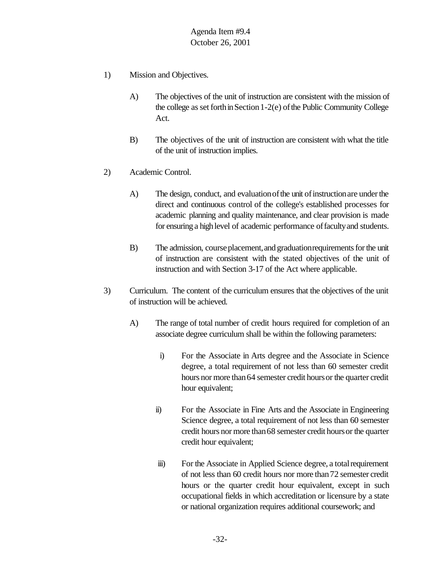- 1) Mission and Objectives.
	- A) The objectives of the unit of instruction are consistent with the mission of the college as set forth in Section 1-2(e) of the Public Community College Act.
	- B) The objectives of the unit of instruction are consistent with what the title of the unit of instruction implies.
- 2) Academic Control.
	- A) The design, conduct, and evaluation of the unit of instruction are under the direct and continuous control of the college's established processes for academic planning and quality maintenance, and clear provision is made for ensuring a high level of academic performance of faculty and students.
	- B) The admission, course placement, and graduation requirements for the unit of instruction are consistent with the stated objectives of the unit of instruction and with Section 3-17 of the Act where applicable.
- 3) Curriculum. The content of the curriculum ensures that the objectives of the unit of instruction will be achieved.
	- A) The range of total number of credit hours required for completion of an associate degree curriculum shall be within the following parameters:
		- i) For the Associate in Arts degree and the Associate in Science degree, a total requirement of not less than 60 semester credit hours nor more than 64 semester credit hours or the quarter credit hour equivalent;
		- ii) For the Associate in Fine Arts and the Associate in Engineering Science degree, a total requirement of not less than 60 semester credit hours nor more than68 semester credit hoursor the quarter credit hour equivalent;
		- iii) For the Associate in Applied Science degree, a total requirement of not less than 60 credit hours nor more than72 semester credit hours or the quarter credit hour equivalent, except in such occupational fields in which accreditation or licensure by a state or national organization requires additional coursework; and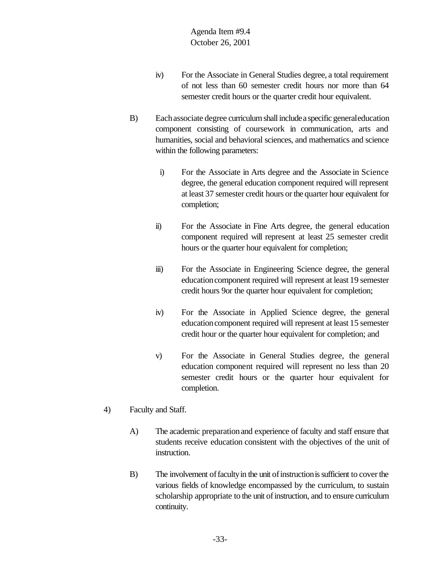- iv) For the Associate in General Studies degree, a total requirement of not less than 60 semester credit hours nor more than 64 semester credit hours or the quarter credit hour equivalent.
- B) Each associate degree curriculum shall include a specific general education component consisting of coursework in communication, arts and humanities, social and behavioral sciences, and mathematics and science within the following parameters:
	- i) For the Associate in Arts degree and the Associate in Science degree, the general education component required will represent at least 37 semester credit hours or the quarter hour equivalent for completion;
	- ii) For the Associate in Fine Arts degree, the general education component required will represent at least 25 semester credit hours or the quarter hour equivalent for completion;
	- iii) For the Associate in Engineering Science degree, the general education component required will represent at least 19 semester credit hours 9or the quarter hour equivalent for completion;
	- iv) For the Associate in Applied Science degree, the general education component required will represent at least 15 semester credit hour or the quarter hour equivalent for completion; and
	- v) For the Associate in General Studies degree, the general education component required will represent no less than 20 semester credit hours or the quarter hour equivalent for completion.
- 4) Faculty and Staff.
	- A) The academic preparationand experience of faculty and staff ensure that students receive education consistent with the objectives of the unit of instruction.
	- B) The involvement of faculty in the unit of instruction is sufficient to cover the various fields of knowledge encompassed by the curriculum, to sustain scholarship appropriate to the unit of instruction, and to ensure curriculum continuity.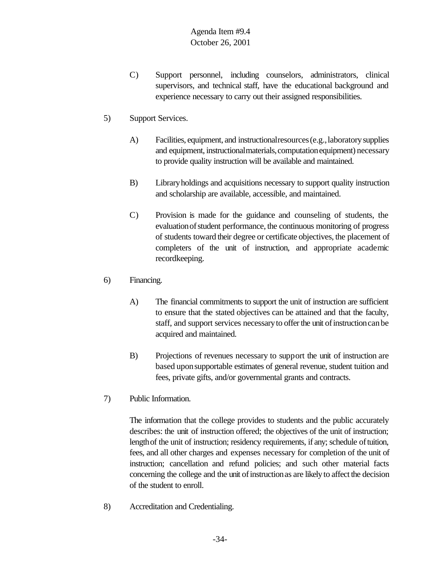- C) Support personnel, including counselors, administrators, clinical supervisors, and technical staff, have the educational background and experience necessary to carry out their assigned responsibilities.
- 5) Support Services.
	- A) Facilities, equipment, and instructionalresources(e.g.,laboratorysupplies and equipment, instructional materials, computation equipment) necessary to provide quality instruction will be available and maintained.
	- B) Libraryholdings and acquisitions necessary to support quality instruction and scholarship are available, accessible, and maintained.
	- C) Provision is made for the guidance and counseling of students, the evaluationofstudent performance, the continuous monitoring of progress of students toward their degree or certificate objectives, the placement of completers of the unit of instruction, and appropriate academic recordkeeping.
- 6) Financing.
	- A) The financial commitments to support the unit of instruction are sufficient to ensure that the stated objectives can be attained and that the faculty, staff, and support services necessary to offer the unit of instruction can be acquired and maintained.
	- B) Projections of revenues necessary to support the unit of instruction are based uponsupportable estimates of general revenue, student tuition and fees, private gifts, and/or governmental grants and contracts.
- 7) Public Information.

The information that the college provides to students and the public accurately describes: the unit of instruction offered; the objectives of the unit of instruction; length of the unit of instruction; residency requirements, if any; schedule of tuition, fees, and all other charges and expenses necessary for completion of the unit of instruction; cancellation and refund policies; and such other material facts concerning the college and the unit of instruction as are likely to affect the decision of the student to enroll.

8) Accreditation and Credentialing.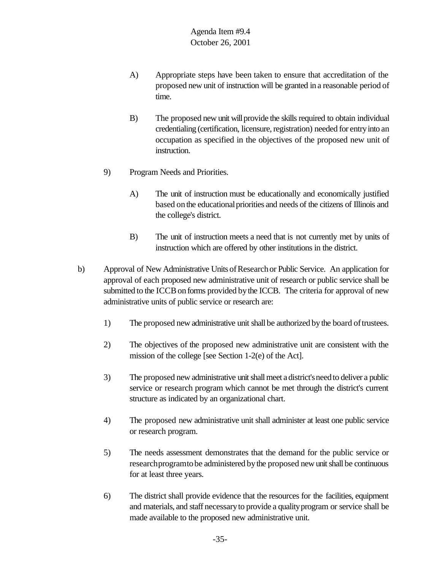- A) Appropriate steps have been taken to ensure that accreditation of the proposed new unit of instruction will be granted in a reasonable period of time.
- B) The proposed new unit will provide the skills required to obtain individual credentialing (certification, licensure, registration) needed for entry into an occupation as specified in the objectives of the proposed new unit of instruction.
- 9) Program Needs and Priorities.
	- A) The unit of instruction must be educationally and economically justified based onthe educationalpriorities and needs of the citizens of Illinois and the college's district.
	- B) The unit of instruction meets a need that is not currently met by units of instruction which are offered by other institutions in the district.
- b) Approval of New Administrative Units of Research or Public Service. An application for approval of each proposed new administrative unit of research or public service shall be submitted to the ICCB on forms provided by the ICCB. The criteria for approval of new administrative units of public service or research are:
	- 1) The proposed new administrative unit shall be authorized bythe board oftrustees.
	- 2) The objectives of the proposed new administrative unit are consistent with the mission of the college [see Section 1-2(e) of the Act].
	- 3) The proposed new administrative unit shall meet a district's need to deliver a public service or research program which cannot be met through the district's current structure as indicated by an organizational chart.
	- 4) The proposed new administrative unit shall administer at least one public service or research program.
	- 5) The needs assessment demonstrates that the demand for the public service or research program to be administered by the proposed new unit shall be continuous for at least three years.
	- 6) The district shall provide evidence that the resources for the facilities, equipment and materials, and staff necessaryto provide a qualityprogram or service shall be made available to the proposed new administrative unit.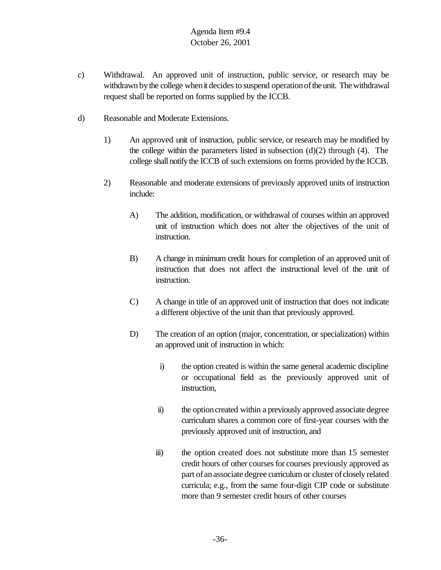- c) Withdrawal. An approved unit of instruction, public service, or research may be withdrawn by the college when it decides to suspend operation of the unit. The withdrawal request shall be reported on forms supplied by the ICCB.
- d) Reasonable and Moderate Extensions.
	- 1) An approved unit of instruction, public service, or research may be modified by the college within the parameters listed in subsection  $(d)(2)$  through  $(4)$ . The college shall notify the ICCB of such extensions on forms provided bythe ICCB.
	- 2) Reasonable and moderate extensions of previously approved units of instruction include:
		- A) The addition, modification, or withdrawal of courses within an approved unit of instruction which does not alter the objectives of the unit of instruction.
		- B) A change in minimum credit hours for completion of an approved unit of instruction that does not affect the instructional level of the unit of instruction.
		- C) A change in title of an approved unit of instruction that does not indicate a different objective of the unit than that previously approved.
		- D) The creation of an option (major, concentration, or specialization) within an approved unit of instruction in which:
			- i) the option created is within the same general academic discipline or occupational field as the previously approved unit of instruction,
			- ii) the option created within a previously approved associate degree curriculum shares a common core of first-year courses with the previously approved unit of instruction, and
			- iii) the option created does not substitute more than 15 semester credit hours of other courses for courses previously approved as part of an associate degree curriculum or cluster of closely related curricula; e.g., from the same four-digit CIP code or substitute more than 9 semester credit hours of other courses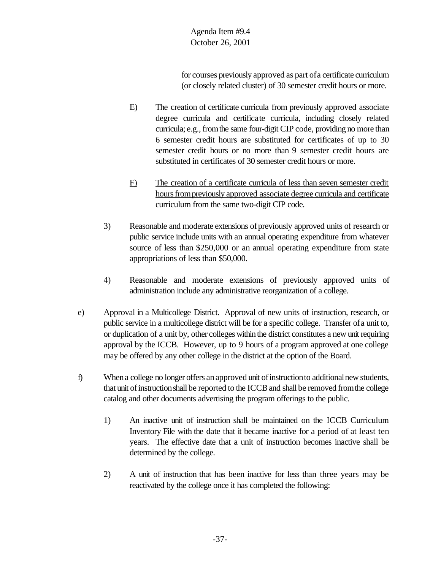Agenda Item #9.4 October 26, 2001

for courses previously approved as part ofa certificate curriculum (or closely related cluster) of 30 semester credit hours or more.

- E) The creation of certificate curricula from previously approved associate degree curricula and certificate curricula, including closely related curricula; e.g., fromthe same four-digit CIP code, providing no more than 6 semester credit hours are substituted for certificates of up to 30 semester credit hours or no more than 9 semester credit hours are substituted in certificates of 30 semester credit hours or more.
- F) The creation of a certificate curricula of less than seven semester credit hours from previously approved associate degree curricula and certificate curriculum from the same two-digit CIP code.
- 3) Reasonable and moderate extensions of previously approved units of research or public service include units with an annual operating expenditure from whatever source of less than \$250,000 or an annual operating expenditure from state appropriations of less than \$50,000.
- 4) Reasonable and moderate extensions of previously approved units of administration include any administrative reorganization of a college.
- e) Approval in a Multicollege District. Approval of new units of instruction, research, or public service in a multicollege district will be for a specific college. Transfer ofa unit to, or duplication of a unit by, other colleges within the district constitutes a new unit requiring approval by the ICCB. However, up to 9 hours of a program approved at one college may be offered by any other college in the district at the option of the Board.
- f) When a college no longer offers an approved unit of instruction to additional new students, that unit of instruction shall be reported to the ICCB and shall be removed from the college catalog and other documents advertising the program offerings to the public.
	- 1) An inactive unit of instruction shall be maintained on the ICCB Curriculum Inventory File with the date that it became inactive for a period of at least ten years. The effective date that a unit of instruction becomes inactive shall be determined by the college.
	- 2) A unit of instruction that has been inactive for less than three years may be reactivated by the college once it has completed the following: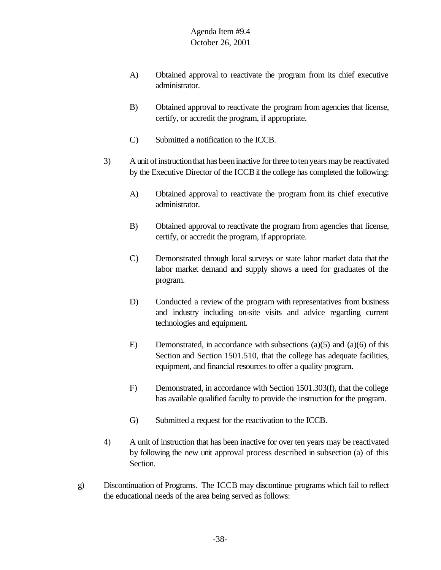- A) Obtained approval to reactivate the program from its chief executive administrator.
- B) Obtained approval to reactivate the program from agencies that license, certify, or accredit the program, if appropriate.
- C) Submitted a notification to the ICCB.
- 3) A unit ofinstructionthat has beeninactive forthree totenyears maybe reactivated by the Executive Director of the ICCB if the college has completed the following:
	- A) Obtained approval to reactivate the program from its chief executive administrator.
	- B) Obtained approval to reactivate the program from agencies that license, certify, or accredit the program, if appropriate.
	- C) Demonstrated through local surveys or state labor market data that the labor market demand and supply shows a need for graduates of the program.
	- D) Conducted a review of the program with representatives from business and industry including on-site visits and advice regarding current technologies and equipment.
	- E) Demonstrated, in accordance with subsections  $(a)(5)$  and  $(a)(6)$  of this Section and Section 1501.510, that the college has adequate facilities, equipment, and financial resources to offer a quality program.
	- F) Demonstrated, in accordance with Section 1501.303(f), that the college has available qualified faculty to provide the instruction for the program.
	- G) Submitted a request for the reactivation to the ICCB.
- 4) A unit of instruction that has been inactive for over ten years may be reactivated by following the new unit approval process described in subsection (a) of this Section.
- g) Discontinuation of Programs. The ICCB may discontinue programs which fail to reflect the educational needs of the area being served as follows: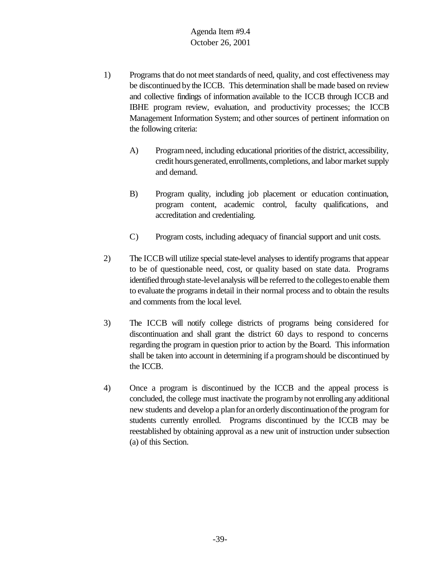## Agenda Item #9.4 October 26, 2001

- 1) Programs that do not meet standards of need, quality, and cost effectiveness may be discontinued bythe ICCB. This determination shall be made based on review and collective findings of information available to the ICCB through ICCB and IBHE program review, evaluation, and productivity processes; the ICCB Management Information System; and other sources of pertinent information on the following criteria:
	- A) Program need, including educational priorities of the district, accessibility, credit hours generated, enrollments, completions, and labor market supply and demand.
	- B) Program quality, including job placement or education continuation, program content, academic control, faculty qualifications, and accreditation and credentialing.
	- C) Program costs, including adequacy of financial support and unit costs.
- 2) The ICCBwill utilize special state-level analyses to identify programs that appear to be of questionable need, cost, or quality based on state data. Programs identified through state-level analysis will be referred to the colleges to enable them to evaluate the programs indetail in their normal process and to obtain the results and comments from the local level.
- 3) The ICCB will notify college districts of programs being considered for discontinuation and shall grant the district 60 days to respond to concerns regarding the program in question prior to action by the Board. This information shall be taken into account in determining if a programshould be discontinued by the ICCB.
- 4) Once a program is discontinued by the ICCB and the appeal process is concluded, the college must inactivate the programbynot enrolling any additional new students and develop a planfor anorderly discontinuationofthe program for students currently enrolled. Programs discontinued by the ICCB may be reestablished by obtaining approval as a new unit of instruction under subsection (a) of this Section.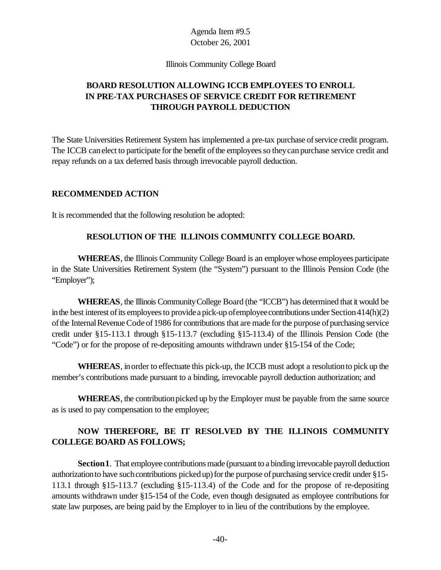### Agenda Item #9.5 October 26, 2001

Illinois Community College Board

# **BOARD RESOLUTION ALLOWING ICCB EMPLOYEES TO ENROLL IN PRE-TAX PURCHASES OF SERVICE CREDIT FOR RETIREMENT THROUGH PAYROLL DEDUCTION**

The State Universities Retirement System has implemented a pre-tax purchase of service credit program. The ICCB can elect to participate for the benefit of the employees so they can purchase service credit and repay refunds on a tax deferred basis through irrevocable payroll deduction.

### **RECOMMENDED ACTION**

It is recommended that the following resolution be adopted:

### **RESOLUTION OF THE ILLINOIS COMMUNITY COLLEGE BOARD.**

**WHEREAS**, the Illinois Community College Board is an employer whose employees participate in the State Universities Retirement System (the "System") pursuant to the Illinois Pension Code (the "Employer");

**WHEREAS**, the Illinois CommunityCollege Board (the "ICCB") has determined that it would be in the best interest of its employees to provide a pick-up of employee contributions under Section 414(h)(2) of the Internal Revenue Code of 1986 for contributions that are made for the purpose of purchasing service credit under §15-113.1 through §15-113.7 (excluding §15-113.4) of the Illinois Pension Code (the "Code") or for the propose of re-depositing amounts withdrawn under §15-154 of the Code;

**WHEREAS**, inorder to effectuate this pick-up, the ICCB must adopt a resolutionto pick up the member's contributions made pursuant to a binding, irrevocable payroll deduction authorization; and

**WHEREAS**, the contribution picked up by the Employer must be payable from the same source as is used to pay compensation to the employee;

# **NOW THEREFORE, BE IT RESOLVED BY THE ILLINOIS COMMUNITY COLLEGE BOARD AS FOLLOWS;**

**Section1**. That employee contributions made (pursuant to a binding irrevocable payroll deduction authorization to have such contributions picked up) for the purpose of purchasing service credit under §15-113.1 through §15-113.7 (excluding §15-113.4) of the Code and for the propose of re-depositing amounts withdrawn under §15-154 of the Code, even though designated as employee contributions for state law purposes, are being paid by the Employer to in lieu of the contributions by the employee.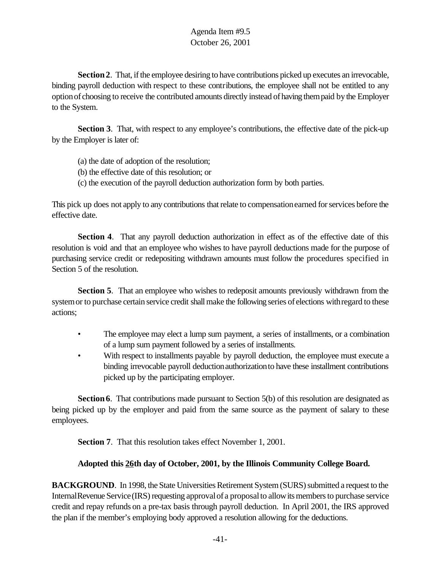# Agenda Item #9.5 October 26, 2001

Section 2. That, if the employee desiring to have contributions picked up executes an irrevocable, binding payroll deduction with respect to these contributions, the employee shall not be entitled to any optionof choosing to receive the contributed amounts directly instead ofhaving thempaid bythe Employer to the System.

**Section 3**. That, with respect to any employee's contributions, the effective date of the pick-up by the Employer is later of:

- (a) the date of adoption of the resolution;
- (b) the effective date of this resolution; or
- (c) the execution of the payroll deduction authorization form by both parties.

This pick up does not apply to any contributions thatrelate to compensationearned forservices before the effective date.

**Section 4.** That any payroll deduction authorization in effect as of the effective date of this resolution is void and that an employee who wishes to have payroll deductions made for the purpose of purchasing service credit or redepositing withdrawn amounts must follow the procedures specified in Section 5 of the resolution.

**Section 5.** That an employee who wishes to redeposit amounts previously withdrawn from the system or to purchase certain service credit shall make the following series of elections with regard to these actions;

- The employee may elect a lump sum payment, a series of installments, or a combination of a lump sum payment followed by a series of installments.
- With respect to installments payable by payroll deduction, the employee must execute a binding irrevocable payroll deduction authorization to have these installment contributions picked up by the participating employer.

**Section 6.** That contributions made pursuant to Section 5(b) of this resolution are designated as being picked up by the employer and paid from the same source as the payment of salary to these employees.

**Section 7**. That this resolution takes effect November 1, 2001.

### **Adopted this 26th day of October, 2001, by the Illinois Community College Board.**

**BACKGROUND**. In 1998, the State Universities Retirement System (SURS) submitted a request to the Internal Revenue Service (IRS) requesting approval of a proposal to allow its members to purchase service credit and repay refunds on a pre-tax basis through payroll deduction. In April 2001, the IRS approved the plan if the member's employing body approved a resolution allowing for the deductions.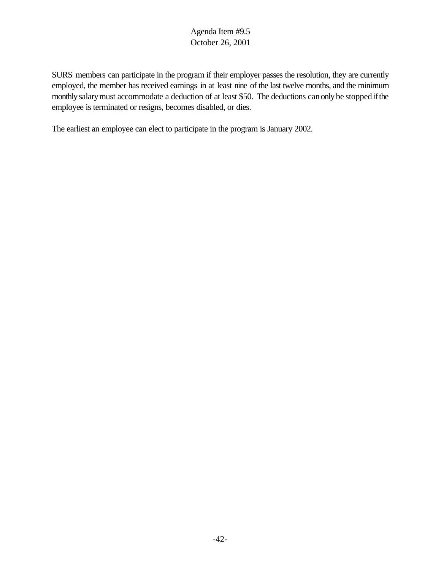# Agenda Item #9.5 October 26, 2001

SURS members can participate in the program if their employer passes the resolution, they are currently employed, the member has received earnings in at least nine of the last twelve months, and the minimum monthly salary must accommodate a deduction of at least \$50. The deductions can only be stopped if the employee is terminated or resigns, becomes disabled, or dies.

The earliest an employee can elect to participate in the program is January 2002.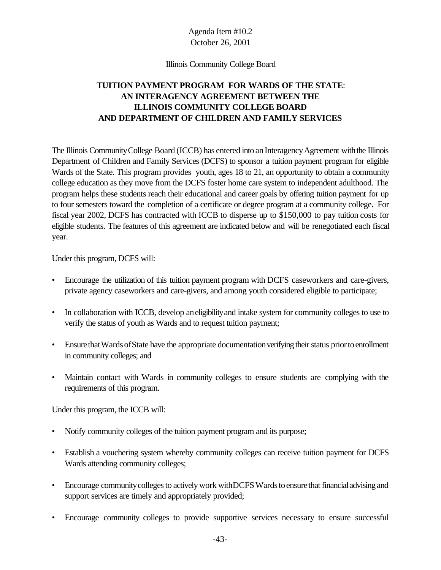# Agenda Item #10.2 October 26, 2001

#### Illinois Community College Board

# **TUITION PAYMENT PROGRAM FOR WARDS OF THE STATE**: **AN INTERAGENCY AGREEMENT BETWEEN THE ILLINOIS COMMUNITY COLLEGE BOARD AND DEPARTMENT OF CHILDREN AND FAMILY SERVICES**

The Illinois Community College Board (ICCB) has entered into an Interagency Agreement with the Illinois Department of Children and Family Services (DCFS) to sponsor a tuition payment program for eligible Wards of the State. This program provides youth, ages 18 to 21, an opportunity to obtain a community college education as they move from the DCFS foster home care system to independent adulthood. The program helps these students reach their educational and career goals by offering tuition payment for up to four semesters toward the completion of a certificate or degree program at a community college. For fiscal year 2002, DCFS has contracted with ICCB to disperse up to \$150,000 to pay tuition costs for eligible students. The features of this agreement are indicated below and will be renegotiated each fiscal year.

Under this program, DCFS will:

- Encourage the utilization of this tuition payment program with DCFS caseworkers and care-givers, private agency caseworkers and care-givers, and among youth considered eligible to participate;
- In collaboration with ICCB, develop aneligibility and intake system for community colleges to use to verify the status of youth as Wards and to request tuition payment;
- Ensure that Wards of State have the appropriate documentation verifying their status prior to enrollment in community colleges; and
- Maintain contact with Wards in community colleges to ensure students are complying with the requirements of this program.

Under this program, the ICCB will:

- Notify community colleges of the tuition payment program and its purpose;
- Establish a vouchering system whereby community colleges can receive tuition payment for DCFS Wards attending community colleges;
- Encourage community colleges to actively work with DCFS Wards to ensure that financial advising and support services are timely and appropriately provided;
- Encourage community colleges to provide supportive services necessary to ensure successful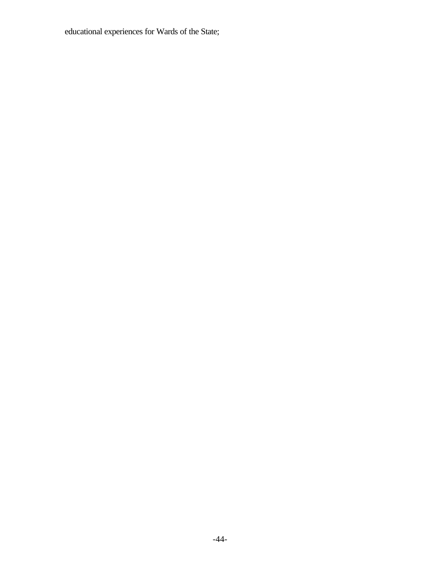educational experiences for Wards of the State;